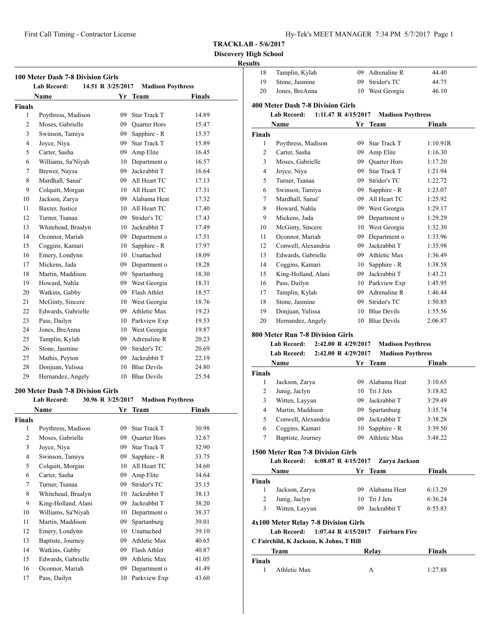**Discovery High School**

# **100 Meter Dash 7-8 Division Girls Lab Record: 14.51 R 3/25/2017 Madison Poythress Name Yr Team Finals Finals** 1 Poythress, Madison 09 Star Track T 14.89 2 Moses, Gabrielle 09 Quarter Hors 15.47 Swinson, Tamiya 09 Sapphire - R 15.57 4 Joyce, Niya 09 Star Track T 15.89 5 Carter, Sasha 09 Amp Elite 16.45 Williams, Sa'Niyah 10 Department o 16.57 7 Brewer, Naysa 09 Jackrabbit T 16.64 Mardhall, Sanai' 09 All Heart TC 17.13 9 Colquitt, Morgan 10 All Heart TC 17.31 Jackson, Zarya 09 Alabama Heat 17.32 11 Baxter, Justice 10 All Heart TC 17.40 Turner, Tsanaa 09 Strider's TC 17.43 13 Whitehead, Braalyn 10 Jackrabbit T 17.49 Oconnor, Mariah 09 Department o 17.51 15 Coggins, Kamari 10 Sapphire - R 17.97 Emery, Londynn 10 Unattached 18.09 Mickens, Jada 09 Department o 18.28 Martin, Maddison 09 Spartanburg 18.30 Howard, Nahla 09 West Georgia 18.31 20 Watkins, Gabby 09 Flash Athlet 18.57 21 McGinty, Sincere 10 West Georgia 18.76 22 Edwards, Gabrielle 09 Athletic Max 19.23 Pass, Dailyn 10 Parkview Exp 19.53 Jones, BreAnna 10 West Georgia 19.87 Tamplin, Kylah 09 Adrenaline R 20.23 Stone, Jasmine 09 Strider's TC 20.69 27 Mathis, Peyton 09 Jackrabbit T 22.19 Donjuan, Yulissa 10 Blue Devils 24.80 Hernandez, Angely 10 Blue Devils 25.54

#### **200 Meter Dash 7-8 Division Girls**

# **Lab Record: 30.96 R 3/25/2017 Madison Poythress**

|                | Name                |    | <b>Team</b>         | Finals |  |
|----------------|---------------------|----|---------------------|--------|--|
| <b>Finals</b>  |                     |    |                     |        |  |
| 1              | Poythress, Madison  | 09 | <b>Star Track T</b> | 30.98  |  |
| 2              | Moses, Gabrielle    | 09 | <b>Quarter Hors</b> | 32.67  |  |
| 3              | Joyce, Niya         | 09 | <b>Star Track T</b> | 32.90  |  |
| $\overline{4}$ | Swinson, Tamiya     | 09 | Sapphire - R        | 33.75  |  |
| 5              | Colquitt, Morgan    | 10 | All Heart TC        | 34.60  |  |
| 6              | Carter, Sasha       | 09 | Amp Elite           | 34.64  |  |
| 7              | Turner, Tsanaa      | 09 | Strider's TC        | 35.15  |  |
| 8              | Whitehead, Braalyn  | 10 | Jackrabbit T        | 38.13  |  |
| 9              | King-Holland, Alani | 09 | Jackrabbit T        | 38.20  |  |
| 10             | Williams, Sa'Niyah  | 10 | Department o        | 38.37  |  |
| 11             | Martin, Maddison    | 09 | Spartanburg         | 39.01  |  |
| 12             | Emery, Londynn      | 10 | Unattached          | 39.10  |  |
| 13             | Baptiste, Journey   | 09 | Athletic Max        | 40.65  |  |
| 14             | Watkins, Gabby      | 09 | Flash Athlet        | 40.87  |  |
| 15             | Edwards, Gabrielle  | 09 | Athletic Max        | 41.05  |  |
| 16             | Oconnor, Mariah     | 09 | Department o        | 41.49  |  |
| 17             | Pass, Dailyn        | 10 | Parkview Exp        | 43.60  |  |

| 18                            | Tamplin, Kylah                                                                                  |                     | 09 Adrenaline R                                      | 44.40              |
|-------------------------------|-------------------------------------------------------------------------------------------------|---------------------|------------------------------------------------------|--------------------|
| 19                            | Stone, Jasmine                                                                                  | 09                  | Strider's TC                                         | 44.75              |
| 20                            | Jones, BreAnna                                                                                  |                     | 10 West Georgia                                      | 46.10              |
|                               | <b>400 Meter Dash 7-8 Division Girls</b><br><b>Lab Record:</b><br>1:11.47 R 4/15/2017           |                     | <b>Madison Poythress</b>                             |                    |
|                               | Name                                                                                            |                     | Yr Team                                              | <b>Finals</b>      |
| Finals                        |                                                                                                 |                     |                                                      |                    |
| 1                             | Poythress, Madison                                                                              |                     | 09 Star Track T                                      | 1:10.91R           |
| 2                             | Carter, Sasha                                                                                   |                     | 09 Amp Elite                                         | 1:16.30            |
| 3                             | Moses, Gabrielle                                                                                |                     | 09 Quarter Hors                                      | 1:17.20            |
| 4                             | Joyce, Niya                                                                                     |                     | 09 Star Track T                                      | 1:21.94            |
| 5                             | Turner, Tsanaa                                                                                  |                     | 09 Strider's TC                                      | 1:22.72            |
| 6                             | Swinson, Tamiya                                                                                 |                     | 09 Sapphire - R                                      | 1:23.07            |
| 7                             | Mardhall, Sanai'                                                                                |                     | 09 All Heart TC                                      | 1:25.92            |
| 8                             | Howard, Nahla                                                                                   |                     | 09 West Georgia                                      | 1:29.17            |
| 9                             | Mickens, Jada                                                                                   |                     | 09 Department o                                      | 1:29.29            |
| 10                            | McGinty, Sincere                                                                                |                     | 10 West Georgia                                      | 1:32.30            |
| 11                            | Oconnor, Mariah                                                                                 |                     | 09 Department o                                      | 1:33.96            |
| 12                            | Conwell, Alexandria                                                                             |                     | 09 Jackrabbit T                                      | 1:35.98            |
| 13                            | Edwards, Gabrielle                                                                              |                     | 09 Athletic Max                                      | 1:36.49            |
| 14                            | Coggins, Kamari                                                                                 |                     | 10 Sapphire - R                                      | 1:38.58            |
| 15                            | King-Holland, Alani                                                                             |                     | 09 Jackrabbit T                                      | 1:43.21            |
| 16                            | Pass, Dailyn                                                                                    |                     | 10 Parkview Exp                                      | 1:45.95            |
| 17                            | Tamplin, Kylah                                                                                  |                     | 09 Adrenaline R                                      | 1:46.44            |
| 18                            | Stone, Jasmine                                                                                  |                     | 09 Strider's TC                                      | 1:50.85            |
| 19                            | Donjuan, Yulissa                                                                                |                     | 10 Blue Devils                                       | 1:55.56            |
| 20                            | Hernandez, Angely                                                                               |                     | 10 Blue Devils                                       | 2:06.87            |
|                               |                                                                                                 |                     |                                                      |                    |
|                               | <b>Lab Record:</b><br><b>Lab Record:</b><br>2:42.00 R 4/29/2017                                 | 2:42.00 R 4/29/2017 | <b>Madison Poythress</b><br><b>Madison Poythress</b> |                    |
|                               | Name                                                                                            |                     | Yr Team                                              | Finals             |
|                               |                                                                                                 |                     |                                                      |                    |
| 1                             | Jackson, Zarya                                                                                  |                     | 09 Alabama Heat                                      | 3:10.65            |
| 2                             | Junig, Jaclyn                                                                                   |                     | 10 Tri J Jets                                        | 3:18.82            |
| 3                             | Witten, Layyan                                                                                  |                     | 09 Jackrabbit T                                      | 3:29.49            |
| 4                             | Martin, Maddison                                                                                |                     | 09 Spartanburg                                       | 3:35.74            |
| 5                             | Conwell, Alexandria                                                                             |                     | 09 Jackrabbit T                                      | 3:38.28            |
| 6<br>7                        | Coggins, Kamari<br>Baptiste, Journey                                                            |                     | 10 Sapphire - R<br>09 Athletic Max                   | 3:39.50<br>3:48.22 |
| Finals                        | 1500 Meter Run 7-8 Division Girls<br>6:08.07 R $4/15/2017$<br><b>Lab Record:</b><br><b>Name</b> |                     | Zarya Jackson<br>Yr Team                             | <b>Finals</b>      |
|                               |                                                                                                 |                     |                                                      |                    |
| 1                             | Jackson, Zarya                                                                                  |                     | 09 Alabama Heat                                      | 6:13.29            |
| 2                             | Junig, Jaclyn                                                                                   |                     | 10 Tri J Jets                                        | 6:36.24            |
| 3                             | Witten, Layyan                                                                                  |                     | 09 Jackrabbit T                                      | 6:53.83            |
|                               | 4x100 Meter Relay 7-8 Division Girls                                                            |                     |                                                      |                    |
|                               | <b>Lab Record:</b><br>1:07.44 R 4/15/2017                                                       |                     | <b>Fairburn Fire</b>                                 |                    |
| <b>Finals</b>                 | C Fairchild, K Jackson, K Johns, T Hill                                                         |                     |                                                      |                    |
|                               | Team                                                                                            |                     | Relay                                                | <b>Finals</b>      |
| <b>Finals</b><br>$\mathbf{1}$ | Athletic Max                                                                                    |                     | А                                                    | 1:27.88            |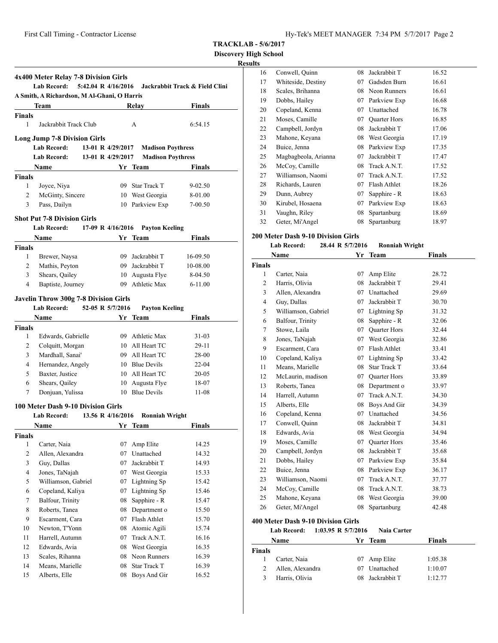**Discovery High School**

# **Results**

|                | 4x400 Meter Relay 7-8 Division Girls<br><b>Lab Record:</b> | 5:42.04 R 4/16/2016 |                          | Jackrabbit Track & Field Clini |
|----------------|------------------------------------------------------------|---------------------|--------------------------|--------------------------------|
|                | A Smith, A Richardson, M Al-Ghani, O Harris                |                     |                          |                                |
|                | Team                                                       |                     | Relay                    | Finals                         |
| Finals<br>1    | Jackrabbit Track Club                                      |                     | A                        | 6:54.15                        |
|                | <b>Long Jump 7-8 Division Girls</b>                        |                     |                          |                                |
|                | <b>Lab Record:</b>                                         | 13-01 R 4/29/2017   | <b>Madison Poythress</b> |                                |
|                | <b>Lab Record:</b>                                         | 13-01 R 4/29/2017   | <b>Madison Poythress</b> |                                |
|                | <b>Name</b>                                                |                     | Yr Team                  | Finals                         |
| <b>Finals</b>  |                                                            |                     |                          |                                |
| 1              | Joyce, Niya                                                |                     | 09 Star Track T          | $9 - 02.50$                    |
| 2              | McGinty, Sincere                                           |                     | 10 West Georgia          | 8-01.00                        |
| 3              | Pass, Dailyn                                               |                     | 10 Parkview Exp          | 7-00.50                        |
|                |                                                            |                     |                          |                                |
|                | <b>Shot Put 7-8 Division Girls</b>                         |                     |                          |                                |
|                | <b>Lab Record:</b>                                         | 17-09 R 4/16/2016   | <b>Payton Keeling</b>    |                                |
|                | <b>Name</b>                                                |                     | Yr Team                  | Finals                         |
| <b>Finals</b>  |                                                            |                     |                          |                                |
| $\mathbf{1}$   | Brewer, Naysa                                              |                     | 09 Jackrabbit T          | 16-09.50                       |
| 2              | Mathis, Peyton                                             |                     | 09 Jackrabbit T          | 10-08.00                       |
| 3              | Shears, Qailey                                             |                     | 10 Augusta Flye          | 8-04.50                        |
| 4              | Baptiste, Journey                                          |                     | 09 Athletic Max          | $6 - 11.00$                    |
|                | <b>Javelin Throw 300g 7-8 Division Girls</b>               |                     |                          |                                |
|                | Lab Record: 52-05 R 5/7/2016                               |                     | <b>Payton Keeling</b>    |                                |
|                | Name                                                       |                     | Yr Team                  | Finals                         |
| <b>Finals</b>  |                                                            |                     |                          |                                |
| 1              | Edwards, Gabrielle                                         |                     | 09 Athletic Max          | 31-03                          |
| $\overline{c}$ | Colquitt, Morgan                                           |                     | 10 All Heart TC          | 29-11                          |
| 3              | Mardhall, Sanai'                                           |                     | 09 All Heart TC          | 28-00                          |
| $\overline{4}$ | Hernandez, Angely                                          |                     | 10 Blue Devils           | 22-04                          |
| 5              | Baxter, Justice                                            |                     | 10 All Heart TC          | 20-05                          |
| 6              | Shears, Qailey                                             |                     | 10 Augusta Flye          | 18-07                          |
| 7              | Donjuan, Yulissa                                           |                     | 10 Blue Devils           | 11-08                          |
|                |                                                            |                     |                          |                                |
|                | 100 Meter Dash 9-10 Division Girls                         |                     |                          |                                |
|                | <b>Lab Record:</b>                                         | 13.56 R 4/16/2016   | <b>Ronniah Wright</b>    |                                |
|                | Name                                                       |                     | Yr Team                  | Finals                         |
| <b>Finals</b>  |                                                            |                     |                          |                                |
| 1              | Carter, Naia                                               | 07                  | Amp Elite                | 14.25                          |
| 2              | Allen, Alexandra                                           | 07                  | Unattached               | 14.32                          |
| 3              | Guy, Dallas                                                | 07                  | Jackrabbit T             | 14.93                          |
| $\overline{4}$ | Jones, TaNajah                                             | 07                  | West Georgia             | 15.33                          |
| 5              | Williamson, Gabriel                                        | 07                  | Lightning Sp             | 15.42                          |
| 6              | Copeland, Kaliya                                           | 07                  | Lightning Sp             | 15.46                          |
| $\tau$         | Balfour, Trinity                                           | 08                  | Sapphire - R             | 15.47                          |
| 8              | Roberts, Tanea                                             | 08                  | Department o             | 15.50                          |
| 9              | Escarment, Cara                                            | 07                  | Flash Athlet             | 15.70                          |
| 10             | Newton, T'Yonn                                             | 08                  | Atomic Agili             | 15.74                          |
| 11             | Harrell, Autumn                                            | 07                  | Track A.N.T.             | 16.16                          |
| 12             | Edwards, Avia                                              | 08                  | West Georgia             | 16.35                          |
| 13             | Scales, Rihanna                                            | 08                  | Neon Runners             | 16.39                          |
| 14             | Means, Marielle                                            | 08                  | <b>Star Track T</b>      | 16.39                          |
| 15             | Alberts, Elle                                              | 08                  | Boys And Gir             | 16.52                          |

| 16 | Conwell, Quinn       | 08 | Jackrabbit T        | 16.52 |
|----|----------------------|----|---------------------|-------|
| 17 | Whiteside, Destiny   | 07 | Gadsden Burn        | 16.61 |
| 18 | Scales, Brihanna     | 08 | Neon Runners        | 16.61 |
| 19 | Dobbs, Hailey        | 07 | Parkview Exp        | 16.68 |
| 20 | Copeland, Kenna      | 07 | Unattached          | 16.78 |
| 21 | Moses, Camille       | 07 | <b>Quarter Hors</b> | 16.85 |
| 22 | Campbell, Jordyn     | 08 | Jackrabbit T        | 17.06 |
| 23 | Mahone, Keyana       | 08 | West Georgia        | 17.19 |
| 24 | Buice, Jenna         | 08 | Parkview Exp        | 17.35 |
| 25 | Magbagbeola, Arianna | 07 | Jackrabbit T        | 17.47 |
| 26 | McCoy, Camille       | 08 | Track A.N.T.        | 17.52 |
| 27 | Williamson, Naomi    | 07 | Track A.N.T.        | 17.52 |
| 28 | Richards, Lauren     | 07 | Flash Athlet        | 18.26 |
| 29 | Dunn, Aubrey         | 07 | Sapphire - R        | 18.63 |
| 30 | Kirubel, Hosaena     | 07 | Parkview Exp        | 18.63 |
| 31 | Vaughn, Riley        | 08 | Spartanburg         | 18.69 |
| 32 | Geter, Mi'Angel      | 08 | Spartanburg         | 18.97 |
|    |                      |    |                     |       |

#### **200 Meter Dash 9-10 Division Girls**

| Lab Record: | 28.44 R 5/7/2016 | <b>Ronniah Wright</b> |
|-------------|------------------|-----------------------|
|-------------|------------------|-----------------------|

|                | Name                | Yr | Team                | <b>Finals</b> |
|----------------|---------------------|----|---------------------|---------------|
| <b>Finals</b>  |                     |    |                     |               |
| 1              | Carter, Naia        | 07 | Amp Elite           | 28.72         |
| $\overline{2}$ | Harris, Olivia      | 08 | Jackrabbit T        | 29.41         |
| 3              | Allen, Alexandra    | 07 | Unattached          | 29.69         |
| $\overline{4}$ | Guy, Dallas         | 07 | Jackrabbit T        | 30.70         |
| 5              | Williamson, Gabriel | 07 | Lightning Sp        | 31.32         |
| 6              | Balfour, Trinity    | 08 | Sapphire - R        | 32.06         |
| 7              | Stowe, Laila        | 07 | <b>Quarter Hors</b> | 32.44         |
| 8              | Jones, TaNajah      | 07 | West Georgia        | 32.86         |
| 9              | Escarment, Cara     | 07 | Flash Athlet        | 33.41         |
| 10             | Copeland, Kaliya    | 07 | Lightning Sp        | 33.42         |
| 11             | Means, Marielle     | 08 | <b>Star Track T</b> | 33.64         |
| 12             | McLaurin, madison   | 07 | <b>Quarter Hors</b> | 33.89         |
| 13             | Roberts, Tanea      | 08 | Department o        | 33.97         |
| 14             | Harrell, Autumn     | 07 | Track A.N.T.        | 34.30         |
| 15             | Alberts, Elle       | 08 | Boys And Gir        | 34.39         |
| 16             | Copeland, Kenna     | 07 | Unattached          | 34.56         |
| 17             | Conwell, Quinn      | 08 | Jackrabbit T        | 34.81         |
| 18             | Edwards, Avia       | 08 | West Georgia        | 34.94         |
| 19             | Moses, Camille      | 07 | <b>Quarter Hors</b> | 35.46         |
| 20             | Campbell, Jordyn    | 08 | Jackrabbit T        | 35.68         |
| 21             | Dobbs, Hailey       | 07 | Parkview Exp        | 35.84         |
| 22             | Buice, Jenna        | 08 | Parkview Exp        | 36.17         |
| 23             | Williamson, Naomi   | 07 | Track A.N.T.        | 37.77         |
| 24             | McCoy, Camille      | 08 | Track A.N.T.        | 38.73         |
| 25             | Mahone, Keyana      |    | 08 West Georgia     | 39.00         |
| 26             | Geter, Mi'Angel     | 08 | Spartanburg         | 42.48         |
|                |                     |    |                     |               |

# **400 Meter Dash 9-10 Division Girls**

# **Lab Record: 1:03.95 R 5/7/2016 Naia Carter**

|               | <b>Name</b>      |    | Yr Team       | <b>Finals</b> |
|---------------|------------------|----|---------------|---------------|
| <b>Finals</b> |                  |    |               |               |
|               | Carter, Naia     |    | 07 Amp Elite  | 1:05.38       |
|               | Allen, Alexandra |    | 07 Unattached | 1:10.07       |
|               | Harris, Olivia   | 08 | Jackrabbit T  | 1:12.77       |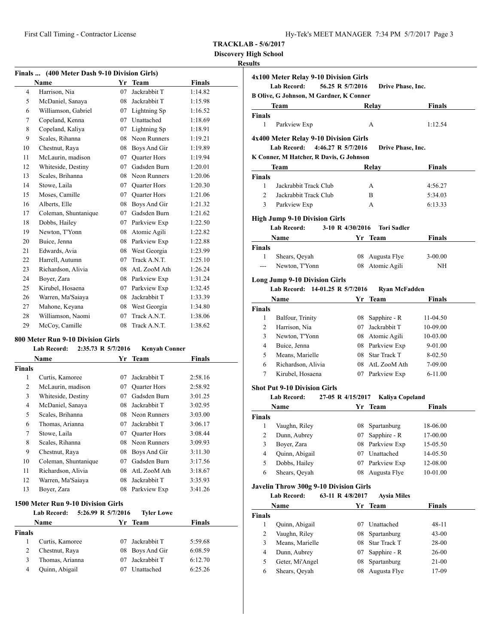**Discovery High School**

# **Results**

| Finals  (400 Meter Dash 9-10 Division Girls) |                      |    |                     |               |  |
|----------------------------------------------|----------------------|----|---------------------|---------------|--|
|                                              | <b>Name</b>          | Yr | <b>Team</b>         | <b>Finals</b> |  |
| $\overline{4}$                               | Harrison, Nia        | 07 | Jackrabbit T        | 1:14.82       |  |
| 5                                            | McDaniel, Sanaya     | 08 | Jackrabbit T        | 1:15.98       |  |
| 6                                            | Williamson, Gabriel  | 07 | Lightning Sp        | 1:16.52       |  |
| 7                                            | Copeland, Kenna      | 07 | Unattached          | 1:18.69       |  |
| 8                                            | Copeland, Kaliya     | 07 | Lightning Sp        | 1:18.91       |  |
| 9                                            | Scales, Rihanna      | 08 | Neon Runners        | 1:19.21       |  |
| 10                                           | Chestnut, Raya       | 08 | Boys And Gir        | 1:19.89       |  |
| 11                                           | McLaurin, madison    | 07 | <b>Ouarter Hors</b> | 1:19.94       |  |
| 12                                           | Whiteside, Destiny   | 07 | Gadsden Burn        | 1:20.01       |  |
| 13                                           | Scales, Brihanna     | 08 | Neon Runners        | 1:20.06       |  |
| 14                                           | Stowe, Laila         | 07 | <b>Quarter Hors</b> | 1:20.30       |  |
| 15                                           | Moses, Camille       | 07 | <b>Quarter Hors</b> | 1:21.06       |  |
| 16                                           | Alberts, Elle        | 08 | Boys And Gir        | 1:21.32       |  |
| 17                                           | Coleman, Shuntanique | 07 | Gadsden Burn        | 1:21.62       |  |
| 18                                           | Dobbs, Hailey        | 07 | Parkview Exp        | 1:22.50       |  |
| 19                                           | Newton, T'Yonn       | 08 | Atomic Agili        | 1:22.82       |  |
| 20                                           | Buice, Jenna         | 08 | Parkview Exp        | 1:22.88       |  |
| 21                                           | Edwards, Avia        | 08 | West Georgia        | 1:23.99       |  |
| 22                                           | Harrell, Autumn      | 07 | Track A.N.T.        | 1:25.10       |  |
| 23                                           | Richardson, Alivia   | 08 | AtL ZooM Ath        | 1:26.24       |  |
| 24                                           | Boyer, Zara          | 08 | Parkview Exp        | 1:31.24       |  |
| 25                                           | Kirubel, Hosaena     | 07 | Parkview Exp        | 1:32.45       |  |
| 26                                           | Warren, Ma'Saiaya    | 08 | Jackrabbit T        | 1:33.39       |  |
| 27                                           | Mahone, Keyana       | 08 | West Georgia        | 1:34.80       |  |
| 28                                           | Williamson, Naomi    | 07 | Track A.N.T.        | 1:38.06       |  |
| 29                                           | McCoy, Camille       | 08 | Track A.N.T.        | 1:38.62       |  |

#### **800 Meter Run 9-10 Division Girls**

|        | <b>Lab Record:</b>   | 2:35.73 R 5/7/2016 | <b>Kenyah Conner</b> |         |
|--------|----------------------|--------------------|----------------------|---------|
|        | Name                 |                    | Yr Team              | Finals  |
| Finals |                      |                    |                      |         |
| 1      | Curtis, Kamoree      | 07                 | Jackrabbit T         | 2:58.16 |
| 2      | McLaurin, madison    | 07                 | <b>Quarter Hors</b>  | 2:58.92 |
| 3      | Whiteside, Destiny   | 07                 | Gadsden Burn         | 3:01.25 |
| 4      | McDaniel, Sanaya     | 08                 | Jackrabbit T         | 3:02.95 |
| 5      | Scales, Brihanna     | 08                 | Neon Runners         | 3:03.00 |
| 6      | Thomas, Arianna      | 07                 | Jackrabbit T         | 3:06.17 |
| 7      | Stowe, Laila         | 07                 | <b>Quarter Hors</b>  | 3:08.44 |
| 8      | Scales, Rihanna      | 08                 | Neon Runners         | 3:09.93 |
| 9      | Chestnut, Raya       | 08                 | Boys And Gir         | 3:11.30 |
| 10     | Coleman, Shuntanique | 07                 | Gadsden Burn         | 3:17.56 |
| 11     | Richardson, Alivia   | 08                 | AtL ZooM Ath         | 3:18.67 |
| 12     | Warren, Ma'Saiaya    | 08                 | Jackrabbit T         | 3:35.93 |
| 13     | Boyer, Zara          | 08                 | Parkview Exp         | 3:41.26 |

#### **1500 Meter Run 9-10 Division Girls**

|        | Lab Record:     | 5:26.99 R 5/7/2016<br><b>Tyler Lowe</b> |               |
|--------|-----------------|-----------------------------------------|---------------|
|        | Name            | Yr Team                                 | <b>Finals</b> |
| Finals |                 |                                         |               |
|        | Curtis, Kamoree | 07 Jackrabbit T                         | 5:59.68       |
|        | Chestnut, Raya  | 08 Boys And Gir                         | 6:08.59       |
| 3      | Thomas, Arianna | 07 Jackrabbit T                         | 6:12.70       |
| 4      | Quinn, Abigail  | Unattached<br>07                        | 6:25.26       |

| 4x100 Meter Relay 9-10 Division Girls<br><b>Lab Record:</b><br>56.25 R 5/7/2016<br>Drive Phase, Inc. |                                                |                   |                        |               |  |
|------------------------------------------------------------------------------------------------------|------------------------------------------------|-------------------|------------------------|---------------|--|
|                                                                                                      | <b>B Olive, G Johnson, M Gardner, K Conner</b> |                   |                        |               |  |
|                                                                                                      | Team                                           |                   | <b>Relay</b>           | <b>Finals</b> |  |
| Finals                                                                                               |                                                |                   |                        |               |  |
| 1                                                                                                    | Parkview Exp                                   |                   | A                      | 1:12.54       |  |
|                                                                                                      | 4x400 Meter Relay 9-10 Division Girls          |                   |                        |               |  |
|                                                                                                      | 4:46.27 R 5/7/2016<br><b>Lab Record:</b>       |                   | Drive Phase, Inc.      |               |  |
|                                                                                                      | K Conner, M Hatcher, R Davis, G Johnson        |                   |                        |               |  |
|                                                                                                      | Team                                           |                   | Relay                  | <b>Finals</b> |  |
| <b>Finals</b>                                                                                        |                                                |                   |                        |               |  |
| $\mathbf{1}$                                                                                         | Jackrabbit Track Club                          |                   | А                      | 4:56.27       |  |
| $\overline{2}$                                                                                       | Jackrabbit Track Club                          |                   | B                      | 5:34.03       |  |
| 3                                                                                                    | Parkview Exp                                   |                   | А                      | 6:13.33       |  |
|                                                                                                      | <b>High Jump 9-10 Division Girls</b>           |                   |                        |               |  |
|                                                                                                      | <b>Lab Record:</b>                             | 3-10 R 4/30/2016  | <b>Tori Sadler</b>     |               |  |
|                                                                                                      | Name                                           |                   | Yr Team                | <b>Finals</b> |  |
| <b>Finals</b>                                                                                        |                                                |                   |                        |               |  |
| 1                                                                                                    | Shears, Qeyah                                  |                   | 08 Augusta Flye        | $3-00.00$     |  |
| $---$                                                                                                | Newton, T'Yonn                                 |                   | 08 Atomic Agili        | ΝH            |  |
|                                                                                                      | <b>Long Jump 9-10 Division Girls</b>           |                   |                        |               |  |
|                                                                                                      | Lab Record: 14-01.25 R 5/7/2016                |                   | <b>Ryan McFadden</b>   |               |  |
|                                                                                                      | Name                                           | Yr                | Team                   | <b>Finals</b> |  |
| <b>Finals</b>                                                                                        |                                                |                   |                        |               |  |
| 1                                                                                                    | Balfour, Trinity                               |                   | 08 Sapphire - R        | 11-04.50      |  |
| 2                                                                                                    | Harrison, Nia                                  |                   | 07 Jackrabbit T        | 10-09.00      |  |
| 3                                                                                                    | Newton, T'Yonn                                 |                   | 08 Atomic Agili        | 10-03.00      |  |
| 4                                                                                                    | Buice, Jenna                                   |                   | 08 Parkview Exp        | $9-01.00$     |  |
| 5                                                                                                    | Means, Marielle                                |                   | 08 Star Track T        | 8-02.50       |  |
| 6                                                                                                    | Richardson, Alivia                             |                   | 08 AtL ZooM Ath        | 7-09.00       |  |
| 7                                                                                                    | Kirubel, Hosaena                               |                   | 07 Parkview Exp        | $6 - 11.00$   |  |
|                                                                                                      | <b>Shot Put 9-10 Division Girls</b>            |                   |                        |               |  |
|                                                                                                      | Lab Record:                                    | 27-05 R 4/15/2017 | <b>Kaliya Copeland</b> |               |  |
|                                                                                                      | <b>Name</b>                                    |                   | Yr Team                | <b>Finals</b> |  |
| Finals                                                                                               |                                                |                   |                        |               |  |
| 1                                                                                                    | Vaughn, Riley                                  |                   | 08 Spartanburg         | 18-06.00      |  |
| 2                                                                                                    | Dunn, Aubrey                                   | 07                | Sapphire - R           | 17-00.00      |  |
| 3                                                                                                    | Boyer, Zara                                    | 08                | Parkview Exp           | 15-05.50      |  |
| 4                                                                                                    | Quinn, Abigail                                 | 07                | Unattached             | 14-05.50      |  |
| 5                                                                                                    | Dobbs, Hailey                                  | 07                | Parkview Exp           | 12-08.00      |  |
| 6                                                                                                    | Shears, Qeyah                                  | 08                | Augusta Flye           | 10-01.00      |  |
|                                                                                                      | <b>Javelin Throw 300g 9-10 Division Girls</b>  |                   |                        |               |  |
|                                                                                                      | <b>Lab Record:</b>                             | 63-11 R 4/8/2017  | <b>Aysia Miles</b>     |               |  |
|                                                                                                      | Name                                           |                   | Yr Team                | <b>Finals</b> |  |
| <b>Finals</b>                                                                                        |                                                |                   |                        |               |  |
| 1                                                                                                    | Quinn, Abigail                                 |                   | 07 Unattached          | 48-11         |  |
| $\mathbf{2}$                                                                                         | Vaughn, Riley                                  | 08                | Spartanburg            | 43-00         |  |
| 3                                                                                                    | Means, Marielle                                | 08                | Star Track T           | 28-00         |  |
| 4                                                                                                    | Dunn, Aubrey                                   | 07                | Sapphire - R           | 26-00         |  |
| 5                                                                                                    | Geter, Mi'Angel                                | 08                | Spartanburg            | 21-00         |  |
| 6                                                                                                    | Shears, Qeyah                                  | 08                | Augusta Flye           | 17-09         |  |
|                                                                                                      |                                                |                   |                        |               |  |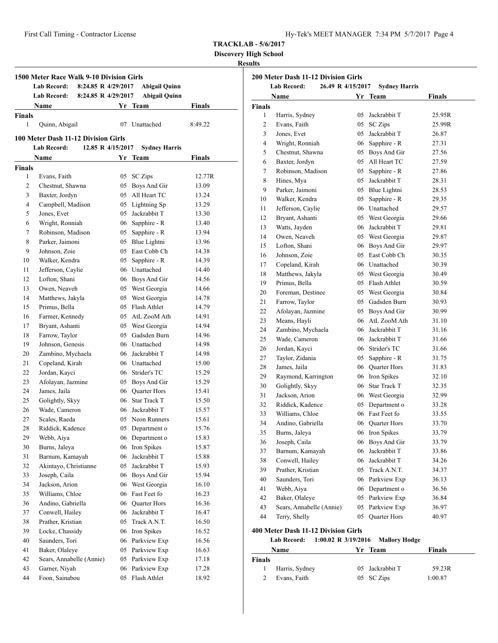First Call Timing - Contractor License

**TRACKLAB - 5/6/2017**

**Discovery High School**

# **Results**

|               | 1500 Meter Race Walk 9-10 Division Girls<br><b>Lab Record:</b><br>8:24.85 R 4/29/2017 |    | <b>Abigail Quinn</b> |         |
|---------------|---------------------------------------------------------------------------------------|----|----------------------|---------|
|               | <b>Lab Record:</b><br>8:24.85 R 4/29/2017                                             |    | <b>Abigail Quinn</b> |         |
|               | Name                                                                                  |    | Yr Team              | Finals  |
| <b>Finals</b> |                                                                                       |    |                      |         |
| 1             | Quinn, Abigail                                                                        | 07 | Unattached           | 8:49.22 |
|               | 100 Meter Dash 11-12 Division Girls                                                   |    |                      |         |
|               | <b>Lab Record:</b><br>12.85 R 4/15/2017                                               |    | <b>Sydney Harris</b> |         |
|               | Name                                                                                  | Yr | Team                 | Finals  |
| <b>Finals</b> |                                                                                       |    |                      |         |
| 1             | Evans, Faith                                                                          | 05 | <b>SC</b> Zips       | 12.77R  |
| 2             | Chestnut, Shawna                                                                      |    | 05 Boys And Gir      | 13.09   |
| 3             | Baxter, Jordyn                                                                        |    | 05 All Heart TC      | 13.24   |
| 4             | Campbell, Madison                                                                     |    | 05 Lightning Sp      | 13.29   |
| 5             | Jones, Evet                                                                           |    | 05 Jackrabbit T      | 13.30   |
| 6             | Wright, Ronniah                                                                       |    | 06 Sapphire - R      | 13.40   |
| 7             | Robinson, Madison                                                                     |    | 05 Sapphire - R      | 13.94   |
| 8             | Parker, Jaimoni                                                                       |    | 05 Blue Lightni      | 13.96   |
| 9             | Johnson, Zoie                                                                         |    | 05 East Cobb Ch      | 14.38   |
| 10            | Walker, Kendra                                                                        | 05 | Sapphire - R         | 14.39   |
| 11            | Jefferson, Caylie                                                                     |    | 06 Unattached        | 14.40   |
| 12            | Lofton, Shani                                                                         |    | 06 Boys And Gir      | 14.56   |
| 13            | Owen, Neaveh                                                                          |    | 05 West Georgia      | 14.66   |
| 14            | Matthews, Jakyla                                                                      |    | 05 West Georgia      | 14.78   |
| 15            | Primus, Bella                                                                         |    | 05 Flash Athlet      | 14.79   |
| 16            | Farmer, Kennedy                                                                       |    | 05 AtL ZooM Ath      | 14.91   |
| 17            | Bryant, Ashanti                                                                       |    | 05 West Georgia      | 14.94   |
| 18            | Farrow, Taylor                                                                        |    | 05 Gadsden Burn      | 14.96   |
| 19            | Johnson, Genesis                                                                      |    | 06 Unattached        | 14.98   |
| 20            | Zambino, Mychaela                                                                     |    | 06 Jackrabbit T      | 14.98   |
| 21            | Copeland, Kirah                                                                       |    | 06 Unattached        | 15.00   |
| 22            | Jordan, Kayci                                                                         |    | 06 Strider's TC      | 15.29   |
| 23            | Afolayan, Jazmine                                                                     |    | 05 Boys And Gir      | 15.29   |
| 24            | James, Jaila                                                                          |    | 06 Quarter Hors      | 15.41   |
| 25            | Golightly, Skyy                                                                       |    | 06 Star Track T      | 15.50   |
| 26            | Wade, Cameron                                                                         |    | 06 Jackrabbit T      | 15.57   |
| 27            | Scales, Raeda                                                                         |    | 05 Neon Runners      | 15.61   |
| 28            | Riddick, Kadence                                                                      | 05 | Department o         | 15.76   |
| 29            | Webb, Aiya                                                                            | 06 | Department o         | 15.83   |
| 30            | Burns, Jaleya                                                                         | 06 | Iron Spikes          | 15.87   |
| 31            | Barnum, Kamayah                                                                       | 06 | Jackrabbit T         | 15.88   |
| 32            | Akintayo, Christianne                                                                 | 05 | Jackrabbit T         | 15.93   |
| 33            | Joseph, Caila                                                                         | 06 | Boys And Gir         | 15.94   |
| 34            | Jackson, Arion                                                                        | 06 | West Georgia         | 16.10   |
| 35            | Williams, Chloe                                                                       | 06 | Fast Feet fo         | 16.23   |
| 36            | Andino, Gabriella                                                                     | 06 | Quarter Hors         | 16.36   |
| 37            | Conwell, Hailey                                                                       | 06 | Jackrabbit T         | 16.47   |
| 38            | Prather, Kristian                                                                     | 05 | Track A.N.T.         | 16.50   |
| 39            | Locke, Chassidy                                                                       | 06 | Iron Spikes          | 16.52   |
| 40            | Saunders, Tori                                                                        | 06 | Parkview Exp         | 16.56   |
| 41            | Baker, Olaleye                                                                        | 05 | Parkview Exp         | 16.63   |
| 42            | Sears, Annabelle (Annie)                                                              | 05 | Parkview Exp         | 17.18   |
| 43            | Garner, Niyah                                                                         | 06 | Parkview Exp         | 17.28   |
| 44            | Foon, Sainabou                                                                        | 05 | Flash Athlet         | 18.92   |
|               |                                                                                       |    |                      |         |

|               | Name                     |    | Yr Team             | <b>Finals</b> |
|---------------|--------------------------|----|---------------------|---------------|
| <b>Finals</b> |                          |    |                     |               |
| 1             | Harris, Sydney           | 05 | Jackrabbit T        | 25.95R        |
| 2             | Evans, Faith             | 05 | <b>SC</b> Zips      | 25.99R        |
| 3             | Jones, Evet              | 05 | Jackrabbit T        | 26.87         |
| 4             | Wright, Ronniah          | 06 | Sapphire - R        | 27.31         |
| 5             | Chestnut, Shawna         | 05 | Boys And Gir        | 27.56         |
| 6             | Baxter, Jordyn           | 05 | All Heart TC        | 27.59         |
| 7             | Robinson, Madison        | 05 | Sapphire - R        | 27.86         |
| 8             | Hines, Mya               | 05 | Jackrabbit T        | 28.31         |
| 9             | Parker, Jaimoni          | 05 | Blue Lightni        | 28.53         |
| 10            | Walker, Kendra           | 05 | Sapphire - R        | 29.35         |
| 11            | Jefferson, Caylie        | 06 | Unattached          | 29.57         |
| 12            | Bryant, Ashanti          | 05 | West Georgia        | 29.66         |
| 13            | Watts, Jayden            | 06 | Jackrabbit T        | 29.81         |
| 14            | Owen, Neaveh             | 05 | West Georgia        | 29.87         |
| 15            | Lofton, Shani            | 06 | Boys And Gir        | 29.97         |
| 16            | Johnson, Zoie            | 05 | East Cobb Ch        | 30.35         |
| 17            | Copeland, Kirah          | 06 | Unattached          | 30.39         |
| 18            | Matthews, Jakyla         | 05 | West Georgia        | 30.49         |
| 19            | Primus, Bella            | 05 | Flash Athlet        | 30.59         |
| 20            | Foreman, Destinee        | 05 | West Georgia        | 30.84         |
| 21            | Farrow, Taylor           | 05 | Gadsden Burn        | 30.93         |
| 22            | Afolayan, Jazmine        | 05 | Boys And Gir        | 30.99         |
| 23            | Means, Hayli             | 06 | AtL ZooM Ath        | 31.10         |
| 24            | Zambino, Mychaela        | 06 | Jackrabbit T        | 31.16         |
| 25            | Wade, Cameron            | 06 | Jackrabbit T        | 31.66         |
| 26            | Jordan, Kayci            | 06 | Strider's TC        | 31.66         |
| 27            | Taylor, Zidania          | 05 | Sapphire - R        | 31.75         |
| 28            | James, Jaila             | 06 | <b>Quarter Hors</b> | 31.83         |
| 29            | Raymond, Karrington      | 06 | Iron Spikes         | 32.10         |
| 30            | Golightly, Skyy          | 06 | Star Track T        | 32.35         |
| 31            | Jackson, Arion           |    | 06 West Georgia     | 32.99         |
| 32            | Riddick, Kadence         | 05 | Department o        | 33.28         |
| 33            | Williams, Chloe          |    | 06 Fast Feet fo     | 33.55         |
| 34            | Andino, Gabriella        | 06 | Quarter Hors        | 33.70         |
| 35            | Burns, Jaleya            |    | 06 Iron Spikes      | 33.79         |
| 36            | Joseph, Caila            | 06 | Boys And Gir        | 33.79         |
| 37            | Barnum, Kamayah          | 06 | Jackrabbit T        | 33.86         |
| 38            | Conwell, Hailey          | 06 | Jackrabbit T        | 34.26         |
| 39            | Prather, Kristian        | 05 | Track A.N.T.        | 34.37         |
| 40            | Saunders, Tori           | 06 | Parkview Exp        | 36.13         |
| 41            | Webb, Aiya               | 06 | Department o        | 36.56         |
| 42            | Baker, Olaleye           | 05 | Parkview Exp        | 36.84         |
| 43            | Sears, Annabelle (Annie) | 05 | Parkview Exp        | 36.97         |
| 44            | Terry, Shelly            | 05 | Quarter Hors        | 40.97         |

# **400 Meter Dash 11-12 Division Girls**

**Lab Record: 1:00.02 R 3/19/2016 Mallory Hodge**

| Name          |                | Yr Team         | Finals  |  |
|---------------|----------------|-----------------|---------|--|
| <b>Finals</b> |                |                 |         |  |
| Ι.            | Harris, Sydney | 05 Jackrabbit T | 59.23R  |  |
|               | Evans, Faith   | 05 SC Zips      | 1:00.87 |  |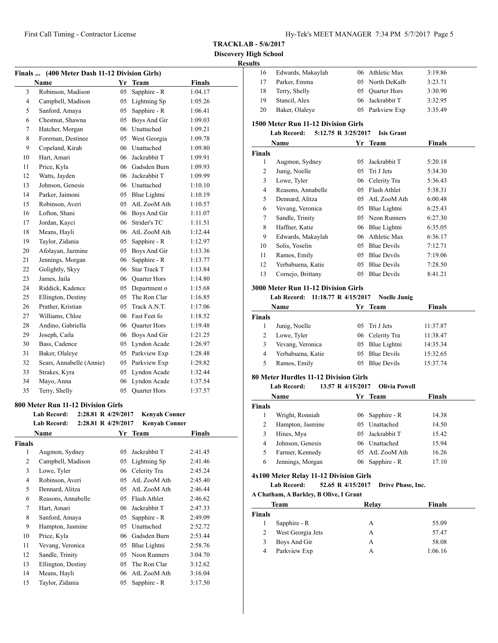**Discovery High School Resu** 

| Finals  (400 Meter Dash 11-12 Division Girls) |                                           |    |                      |               |  |
|-----------------------------------------------|-------------------------------------------|----|----------------------|---------------|--|
|                                               | <b>Name</b>                               |    | Yr Team              | <b>Finals</b> |  |
| 3                                             | Robinson, Madison                         | 05 | Sapphire - R         | 1:04.17       |  |
| $\overline{4}$                                | Campbell, Madison                         | 05 | Lightning Sp         | 1:05.26       |  |
| 5                                             | Sanford, Amaya                            | 05 | Sapphire - R         | 1:06.41       |  |
| 6                                             | Chestnut, Shawna                          | 05 | Boys And Gir         | 1:09.03       |  |
| 7                                             | Hatcher, Morgan                           |    | 06 Unattached        | 1:09.21       |  |
| 8                                             | Foreman, Destinee                         | 05 | West Georgia         | 1:09.78       |  |
| 9                                             | Copeland, Kirah                           | 06 | Unattached           | 1:09.80       |  |
| 10                                            | Hart, Amari                               | 06 | Jackrabbit T         | 1:09.91       |  |
| 11                                            | Price, Kyla                               | 06 | Gadsden Burn         | 1:09.93       |  |
| 12                                            | Watts, Jayden                             | 06 | Jackrabbit T         | 1:09.99       |  |
| 13                                            | Johnson, Genesis                          |    | 06 Unattached        | 1:10.10       |  |
| 14                                            | Parker, Jaimoni                           | 05 | Blue Lightni         | 1:10.19       |  |
| 15                                            | Robinson, Averi                           | 05 | AtL ZooM Ath         | 1:10.57       |  |
| 16                                            | Lofton, Shani                             | 06 | Boys And Gir         | 1:11.07       |  |
| 17                                            | Jordan, Kayci                             | 06 | Strider's TC         | 1:11.51       |  |
| 18                                            | Means, Hayli                              | 06 | AtL ZooM Ath         | 1:12.44       |  |
| 19                                            | Taylor, Zidania                           | 05 | Sapphire - R         | 1:12.97       |  |
| 20                                            | Afolayan, Jazmine                         | 05 | Boys And Gir         | 1:13.36       |  |
| 21                                            | Jennings, Morgan                          | 06 | Sapphire - R         | 1:13.77       |  |
| 22                                            | Golightly, Skyy                           | 06 | Star Track T         | 1:13.84       |  |
| 23                                            | James, Jaila                              | 06 | Quarter Hors         | 1:14.80       |  |
| 24                                            | Riddick, Kadence                          | 05 | Department o         | 1:15.68       |  |
| 25                                            | Ellington, Destiny                        | 05 | The Ron Clar         | 1:16.85       |  |
| 26                                            | Prather, Kristian                         | 05 | Track A.N.T.         | 1:17.06       |  |
| 27                                            | Williams, Chloe                           |    | 06 Fast Feet fo      | 1:18.52       |  |
| 28                                            | Andino, Gabriella                         |    | 06 Quarter Hors      | 1:19.48       |  |
| 29                                            | Joseph, Caila                             | 06 | Boys And Gir         | 1:21.25       |  |
| 30                                            | Bass, Cadence                             | 05 | Lyndon Acade         | 1:26.97       |  |
| 31                                            | Baker, Olaleye                            | 05 | Parkview Exp         | 1:28.48       |  |
| 32                                            | Sears, Annabelle (Annie)                  |    | 05 Parkview Exp      | 1:29.82       |  |
| 33                                            | Strakes, Kyra                             | 05 | Lyndon Acade         | 1:32.44       |  |
| 34                                            | Mayo, Anna                                | 06 | Lyndon Acade         | 1:37.54       |  |
| 35                                            | Terry, Shelly                             | 05 | Quarter Hors         | 1:37.57       |  |
|                                               | 800 Meter Run 11-12 Division Girls        |    |                      |               |  |
|                                               | <b>Lab Record:</b><br>2:28.81 R 4/29/2017 |    | <b>Kenyah Conner</b> |               |  |
|                                               | <b>Lab Record:</b><br>2:28.81 R 4/29/2017 |    | <b>Kenyah Conner</b> |               |  |
|                                               | Name                                      |    | Yr Team              | <b>Finals</b> |  |
| Finals                                        |                                           |    |                      |               |  |
| 1                                             | Augmon, Sydney                            |    | 05 Jackrabbit T      | 2:41.45       |  |
| $\overline{c}$                                | Campbell, Madison                         | 05 | Lightning Sp         | 2:41.46       |  |
| 3                                             | Lowe, Tyler                               |    | 06 Celerity Tra      | 2:45.24       |  |
| $\overline{4}$                                | Robinson, Averi                           | 05 | AtL ZooM Ath         | 2:45.40       |  |
| 5                                             | Dennard, Alitza                           | 05 | AtL ZooM Ath         | 2:46.44       |  |

 Reasons, Annabelle 05 Flash Athlet 2:46.62 Hart, Amari 06 Jackrabbit T 2:47.33 Sanford, Amaya 05 Sapphire - R 2:49.09 Hampton, Jasmine 05 Unattached 2:52.72 Price, Kyla 06 Gadsden Burn 2:53.44 Vevang, Veronica 05 Blue Lightni 2:58.76 Sandle, Trinity 05 Neon Runners 3:04.70 Ellington, Destiny 05 The Ron Clar 3:12.62 Means, Hayli 06 AtL ZooM Ath 3:16.04 Taylor, Zidania 05 Sapphire - R 3:17.50

| <b>lts</b>     |                                            |                   |                              |               |
|----------------|--------------------------------------------|-------------------|------------------------------|---------------|
| 16             | Edwards, Makaylah                          |                   | 06 Athletic Max              | 3:19.86       |
| 17             | Parker, Emma                               |                   | 05 North DeKalb              | 3:23.71       |
| 18             | Terry, Shelly                              |                   | 05 Quarter Hors              | 3:30.90       |
| 19             | Stancil, Alex                              |                   | 06 Jackrabbit T              | 3:32.95       |
| 20             | Baker, Olaleye                             |                   | 05 Parkview Exp              | 3:35.49       |
|                | 1500 Meter Run 11-12 Division Girls        |                   |                              |               |
|                | Lab Record:<br>5:12.75 R 3/25/2017<br>Name |                   | <b>Isis Grant</b><br>Yr Team | <b>Finals</b> |
| Finals         |                                            |                   |                              |               |
| 1              | Augmon, Sydney                             |                   | 05 Jackrabbit T              | 5:20.18       |
| 2              | Junig, Noelle                              |                   | 05 Tri J Jets                | 5:34.30       |
| 3              | Lowe, Tyler                                |                   | 06 Celerity Tra              | 5:36.43       |
| 4              | Reasons, Annabelle                         |                   | 05 Flash Athlet              | 5:38.31       |
| 5              | Dennard, Alitza                            |                   | 05 AtL ZooM Ath              | 6:00.48       |
| 6              | Vevang, Veronica                           |                   | 05 Blue Lightni              | 6:25.43       |
| $\tau$         | Sandle, Trinity                            |                   | 05 Neon Runners              | 6:27.30       |
| 8              | Haffner, Katie                             |                   | 06 Blue Lightni              | 6:35.05       |
| 9              | Edwards, Makaylah                          |                   | 06 Athletic Max              | 6:36.17       |
| 10             | Solis, Yoselin                             |                   | 05 Blue Devils               | 7:12.71       |
| 11             | Ramos, Emily                               |                   | 05 Blue Devils               | 7:19.06       |
| 12             | Yerbabuena, Katie                          |                   | 05 Blue Devils               | 7:28.50       |
| 13             | Cornejo, Brittany                          |                   | 05 Blue Devils               | 8:41.21       |
|                | 3000 Meter Run 11-12 Division Girls        |                   |                              |               |
|                | Lab Record: 11:18.77 R 4/15/2017           |                   | <b>Noelle Junig</b>          |               |
|                | Name                                       |                   | Yr Team                      | <b>Finals</b> |
| Finals         |                                            |                   |                              |               |
| 1              | Junig, Noelle                              |                   | 05 Tri J Jets                | 11:37.87      |
| $\mathbf{2}$   | Lowe, Tyler                                |                   | 06 Celerity Tra              | 11:38.47      |
| 3              | Vevang, Veronica                           |                   | 05 Blue Lightni              | 14:35.34      |
| 4              | Yerbabuena, Katie                          |                   | 05 Blue Devils               | 15:32.65      |
| 5              | Ramos, Emily                               |                   | 05 Blue Devils               | 15:37.74      |
|                | 80 Meter Hurdles 11-12 Division Girls      |                   |                              |               |
|                | Lab Record:                                | 13.57 R 4/15/2017 | <b>Olivia Powell</b>         |               |
|                | Name                                       |                   | Yr Team                      | Finals        |
| Finals         |                                            |                   |                              |               |
| 1              | Wright, Ronniah                            |                   | 06 Sapphire - R              | 14.38         |
| $\overline{c}$ | Hampton, Jasmine                           |                   | 05 Unattached                | 14.50         |
| $\mathfrak{Z}$ | Hines, Mya                                 | 05                | Jackrabbit T                 | 15.42         |
| $\overline{4}$ | Johnson, Genesis                           |                   | 06 Unattached                | 15.94         |
| 5              | Farmer, Kennedy                            |                   | 05 AtL ZooM Ath              | 16.26         |
| 6              | Jennings, Morgan                           |                   | 06 Sapphire - R              | 17.10         |
|                | 4x100 Meter Relay 11-12 Division Girls     |                   |                              |               |
|                | <b>Lab Record:</b>                         | 52.65 R 4/15/2017 | Drive Phase, Inc.            |               |
|                | A Chatham, A Barkley, B Olive, I Grant     |                   |                              |               |
|                | Team                                       |                   | <b>Relay</b>                 | <b>Finals</b> |
| Finals         |                                            |                   |                              |               |
| 1              |                                            |                   |                              |               |
|                | Sapphire - R                               |                   | А                            | 55.09         |
| $\sqrt{2}$     | West Georgia Jets                          |                   | А                            | 57.47         |
| 3              | Boys And Gir<br>Parkview Exp               |                   | А                            | 58.08         |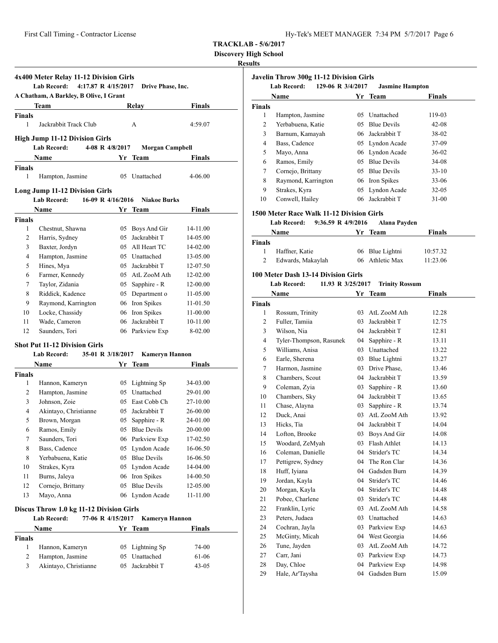| Hy-Tek's MEET MANAGER 7:34 PM 5/7/2017 Page 6 |  |  |  |
|-----------------------------------------------|--|--|--|
|-----------------------------------------------|--|--|--|

**Javelin Throw 300g 11-12 Division Girls**

**TRACKLAB - 5/6/2017**

**Discovery High School**

# **Results**

|               | 4x400 Meter Relay 11-12 Division Girls<br><b>Lab Record:</b><br>4:17.87 R 4/15/2017 |    | Drive Phase, Inc.              |                      |
|---------------|-------------------------------------------------------------------------------------|----|--------------------------------|----------------------|
|               | A Chatham, A Barkley, B Olive, I Grant                                              |    |                                |                      |
|               | Team                                                                                |    | Relay                          | Finals               |
| Finals        |                                                                                     |    |                                |                      |
| 1             | Jackrabbit Track Club                                                               |    | A                              | 4:59.07              |
|               | <b>High Jump 11-12 Division Girls</b>                                               |    |                                |                      |
|               | <b>Lab Record:</b><br>4-08 R 4/8/2017                                               |    | Morgan Campbell                |                      |
|               | Name                                                                                | Yr | Team                           | Finals               |
| <b>Finals</b> |                                                                                     |    |                                |                      |
| 1             | Hampton, Jasmine                                                                    |    | 05 Unattached                  | 4-06.00              |
|               | Long Jump 11-12 Division Girls                                                      |    |                                |                      |
|               | <b>Lab Record:</b><br>16-09 R 4/16/2016                                             |    | <b>Niakoe Burks</b>            |                      |
|               | Name                                                                                |    | Yr Team                        | Finals               |
| Finals        |                                                                                     |    |                                |                      |
| 1             | Chestnut, Shawna                                                                    | 05 | Boys And Gir                   | 14-11.00             |
| 2             | Harris, Sydney                                                                      | 05 | Jackrabbit T                   | 14-05.00             |
| 3             | Baxter, Jordyn                                                                      |    | 05 All Heart TC                | 14-02.00             |
| 4             | Hampton, Jasmine                                                                    |    | 05 Unattached                  | 13-05.00             |
| 5             | Hines, Mya                                                                          |    | 05 Jackrabbit T                | 12-07.50             |
| 6             | Farmer, Kennedy                                                                     |    | 05 AtL ZooM Ath                | 12-02.00             |
| 7             | Taylor, Zidania                                                                     |    | 05 Sapphire - R                | 12-00.00             |
| 8             | Riddick, Kadence                                                                    |    | 05 Department o                | 11-05.00             |
| 9             | Raymond, Karrington                                                                 |    | 06 Iron Spikes                 | 11-01.50             |
| 10            | Locke, Chassidy                                                                     |    | 06 Iron Spikes                 | 11-00.00             |
| 11            | Wade, Cameron                                                                       | 06 | Jackrabbit T                   | 10-11.00             |
| 12            | Saunders, Tori                                                                      |    | 06 Parkview Exp                | 8-02.00              |
|               | Shot Put 11-12 Division Girls                                                       |    |                                |                      |
|               | 35-01 R 3/18/2017<br>Lab Record:                                                    |    | <b>Kameryn Hannon</b>          |                      |
|               | Name                                                                                |    | Yr Team                        | Finals               |
| Finals        |                                                                                     |    |                                |                      |
| 1             | Hannon, Kameryn                                                                     |    | 05 Lightning Sp                | 34-03.00             |
| 2             | Hampton, Jasmine                                                                    |    | 05 Unattached                  | 29-01.00             |
| 3             | Johnson, Zoie                                                                       |    | 05 East Cobb Ch                | 27-10.00             |
| 4             | Akintayo, Christianne                                                               |    | 05 Jackrabbit T                | 26-00.00             |
| 5             | Brown, Morgan                                                                       |    | 05 Sapphire - R                | 24-01.00             |
| 6             | Ramos, Emily                                                                        |    | 05 Blue Devils                 | 20-00.00             |
| 7             | Saunders, Tori                                                                      |    | 06 Parkview Exp                | 17-02.50             |
| 8<br>8        | Bass, Cadence<br>Yerbabuena, Katie                                                  | 05 | Lyndon Acade<br>05 Blue Devils | 16-06.50<br>16-06.50 |
| 10            | Strakes, Kyra                                                                       | 05 | Lyndon Acade                   | 14-04.00             |
| 11            | Burns, Jaleya                                                                       | 06 | Iron Spikes                    | 14-00.50             |
| 12            | Cornejo, Brittany                                                                   | 05 | <b>Blue Devils</b>             | 12-05.00             |
| 13            | Mayo, Anna                                                                          | 06 | Lyndon Acade                   | 11-11.00             |
|               |                                                                                     |    |                                |                      |
|               | Discus Throw 1.0 kg 11-12 Division Girls                                            |    |                                |                      |
|               | 77-06 R 4/15/2017<br>Lab Record:                                                    |    | <b>Kameryn Hannon</b>          |                      |
|               | Name                                                                                |    | Yr Team                        | Finals               |
| Finals        |                                                                                     |    |                                |                      |
| 1             | Hannon, Kameryn                                                                     |    | 05 Lightning Sp                | 74-00                |
| 2<br>3        | Hampton, Jasmine                                                                    | 05 | 05 Unattached<br>Jackrabbit T  | 61-06                |
|               | Akintayo, Christianne                                                               |    |                                | $43 - 05$            |
|               |                                                                                     |    |                                |                      |

|               | 129-06 R 3/4/2017<br><b>Lab Record:</b>   |    | <b>Jasmine Hampton</b> |          |
|---------------|-------------------------------------------|----|------------------------|----------|
|               | Name                                      |    | Yr Team                | Finals   |
| <b>Finals</b> |                                           |    |                        |          |
| 1             | Hampton, Jasmine                          | 05 | Unattached             | 119-03   |
| 2             | Yerbabuena, Katie                         |    | 05 Blue Devils         | 42-08    |
| 3             | Barnum, Kamayah                           |    | 06 Jackrabbit T        | 38-02    |
| 4             | Bass, Cadence                             |    | 05 Lyndon Acade        | 37-09    |
| 5             | Mayo, Anna                                |    | 06 Lyndon Acade        | 36-02    |
| 6             | Ramos, Emily                              |    | 05 Blue Devils         | 34-08    |
| 7             | Cornejo, Brittany                         |    | 05 Blue Devils         | $33-10$  |
| 8             | Raymond, Karrington                       |    | 06 Iron Spikes         | 33-06    |
| 9             | Strakes, Kyra                             |    | 05 Lyndon Acade        | 32-05    |
| 10            | Conwell, Hailey                           |    | 06 Jackrabbit T        | 31-00    |
|               |                                           |    |                        |          |
|               | 1500 Meter Race Walk 11-12 Division Girls |    |                        |          |
|               | Lab Record:<br>9:36.59 R 4/9/2016         |    | Alana Payden           |          |
|               | Name                                      |    | Yr Team                | Finals   |
| <b>Finals</b> |                                           |    |                        |          |
| 1             | Haffner, Katie                            |    | 06 Blue Lightni        | 10:57.32 |
| 2             | Edwards, Makaylah                         | 06 | Athletic Max           | 11:23.06 |
|               | 100 Meter Dash 13-14 Division Girls       |    |                        |          |
|               | <b>Lab Record:</b><br>11.93 R 3/25/2017   |    | <b>Trinity Rossum</b>  |          |
|               | <b>Name</b>                               |    | Yr Team                | Finals   |
| <b>Finals</b> |                                           |    |                        |          |
| 1             | Rossum, Trinity                           | 03 | AtL ZooM Ath           | 12.28    |
| 2             | Fuller, Tamiia                            | 03 | Jackrabbit T           | 12.75    |
| 3             | Wilson, Nia                               | 04 | Jackrabbit T           | 12.81    |
| 4             | Tyler-Thompson, Rasunek                   | 04 | Sapphire - R           | 13.11    |
| 5             | Williams, Anisa                           | 03 | Unattached             | 13.22    |
| 6             | Earle, Sherena                            | 03 | Blue Lightni           | 13.27    |
| 7             | Harmon, Jasmine                           | 03 | Drive Phase,           | 13.46    |
| 8             | Chambers, Scout                           | 04 | Jackrabbit T           | 13.59    |
| 9             | Coleman, Zyia                             | 03 | Sapphire - R           | 13.60    |
| 10            | Chambers, Sky                             | 04 | Jackrabbit T           | 13.65    |
| 11            | Chase, Alayna                             | 03 | Sapphire - R           | 13.74    |
| 12            | Duck, Anai                                | 03 | AtL ZooM Ath           | 13.92    |
| 13            | Hicks, Tia                                |    | 04 Jackrabbit T        | 14.04    |
| 14            | Lofton, Brooke                            | 03 | Boys And Gir           | 14.08    |
| 15            | Woodard, ZeMyah                           |    | 03 Flash Athlet        | 14.13    |
| 16            | Coleman, Danielle                         | 04 | Strider's TC           | 14.34    |
| 17            | Pettigrew, Sydney                         | 04 | The Ron Clar           | 14.36    |
| 18            | Huff, Iviana                              | 04 | Gadsden Burn           | 14.39    |
| 19            | Jordan, Kayla                             | 04 | Strider's TC           | 14.46    |
| 20            | Morgan, Kayla                             | 04 | Strider's TC           | 14.48    |
| 21            | Pobee, Charlene                           | 03 | Strider's TC           | 14.48    |
| 22            | Franklin, Lyric                           | 03 | AtL ZooM Ath           | 14.58    |
| 23            | Peters, Judaea                            | 03 | Unattached             | 14.63    |
| 24            | Cochran, Jayla                            | 03 | Parkview Exp           | 14.63    |
| 25            | McGinty, Micah                            | 04 | West Georgia           | 14.66    |
| 26            | Tune, Jayden                              | 03 | AtL ZooM Ath           | 14.72    |
| 27            | Carr, Jani                                | 03 | Parkview Exp           | 14.73    |
| 28            | Day, Chloe                                | 04 | Parkview Exp           | 14.98    |
|               |                                           |    |                        |          |

Hale, Ar'Taysha 04 Gadsden Burn 15.09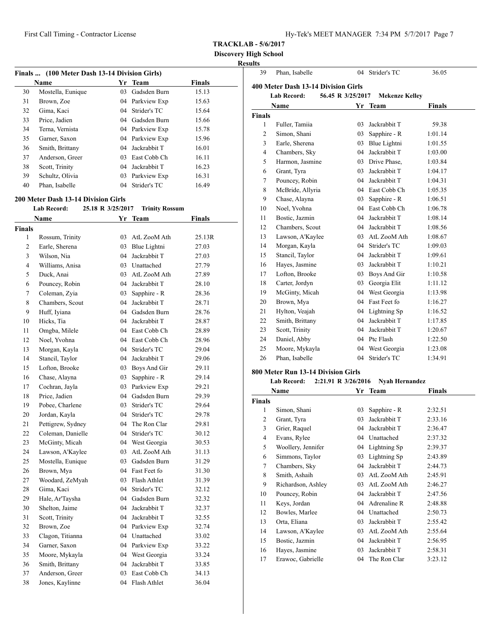**Discovery High School**

# **Results**

| Finals  (100 Meter Dash 13-14 Division Girls) |                                            |                   |                       |        |  |
|-----------------------------------------------|--------------------------------------------|-------------------|-----------------------|--------|--|
|                                               | Name                                       |                   | Yr Team               | Finals |  |
| 30                                            | Mostella, Eunique                          | 03                | Gadsden Burn          | 15.13  |  |
| 31                                            | Brown, Zoe                                 |                   | 04 Parkview Exp       | 15.63  |  |
| 32                                            | Gima, Kaci                                 |                   | 04 Strider's TC       | 15.64  |  |
| 33                                            | Price, Jadien                              |                   | 04 Gadsden Burn       | 15.66  |  |
| 34                                            | Terna, Vernista                            |                   | 04 Parkview Exp       | 15.78  |  |
| 35                                            | Garner, Saxon                              |                   | 04 Parkview Exp       | 15.96  |  |
| 36                                            | Smith, Brittany                            |                   | 04 Jackrabbit T       | 16.01  |  |
| 37                                            | Anderson, Greer                            |                   | 03 East Cobb Ch       | 16.11  |  |
| 38                                            | Scott, Trinity                             |                   | 04 Jackrabbit T       | 16.23  |  |
| 39                                            | Schultz, Olivia                            |                   | 03 Parkview Exp       | 16.31  |  |
| 40                                            | Phan, Isabelle                             | 04                | Strider's TC          | 16.49  |  |
|                                               |                                            |                   |                       |        |  |
|                                               | <b>200 Meter Dash 13-14 Division Girls</b> |                   |                       |        |  |
|                                               | <b>Lab Record:</b>                         | 25.18 R 3/25/2017 | <b>Trinity Rossum</b> |        |  |
|                                               | Name                                       |                   | Yr Team               | Finals |  |
| <b>Finals</b>                                 |                                            |                   |                       |        |  |
| 1                                             | Rossum, Trinity                            |                   | 03 AtL ZooM Ath       | 25.13R |  |
| 2                                             | Earle, Sherena                             |                   | 03 Blue Lightni       | 27.03  |  |
| 3                                             | Wilson, Nia                                |                   | 04 Jackrabbit T       | 27.03  |  |
| 4                                             | Williams, Anisa                            |                   | 03 Unattached         | 27.79  |  |
| 5                                             | Duck, Anai                                 |                   | 03 AtL ZooM Ath       | 27.89  |  |
| 6                                             | Pouncey, Robin                             |                   | 04 Jackrabbit T       | 28.10  |  |
| 7                                             | Coleman, Zyia                              | 03                | Sapphire - R          | 28.36  |  |
| 8                                             | Chambers, Scout                            |                   | 04 Jackrabbit T       | 28.71  |  |
| 9                                             | Huff, Iyiana                               |                   | 04 Gadsden Burn       | 28.76  |  |
| 10                                            | Hicks, Tia                                 |                   | 04 Jackrabbit T       | 28.87  |  |
| 11                                            | Omgba, Milele                              |                   | 04 East Cobb Ch       | 28.89  |  |
| 12                                            | Noel, Yvohna                               |                   | 04 East Cobb Ch       | 28.96  |  |
| 13                                            | Morgan, Kayla                              |                   | 04 Strider's TC       | 29.04  |  |
| 14                                            | Stancil, Taylor                            |                   | 04 Jackrabbit T       | 29.06  |  |
| 15                                            | Lofton, Brooke                             |                   | 03 Boys And Gir       | 29.11  |  |
| 16                                            | Chase, Alayna                              | 03                | Sapphire - R          | 29.14  |  |
| 17                                            | Cochran, Jayla                             |                   | 03 Parkview Exp       | 29.21  |  |
| 18                                            | Price, Jadien                              |                   | 04 Gadsden Burn       | 29.39  |  |
| 19                                            | Pobee, Charlene                            | 03                | Strider's TC          | 29.64  |  |
| 20                                            | Jordan, Kayla                              | 04                | Strider's TC          | 29.78  |  |
| 21                                            | Pettigrew, Sydney                          |                   | 04 The Ron Clar       | 29.81  |  |
| 22                                            | Coleman, Danielle                          | 04                | Strider's TC          | 30.12  |  |
| 23                                            | McGinty, Micah                             | 04                | West Georgia          | 30.53  |  |
| 24                                            | Lawson, A'Kaylee                           | 03                | AtL ZooM Ath          | 31.13  |  |
| 25                                            | Mostella, Eunique                          | 03                | Gadsden Burn          | 31.29  |  |
| 26                                            | Brown, Mya                                 |                   | 04 Fast Feet fo       | 31.30  |  |
| 27                                            | Woodard, ZeMyah                            | 03                | Flash Athlet          | 31.39  |  |
| 28                                            | Gima, Kaci                                 | 04                | Strider's TC          | 32.12  |  |
| 29                                            | Hale, Ar'Taysha                            |                   | 04 Gadsden Burn       | 32.32  |  |
| 30                                            | Shelton, Jaime                             | 04                | Jackrabbit T          | 32.37  |  |
| 31                                            | Scott, Trinity                             | 04                | Jackrabbit T          | 32.55  |  |
| 32                                            | Brown, Zoe                                 |                   | 04 Parkview Exp       | 32.74  |  |
| 33                                            | Clagon, Titianna                           | 04                | Unattached            | 33.02  |  |
| 34                                            | Garner, Saxon                              | 04                | Parkview Exp          | 33.22  |  |
| 35                                            | Moore, Mykayla                             | 04                | West Georgia          | 33.24  |  |
| 36                                            | Smith, Brittany                            | 04                | Jackrabbit T          | 33.85  |  |
| 37                                            | Anderson, Greer                            | 03                | East Cobb Ch          | 34.13  |  |
| 38                                            | Jones, Kaylinne                            | 04                | Flash Athlet          | 36.04  |  |
|                                               |                                            |                   |                       |        |  |

| unts<br>39                                                       | Phan, Isabelle                      | 04 | Strider's TC    | 36.05         |  |  |  |
|------------------------------------------------------------------|-------------------------------------|----|-----------------|---------------|--|--|--|
|                                                                  | 400 Meter Dash 13-14 Division Girls |    |                 |               |  |  |  |
| <b>Lab Record:</b><br>56.45 R 3/25/2017<br><b>Mekenze Kelley</b> |                                     |    |                 |               |  |  |  |
|                                                                  | Name                                | Yr | <b>Team</b>     | <b>Finals</b> |  |  |  |
| <b>Finals</b>                                                    |                                     |    |                 |               |  |  |  |
| 1                                                                | Fuller, Tamiia                      | 03 | Jackrabbit T    | 59.38         |  |  |  |
| $\overline{c}$                                                   | Simon, Shani                        | 03 | Sapphire - R    | 1:01.14       |  |  |  |
| 3                                                                | Earle, Sherena                      | 03 | Blue Lightni    | 1:01.55       |  |  |  |
| $\overline{4}$                                                   | Chambers, Sky                       |    | 04 Jackrabbit T | 1:03.00       |  |  |  |
| 5                                                                | Harmon, Jasmine                     |    | 03 Drive Phase, | 1:03.84       |  |  |  |
| 6                                                                | Grant, Tyra                         | 03 | Jackrabbit T    | 1:04.17       |  |  |  |
| 7                                                                | Pouncey, Robin                      | 04 | Jackrabbit T    | 1:04.31       |  |  |  |
| 8                                                                | McBride, Allyria                    |    | 04 East Cobb Ch | 1:05.35       |  |  |  |
| 9                                                                | Chase, Alayna                       | 03 | Sapphire - R    | 1:06.51       |  |  |  |
| 10                                                               | Noel, Yvohna                        |    | 04 East Cobb Ch | 1:06.78       |  |  |  |
| 11                                                               | Bostic, Jazmin                      |    | 04 Jackrabbit T | 1:08.14       |  |  |  |
| 12                                                               | Chambers, Scout                     |    | 04 Jackrabbit T | 1:08.56       |  |  |  |
| 13                                                               | Lawson, A'Kaylee                    |    | 03 AtL ZooM Ath | 1:08.67       |  |  |  |
| 14                                                               | Morgan, Kayla                       | 04 | Strider's TC    | 1:09.03       |  |  |  |
| 15                                                               | Stancil, Taylor                     | 04 | Jackrabbit T    | 1:09.61       |  |  |  |
| 16                                                               | Hayes, Jasmine                      |    | 03 Jackrabbit T | 1:10.21       |  |  |  |
| 17                                                               | Lofton, Brooke                      | 03 | Boys And Gir    | 1:10.58       |  |  |  |
| 18                                                               | Carter, Jordyn                      | 03 | Georgia Elit    | 1:11.12       |  |  |  |
| 19                                                               | McGinty, Micah                      |    | 04 West Georgia | 1:13.98       |  |  |  |
| 20                                                               | Brown, Mya                          |    | 04 Fast Feet fo | 1:16.27       |  |  |  |
| 21                                                               | Hylton, Veajah                      | 04 | Lightning Sp    | 1:16.52       |  |  |  |
| 22                                                               | Smith, Brittany                     | 04 | Jackrabbit T    | 1:17.85       |  |  |  |
| 23                                                               | Scott, Trinity                      |    | 04 Jackrabbit T | 1:20.67       |  |  |  |
| 24                                                               | Daniel, Abby                        |    | 04 Ptc Flash    | 1:22.50       |  |  |  |
| 25                                                               | Moore, Mykayla                      | 04 | West Georgia    | 1:23.08       |  |  |  |
| 26                                                               | Phan, Isabelle                      | 04 | Strider's TC    | 1:34.91       |  |  |  |
|                                                                  | 1.171                               |    |                 |               |  |  |  |

# **800 Meter Run 13-14 Division Girls**

#### **Lab Record: 2:21.91 R 3/26/2016 Nyah Hernandez**

|        | Name               | Yr | <b>Team</b>  | <b>Finals</b> |
|--------|--------------------|----|--------------|---------------|
| Finals |                    |    |              |               |
| 1      | Simon, Shani       | 03 | Sapphire - R | 2:32.51       |
| 2      | Grant, Tyra        | 03 | Jackrabbit T | 2:33.16       |
| 3      | Grier, Raquel      | 04 | Jackrabbit T | 2:36.47       |
| 4      | Evans, Rylee       | 04 | Unattached   | 2:37.32       |
| 5      | Woollery, Jennifer | 04 | Lightning Sp | 2:39.37       |
| 6      | Simmons, Taylor    | 03 | Lightning Sp | 2:43.89       |
| 7      | Chambers, Sky      | 04 | Jackrabbit T | 2:44.73       |
| 8      | Smith, Ashaih      | 03 | AtL ZooM Ath | 2:45.91       |
| 9      | Richardson, Ashley | 03 | AtL ZooM Ath | 2:46.27       |
| 10     | Pouncey, Robin     | 04 | Jackrabbit T | 2:47.56       |
| 11     | Keys, Jordan       | 04 | Adrenaline R | 2:48.88       |
| 12     | Bowles, Marlee     | 04 | Unattached   | 2:50.73       |
| 13     | Orta, Eliana       | 03 | Jackrabbit T | 2:55.42       |
| 14     | Lawson, A'Kaylee   | 03 | AtL ZooM Ath | 2:55.64       |
| 15     | Bostic, Jazmin     | 04 | Jackrabbit T | 2:56.95       |
| 16     | Hayes, Jasmine     | 03 | Jackrabbit T | 2:58.31       |
| 17     | Erawoc, Gabrielle  | 04 | The Ron Clar | 3:23.12       |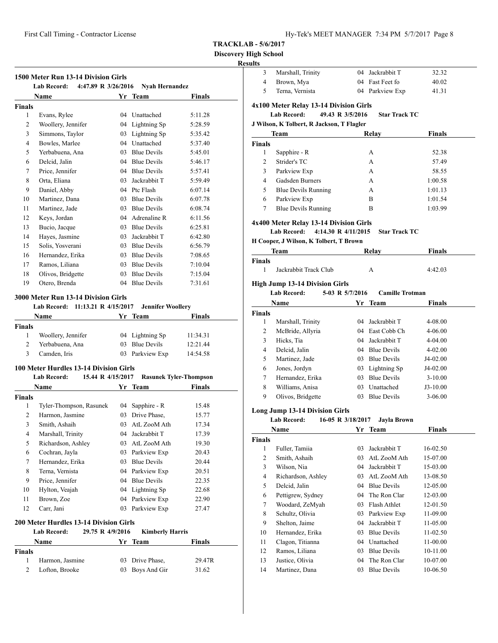**1500 Meter Run 13-14 Division Girls**

#### **TRACKLAB - 5/6/2017**

# **Discovery High School**

# **Results**

| Marshall, Trinity | 04 Jackrabbit T | 32.32 |
|-------------------|-----------------|-------|
| 4 Brown, Mya      | 04 Fast Feet fo | 40.02 |
| Terna, Vernista   | 04 Parkview Exp | 41.31 |

# **4x100 Meter Relay 13-14 Division Girls**

# **Lab Record: 49.43 R 3/5/2016 Star Track TC**

#### **J Wilson, K Tolbert, R Jackson, T Flagler**

| Team                            |                                           |                 | Relay                  | <b>Finals</b> |  |
|---------------------------------|-------------------------------------------|-----------------|------------------------|---------------|--|
| <b>Finals</b>                   |                                           |                 |                        |               |  |
| 1                               | Sapphire - R                              |                 | А                      | 52.38         |  |
| 2                               | Strider's TC                              |                 | А                      | 57.49         |  |
| 3                               | Parkview Exp                              |                 | А                      | 58.55         |  |
| 4                               | Gadsden Burners                           |                 | А                      | 1:00.58       |  |
| 5                               | <b>Blue Devils Running</b>                |                 | A                      | 1:01.13       |  |
| 6                               | Parkview Exp                              |                 | B                      | 1:01.54       |  |
| <b>Blue Devils Running</b><br>7 |                                           |                 | B                      | 1:03.99       |  |
|                                 | 4x400 Meter Relay 13-14 Division Girls    |                 |                        |               |  |
|                                 | <b>Lab Record:</b><br>4:14.30 R 4/11/2015 |                 | <b>Star Track TC</b>   |               |  |
|                                 | H Cooper, J Wilson, K Tolbert, T Brown    |                 |                        |               |  |
|                                 | Team                                      |                 | Relay                  | <b>Finals</b> |  |
| Finals                          |                                           |                 |                        |               |  |
| 1                               | Jackrabbit Track Club                     |                 | A                      | 4:42.03       |  |
|                                 | <b>High Jump 13-14 Division Girls</b>     |                 |                        |               |  |
|                                 | Lab Record:                               | 5-03 R 5/7/2016 | <b>Camille Trotman</b> |               |  |
|                                 | Name                                      |                 | Yr Team                | Finals        |  |
| Finals                          |                                           |                 |                        |               |  |
| 1                               | Marshall, Trinity                         | 04              | Jackrabbit T           | 4-08.00       |  |
| 2                               | McBride, Allyria                          |                 | 04 East Cobb Ch        | 4-06.00       |  |
| 3                               | Hicks, Tia                                | 04              | Jackrabbit T           | 4-04.00       |  |
| 4                               | Delcid, Jalin                             |                 | 04 Blue Devils         | 4-02.00       |  |
| 5                               | Martinez, Jade                            |                 | 03 Blue Devils         | J4-02.00      |  |
| 6                               | Jones, Jordyn                             |                 | 03 Lightning Sp        | J4-02.00      |  |
| 7                               | Hernandez, Erika                          |                 | 03 Blue Devils         | $3-10.00$     |  |
| 8                               | Williams, Anisa                           | 03              | Unattached             | $J3-10.00$    |  |
| 9                               | Olivos, Bridgette                         |                 | 03 Blue Devils         | $3 - 06.00$   |  |
|                                 | <b>Long Jump 13-14 Division Girls</b>     |                 |                        |               |  |
|                                 | 16-05 R 3/18/2017<br><b>Lab Record:</b>   |                 | <b>Jayla Brown</b>     |               |  |
|                                 | Name                                      |                 | Yr Team                | Finals        |  |
| Finals                          |                                           |                 |                        |               |  |
| 1                               | Fuller, Tamiia                            | 03              | Jackrabbit T           | 16-02.50      |  |
| 2                               | Smith, Ashaih                             | 03              | AtL ZooM Ath           | 15-07.00      |  |
| 3                               | Wilson, Nia                               | 04              | Jackrabbit T           | 15-03.00      |  |
| 4                               | Richardson, Ashley                        |                 | 03 AtL ZooM Ath        | 13-08.50      |  |
| 5                               | Delcid, Jalin                             |                 | 04 Blue Devils         | 12-05.00      |  |
| 6                               | Pettigrew, Sydney                         |                 | 04 The Ron Clar        | 12-03.00      |  |
| 7                               | Woodard, ZeMyah                           | 03              | Flash Athlet           | 12-01.50      |  |
| 8                               | Schultz, Olivia                           | 03              | Parkview Exp           | 11-09.00      |  |
| 9                               | Shelton, Jaime                            | 04              | Jackrabbit T           | 11-05.00      |  |
| 10                              | Hernandez, Erika                          | 03              | <b>Blue Devils</b>     | 11-02.50      |  |
| 11                              | Clagon, Titianna                          | 04              | Unattached             | 11-00.00      |  |
| 12                              | Ramos, Liliana                            | 03              | <b>Blue Devils</b>     | 10-11.00      |  |
| 13                              | Justice, Olivia                           | 04              | The Ron Clar           | 10-07.00      |  |
| 14                              | Martinez, Dana                            |                 | 03 Blue Devils         | 10-06.50      |  |

|                | Lab Record:        | 4:47.89 R 3/26/2016 | <b>Nyah Hernandez</b> |         |
|----------------|--------------------|---------------------|-----------------------|---------|
|                | <b>Name</b>        |                     | Yr Team               | Finals  |
| <b>Finals</b>  |                    |                     |                       |         |
| 1              | Evans, Rylee       | 04                  | Unattached            | 5:11.28 |
| $\overline{2}$ | Woollery, Jennifer | 04                  | Lightning Sp          | 5:28.59 |
| 3              | Simmons, Taylor    | 03                  | Lightning Sp          | 5:35.42 |
| 4              | Bowles, Marlee     | 04                  | Unattached            | 5:37.40 |
| 5              | Yerbabuena, Ana    | 03                  | <b>Blue Devils</b>    | 5:45.01 |
| 6              | Delcid, Jalin      | 04                  | <b>Blue Devils</b>    | 5:46.17 |
| 7              | Price, Jennifer    | 04                  | <b>Blue Devils</b>    | 5:57.41 |
| 8              | Orta, Eliana       | 03                  | Jackrabbit T          | 5:59.49 |
| 9              | Daniel, Abby       | 04                  | Ptc Flash             | 6:07.14 |
| 10             | Martinez, Dana     | 03                  | <b>Blue Devils</b>    | 6:07.78 |
| 11             | Martinez, Jade     | 03                  | <b>Blue Devils</b>    | 6:08.74 |
| 12             | Keys, Jordan       | 04                  | Adrenaline R          | 6:11.56 |
| 13             | Bucio, Jacque      | 03                  | <b>Blue Devils</b>    | 6:25.81 |
| 14             | Hayes, Jasmine     | 03                  | Jackrabbit T          | 6:42.80 |
| 15             | Solis, Yosverani   | 03                  | <b>Blue Devils</b>    | 6:56.79 |
| 16             | Hernandez, Erika   | 03                  | <b>Blue Devils</b>    | 7:08.65 |
| 17             | Ramos, Liliana     | 03                  | <b>Blue Devils</b>    | 7:10.04 |
| 18             | Olivos, Bridgette  | 03                  | <b>Blue Devils</b>    | 7:15.04 |
| 19             | Otero, Brenda      | 04                  | <b>Blue Devils</b>    | 7:31.61 |

#### **3000 Meter Run 13-14 Division Girls**

#### **Lab Record: 11:13.21 R 4/15/2017 Jennifer Woollery**

|        | Name               | Yr Team         | <b>Finals</b> |  |
|--------|--------------------|-----------------|---------------|--|
| Finals |                    |                 |               |  |
|        | Woollery, Jennifer | 04 Lightning Sp | 11:34.31      |  |
|        | Yerbabuena, Ana    | 03 Blue Devils  | 12:21.44      |  |
| 3      | Camden, Iris       | 03 Parkview Exp | 14:54.58      |  |

#### **100 Meter Hurdles 13-14 Division Girls**

|               | <b>Lab Record:</b><br>15.44 R 4/15/2017       |    | <b>Rasunek Tyler-Thompson</b> |        |
|---------------|-----------------------------------------------|----|-------------------------------|--------|
|               | Name                                          |    | Yr Team                       | Finals |
| <b>Finals</b> |                                               |    |                               |        |
| 1             | Tyler-Thompson, Rasunek                       | 04 | Sapphire - R                  | 15.48  |
| 2             | Harmon, Jasmine                               | 03 | Drive Phase,                  | 15.77  |
| 3             | Smith, Ashaih                                 | 03 | AtL ZooM Ath                  | 17.34  |
| 4             | Marshall, Trinity                             | 04 | Jackrabbit T                  | 17.39  |
| 5             | Richardson, Ashley                            | 03 | AtL ZooM Ath                  | 19.30  |
| 6             | Cochran, Jayla                                | 03 | Parkview Exp                  | 20.43  |
| 7             | Hernandez, Erika                              | 03 | <b>Blue Devils</b>            | 20.44  |
| 8             | Terna, Vernista                               | 04 | Parkview Exp                  | 20.51  |
| 9             | Price, Jennifer                               | 04 | <b>Blue Devils</b>            | 22.35  |
| 10            | Hylton, Veajah                                | 04 | Lightning Sp                  | 22.68  |
| 11            | Brown, Zoe                                    | 04 | Parkview Exp                  | 22.90  |
| 12            | Carr, Jani                                    | 03 | Parkview Exp                  | 27.47  |
|               | <b>200 Meter Hurdles 13-14 Division Girls</b> |    |                               |        |
|               | <b>Lab Record:</b><br>29.75 R 4/9/2016        |    | <b>Kimberly Harris</b>        |        |
|               | Name                                          | Yr | <b>Team</b>                   | Finals |
| Finals        |                                               |    |                               |        |

 Harmon, Jasmine 03 Drive Phase, 29.47R Lofton, Brooke 03 Boys And Gir 31.62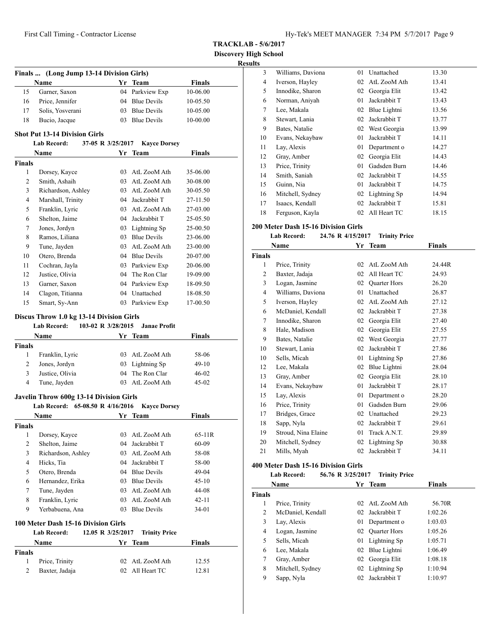**TRACKLAB - 5/6/2017**

**Discovery High School**

**Results**

|                                   | Finals  (Long Jump 13-14 Division Girls) |                    |                                    |                |
|-----------------------------------|------------------------------------------|--------------------|------------------------------------|----------------|
|                                   | Name                                     |                    | Yr Team                            | <b>Finals</b>  |
| 15                                | Garner, Saxon                            |                    | 04 Parkview Exp<br>04 Blue Devils  | 10-06.00       |
| 16                                | Price, Jennifer                          |                    |                                    | 10-05.50       |
| 17                                | Solis, Yosverani                         |                    | 03 Blue Devils                     | 10-05.00       |
| 18                                | Bucio, Jacque                            |                    | 03 Blue Devils                     | 10-00.00       |
|                                   | <b>Shot Put 13-14 Division Girls</b>     |                    |                                    |                |
|                                   | Lab Record:                              | 37-05 R 3/25/2017  | <b>Kayce Dorsey</b>                |                |
|                                   | Name                                     |                    | Yr Team                            | Finals         |
| <b>Finals</b>                     |                                          |                    |                                    |                |
| 1                                 | Dorsey, Kayce                            |                    | 03 AtL ZooM Ath                    | 35-06.00       |
| 2                                 | Smith, Ashaih                            |                    | 03 AtL ZooM Ath                    | 30-08.00       |
| 3                                 | Richardson, Ashley                       |                    | 03 AtL ZooM Ath                    | 30-05.50       |
| 4                                 | Marshall, Trinity                        |                    | 04 Jackrabbit T                    | 27-11.50       |
| 5                                 | Franklin, Lyric                          |                    | 03 AtL ZooM Ath                    | 27-03.00       |
| 6                                 | Shelton, Jaime                           |                    | 04 Jackrabbit T                    | 25-05.50       |
| 7                                 | Jones, Jordyn                            |                    | 03 Lightning Sp                    | 25-00.50       |
| 8                                 | Ramos, Liliana                           |                    | 03 Blue Devils                     | 23-06.00       |
| 9                                 | Tune, Jayden                             |                    | 03 AtL ZooM Ath                    | 23-00.00       |
| 10                                | Otero, Brenda                            |                    | 04 Blue Devils                     | 20-07.00       |
| 11                                | Cochran, Jayla                           |                    | 03 Parkview Exp                    | 20-06.00       |
| 12                                | Justice, Olivia                          |                    | 04 The Ron Clar                    | 19-09.00       |
| 13                                | Garner, Saxon                            |                    | 04 Parkview Exp                    | 18-09.50       |
| 14                                | Clagon, Titianna                         |                    | 04 Unattached                      | 18-08.50       |
| 15                                | Smart, Sy-Ann                            |                    | 03 Parkview Exp                    | 17-00.50       |
|                                   |                                          |                    |                                    |                |
|                                   | Discus Throw 1.0 kg 13-14 Division Girls |                    |                                    |                |
|                                   | <b>Lab Record:</b>                       | 103-02 R 3/28/2015 | <b>Janae Profit</b>                |                |
|                                   | Name                                     |                    | Yr Team                            | <b>Finals</b>  |
|                                   |                                          |                    |                                    |                |
|                                   |                                          |                    |                                    |                |
| 1                                 | Franklin, Lyric                          |                    | 03 AtL ZooM Ath                    | 58-06          |
| 2                                 | Jones, Jordyn                            |                    | 03 Lightning Sp                    | 49-10          |
| 3                                 | Justice, Olivia                          |                    | 04 The Ron Clar                    | 46-02          |
| $\overline{4}$                    | Tune, Jayden                             |                    | 03 AtL ZooM Ath                    | $45-02$        |
|                                   | Javelin Throw 600g 13-14 Division Girls  |                    |                                    |                |
|                                   | Lab Record: 65-08.50 R 4/16/2016         |                    | <b>Kayce Dorsey</b>                |                |
|                                   | Name                                     |                    | Yr Team                            | Finals         |
|                                   |                                          |                    |                                    |                |
| 1                                 | Dorsey, Kayce                            | 03                 | AtL ZooM Ath                       | 65-11R         |
| 2                                 | Shelton, Jaime                           | 04                 | Jackrabbit T                       | 60-09          |
| 3                                 | Richardson, Ashley                       | 03                 | AtL ZooM Ath                       | 58-08          |
| 4                                 | Hicks, Tia                               |                    | 04 Jackrabbit T                    | 58-00          |
| 5                                 | Otero, Brenda                            |                    | 04 Blue Devils                     | 49-04          |
|                                   |                                          |                    |                                    |                |
| 6                                 | Hernandez, Erika                         |                    | 03 Blue Devils                     | $45-10$        |
| 7                                 | Tune, Jayden                             | 03                 | AtL ZooM Ath                       | 44-08          |
| 8                                 | Franklin, Lyric                          | 03                 | AtL ZooM Ath                       | 42-11          |
| 9                                 | Yerbabuena, Ana                          | 03                 | <b>Blue Devils</b>                 | 34-01          |
|                                   | 100 Meter Dash 15-16 Division Girls      |                    |                                    |                |
|                                   | Lab Record:                              | 12.05 R 3/25/2017  | <b>Trinity Price</b>               |                |
|                                   | Name                                     |                    | Yr Team                            | <b>Finals</b>  |
| <b>Finals</b><br>Finals<br>Finals |                                          |                    |                                    |                |
| 1<br>2                            | Price, Trinity<br>Baxter, Jadaja         |                    | 02 AtL ZooM Ath<br>02 All Heart TC | 12.55<br>12.81 |

| s  |                   |    |                 |       |
|----|-------------------|----|-----------------|-------|
| 3  | Williams, Daviona | 01 | Unattached      | 13.30 |
| 4  | Iverson, Hayley   | 02 | AtL ZooM Ath    | 13.41 |
| 5  | Innodike, Sharon  | 02 | Georgia Elit    | 13.42 |
| 6  | Norman, Aniyah    | 01 | Jackrabbit T    | 13.43 |
| 7  | Lee, Makala       | 02 | Blue Lightni    | 13.56 |
| 8  | Stewart, Lania    | 02 | Jackrabbit T    | 13.77 |
| 9  | Bates, Natalie    | 02 | West Georgia    | 13.99 |
| 10 | Evans, Nekaybaw   | 01 | Jackrabbit T    | 14.11 |
| 11 | Lay, Alexis       | 01 | Department o    | 14.27 |
| 12 | Gray, Amber       | 02 | Georgia Elit    | 14.43 |
| 13 | Price, Trinity    | 01 | Gadsden Burn    | 14.46 |
| 14 | Smith, Saniah     | 02 | Jackrabbit T    | 14.55 |
| 15 | Guinn, Nia        | 01 | Jackrabbit T    | 14.75 |
| 16 | Mitchell, Sydney  |    | 02 Lightning Sp | 14.94 |
| 17 | Isaacs, Kendall   | 02 | Jackrabbit T    | 15.81 |
| 18 | Ferguson, Kayla   | 02 | All Heart TC    | 18.15 |
|    |                   |    |                 |       |

# **200 Meter Dash 15-16 Division Girls**

#### **Lab Record: 24.76 R 4/15/2017 Trinity Price**

|                | Name                | Yr              | Team         | <b>Finals</b> |  |
|----------------|---------------------|-----------------|--------------|---------------|--|
| Finals         |                     |                 |              |               |  |
| 1              | Price, Trinity      | 02 <sup>2</sup> | AtL ZooM Ath | 24.44R        |  |
| $\overline{c}$ | Baxter, Jadaja      | 02              | All Heart TC | 24.93         |  |
| 3              | Logan, Jasmine      | 02              | Quarter Hors | 26.20         |  |
| $\overline{4}$ | Williams, Daviona   | 01              | Unattached   | 26.87         |  |
| 5              | Iverson, Hayley     | 02              | AtL ZooM Ath | 27.12         |  |
| 6              | McDaniel, Kendall   | 02              | Jackrabbit T | 27.38         |  |
| 7              | Innodike, Sharon    | 02              | Georgia Elit | 27.40         |  |
| 8              | Hale, Madison       | 02              | Georgia Elit | 27.55         |  |
| 9              | Bates, Natalie      | 02              | West Georgia | 27.77         |  |
| 10             | Stewart, Lania      | 02              | Jackrabbit T | 27.86         |  |
| 10             | Sells, Micah        | 01              | Lightning Sp | 27.86         |  |
| 12             | Lee, Makala         | 02              | Blue Lightni | 28.04         |  |
| 13             | Gray, Amber         | 02              | Georgia Elit | 28.10         |  |
| 14             | Evans, Nekaybaw     | 01              | Jackrabbit T | 28.17         |  |
| 15             | Lay, Alexis         | 01              | Department o | 28.20         |  |
| 16             | Price, Trinity      | 01              | Gadsden Burn | 29.06         |  |
| 17             | Bridges, Grace      | 02              | Unattached   | 29.23         |  |
| 18             | Sapp, Nyla          | 02              | Jackrabbit T | 29.61         |  |
| 19             | Stroud, Nina Elaine | 01              | Track A.N.T. | 29.89         |  |
| 20             | Mitchell, Sydney    | 02              | Lightning Sp | 30.88         |  |
| 21             | Mills, Myah         | 02              | Jackrabbit T | 34.11         |  |
|                |                     |                 |              |               |  |

# **400 Meter Dash 15-16 Division Girls**

# **Lab Record: 56.76 R 3/25/2017 Trinity Price**

|        | Name              | Yr | <b>Team</b>     | Finals  |  |
|--------|-------------------|----|-----------------|---------|--|
| Finals |                   |    |                 |         |  |
| 1      | Price, Trinity    |    | 02 AtL ZooM Ath | 56.70R  |  |
| 2      | McDaniel, Kendall |    | 02 Jackrabbit T | 1:02.26 |  |
| 3      | Lay, Alexis       | 01 | Department o    | 1:03.03 |  |
| 4      | Logan, Jasmine    |    | 02 Ouarter Hors | 1:05.26 |  |
| 5      | Sells, Micah      |    | 01 Lightning Sp | 1:05.71 |  |
| 6      | Lee, Makala       |    | 02 Blue Lightni | 1:06.49 |  |
| 7      | Gray, Amber       |    | 02 Georgia Elit | 1:08.18 |  |
| 8      | Mitchell, Sydney  |    | 02 Lightning Sp | 1:10.94 |  |
| 9      | Sapp, Nyla        |    | 02 Jackrabbit T | 1:10.97 |  |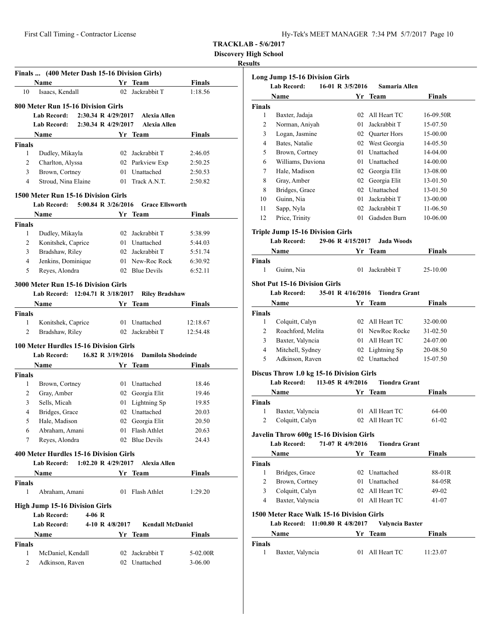**Discovery High School**

#### **Results**

|               | Finals  (400 Meter Dash 15-16 Division Girls) |    |                                  |             |
|---------------|-----------------------------------------------|----|----------------------------------|-------------|
|               | Name                                          |    | Yr Team                          | Finals      |
| 10            | Isaacs, Kendall                               | 02 | Jackrabbit T                     | 1:18.56     |
|               | 800 Meter Run 15-16 Division Girls            |    |                                  |             |
|               | <b>Lab Record:</b><br>2:30.34 R 4/29/2017     |    | <b>Alexia Allen</b>              |             |
|               | 2:30.34 R 4/29/2017<br><b>Lab Record:</b>     |    | <b>Alexia Allen</b>              |             |
|               | Name                                          |    | Yr Team                          | Finals      |
| <b>Finals</b> |                                               |    |                                  |             |
| 1             | Dudley, Mikayla                               |    | 02 Jackrabbit T                  | 2:46.05     |
| 2             | Charlton, Alyssa                              |    | 02 Parkview Exp                  | 2:50.25     |
| 3             | Brown, Cortney                                |    | 01 Unattached                    | 2:50.53     |
| 4             | Stroud, Nina Elaine                           |    | 01 Track A.N.T.                  | 2:50.82     |
|               |                                               |    |                                  |             |
|               | 1500 Meter Run 15-16 Division Girls           |    |                                  |             |
|               | <b>Lab Record:</b><br>5:00.84 R 3/26/2016     |    | <b>Grace Ellsworth</b>           |             |
|               | Name                                          |    | Yr Team                          | Finals      |
| <b>Finals</b> |                                               |    |                                  |             |
| 1             | Dudley, Mikayla                               |    | 02 Jackrabbit T                  | 5:38.99     |
| 2             | Konitshek, Caprice                            |    | 01 Unattached                    | 5:44.03     |
| 3             | Bradshaw, Riley                               |    | 02 Jackrabbit T                  | 5:51.74     |
| 4             | Jenkins, Dominique                            |    | 01 New-Roc Rock                  | 6:30.92     |
| 5             | Reyes, Alondra                                |    | 02 Blue Devils                   | 6:52.11     |
|               | 3000 Meter Run 15-16 Division Girls           |    |                                  |             |
|               | Lab Record: 12:04.71 R 3/18/2017              |    | <b>Riley Bradshaw</b>            |             |
|               | <b>Name</b>                                   |    | Yr Team                          | Finals      |
| <b>Finals</b> |                                               |    |                                  |             |
| 1             | Konitshek, Caprice                            |    | 01 Unattached                    | 12:18.67    |
| 2             | Bradshaw, Riley                               |    | 02 Jackrabbit T                  | 12:54.48    |
|               |                                               |    |                                  |             |
|               | <b>100 Meter Hurdles 15-16 Division Girls</b> |    |                                  |             |
|               | 16.82 R 3/19/2016<br><b>Lab Record:</b>       |    | Damilola Shodeinde               |             |
|               | Name                                          |    | Yr Team                          | Finals      |
| <b>Finals</b> |                                               |    |                                  |             |
| 1             | Brown, Cortney                                |    | 01 Unattached                    | 18.46       |
| 2             | Gray, Amber                                   |    | 02 Georgia Elit                  | 19.46       |
| 3             | Sells, Micah                                  |    | 01 Lightning Sp                  | 19.85       |
| 4             | Bridges, Grace                                |    | 02 Unattached                    | 20.03       |
| 5             | Hale, Madison                                 |    | 02 Georgia Elit                  | 20.50       |
| 6             | Abraham, Amani                                |    | 01 Flash Athlet                  | 20.63       |
| 7             | Reyes, Alondra                                |    | 02 Blue Devils                   | 24.43       |
|               | 400 Meter Hurdles 15-16 Division Girls        |    |                                  |             |
|               | <b>Lab Record:</b>                            |    | 1:02.20 R 4/29/2017 Alexia Allen |             |
|               | Name                                          |    | Yr Team                          | Finals      |
| <b>Finals</b> |                                               |    |                                  |             |
| 1             | Abraham, Amani                                |    | 01 Flash Athlet                  | 1:29.20     |
|               | <b>High Jump 15-16 Division Girls</b>         |    |                                  |             |
|               | <b>Lab Record:</b><br>$4-06$ R                |    |                                  |             |
|               | <b>Lab Record:</b><br>4-10 R 4/8/2017         |    | <b>Kendall McDaniel</b>          |             |
|               | Name                                          |    | Yr Team                          | Finals      |
| <b>Finals</b> |                                               |    |                                  |             |
| 1             | McDaniel, Kendall                             |    | 02 Jackrabbit T                  | 5-02.00R    |
| 2             | Adkinson, Raven                               |    | 02 Unattached                    | $3 - 06.00$ |
|               |                                               |    |                                  |             |

|                    | <b>Long Jump 15-16 Division Girls</b><br><b>Lab Record:</b> | 16-01 R 3/5/2016  |    | Samaria Allen        |               |
|--------------------|-------------------------------------------------------------|-------------------|----|----------------------|---------------|
|                    |                                                             |                   |    |                      |               |
|                    | Name                                                        |                   |    | Yr Team              | Finals        |
| <b>Finals</b><br>1 | Baxter, Jadaja                                              |                   |    | 02 All Heart TC      | 16-09.50R     |
| 2                  | Norman, Aniyah                                              |                   |    | 01 Jackrabbit T      | 15-07.50      |
| 3                  | Logan, Jasmine                                              |                   |    | 02 Quarter Hors      | 15-00.00      |
| 4                  | Bates, Natalie                                              |                   |    | 02 West Georgia      | 14-05.50      |
| 5                  | Brown, Cortney                                              |                   |    | 01 Unattached        | 14-04.00      |
| 6                  | Williams, Daviona                                           |                   |    | 01 Unattached        | 14-00.00      |
| 7                  | Hale, Madison                                               |                   |    | 02 Georgia Elit      | 13-08.00      |
| 8                  | Gray, Amber                                                 |                   |    | 02 Georgia Elit      | 13-01.50      |
| 8                  | Bridges, Grace                                              |                   |    | 02 Unattached        | 13-01.50      |
| 10                 | Guinn, Nia                                                  |                   |    | 01 Jackrabbit T      | 13-00.00      |
| 11                 | Sapp, Nyla                                                  |                   |    | 02 Jackrabbit T      | 11-06.50      |
| 12                 |                                                             |                   |    | 01 Gadsden Burn      | 10-06.00      |
|                    | Price, Trinity                                              |                   |    |                      |               |
|                    | <b>Triple Jump 15-16 Division Girls</b>                     |                   |    |                      |               |
|                    | <b>Lab Record:</b>                                          | 29-06 R 4/15/2017 |    | <b>Jada Woods</b>    |               |
|                    | Name                                                        |                   |    | Yr Team              | <b>Finals</b> |
| <b>Finals</b>      |                                                             |                   |    |                      |               |
| 1                  | Guinn, Nia                                                  |                   | 01 | Jackrabbit T         | 25-10.00      |
|                    | <b>Shot Put 15-16 Division Girls</b>                        |                   |    |                      |               |
|                    | <b>Lab Record:</b>                                          | 35-01 R 4/16/2016 |    | <b>Tiondra Grant</b> |               |
|                    | Name                                                        |                   |    | Yr Team              | Finals        |
| <b>Finals</b>      |                                                             |                   |    |                      |               |
| 1                  | Colquitt, Calyn                                             |                   |    | 02 All Heart TC      | 32-00.00      |
| 2                  | Roachford, Melita                                           |                   |    | 01 NewRoc Rocke      | 31-02.50      |
| 3                  | Baxter, Valyncia                                            |                   |    | 01 All Heart TC      | 24-07.00      |
| 4                  | Mitchell, Sydney                                            |                   |    | 02 Lightning Sp      | 20-08.50      |
| 5                  | Adkinson, Raven                                             |                   |    | 02 Unattached        | 15-07.50      |
|                    |                                                             |                   |    |                      |               |
|                    | Discus Throw 1.0 kg 15-16 Division Girls<br>Lab Record:     | 113-05 R 4/9/2016 |    | <b>Tiondra Grant</b> |               |
|                    | Name                                                        |                   |    | Yr Team              | Finals        |
|                    |                                                             |                   |    |                      |               |
| <b>Finals</b><br>1 | Baxter, Valyncia                                            |                   |    | 01 All Heart TC      | 64-00         |
| $\overline{2}$     | Colquitt, Calyn                                             |                   |    | 02 All Heart TC      | 61-02         |
|                    |                                                             |                   |    |                      |               |
|                    | Javelin Throw 600g 15-16 Division Girls                     |                   |    |                      |               |
|                    | <b>Lab Record:</b>                                          | 71-07 R 4/9/2016  |    | <b>Tiondra Grant</b> |               |
|                    | Name                                                        |                   |    | Yr Team              | <b>Finals</b> |
| <b>Finals</b>      |                                                             |                   |    |                      |               |
| 1                  | Bridges, Grace                                              |                   |    | 02 Unattached        | 88-01R        |
| 2                  | Brown, Cortney                                              |                   |    | 01 Unattached        | 84-05R        |
| 3                  | Colquitt, Calyn                                             |                   |    | 02 All Heart TC      | 49-02         |
| 4                  | Baxter, Valyncia                                            |                   |    | 01 All Heart TC      | 41-07         |
|                    | 1500 Meter Race Walk 15-16 Division Girls                   |                   |    |                      |               |
|                    | Lab Record: 11:00.80 R 4/8/2017                             |                   |    | Valyncia Baxter      |               |
|                    | Name                                                        |                   |    | Yr Team              | Finals        |
| <b>Finals</b><br>1 | Baxter, Valyncia                                            |                   |    | 01 All Heart TC      | 11:23.07      |
|                    |                                                             |                   |    |                      |               |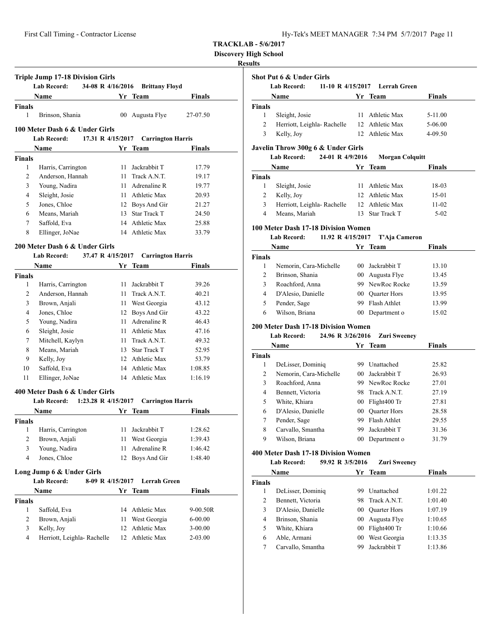| Hy-Tek's MEET MANAGER 7:34 PM 5/7/2017 Page 11 |  |  |  |
|------------------------------------------------|--|--|--|
|------------------------------------------------|--|--|--|

**Discovery High School**

# **Results**

|               | <b>Triple Jump 17-18 Division Girls</b><br><b>Lab Record:</b>     | 34-08 R 4/16/2016 | <b>Brittany Floyd</b>    |               |
|---------------|-------------------------------------------------------------------|-------------------|--------------------------|---------------|
|               | Name                                                              |                   | Yr Team                  | Finals        |
| <b>Finals</b> |                                                                   |                   |                          |               |
| 1             | Brinson, Shania                                                   |                   | 00 Augusta Flye          | 27-07.50      |
|               | 100 Meter Dash 6 & Under Girls                                    |                   |                          |               |
|               | <b>Lab Record:</b>                                                | 17.31 R 4/15/2017 | <b>Carrington Harris</b> |               |
|               | <b>Name</b>                                                       |                   | Yr Team                  | <b>Finals</b> |
| <b>Finals</b> |                                                                   |                   |                          |               |
| 1             | Harris, Carrington                                                | 11                | Jackrabbit T             | 17.79         |
| 2             | Anderson, Hannah                                                  |                   | 11 Track A.N.T.          | 19.17         |
| 3             | Young, Nadira                                                     |                   | 11 Adrenaline R          | 19.77         |
| 4             | Sleight, Josie                                                    |                   | 11 Athletic Max          | 20.93         |
| 5             | Jones, Chloe                                                      |                   | 12 Boys And Gir          | 21.27         |
| 6             | Means, Mariah                                                     |                   | 13 Star Track T          | 24.50         |
| 7             | Saffold, Eva                                                      |                   | 14 Athletic Max          | 25.88         |
| 8             | Ellinger, JoNae                                                   |                   | 14 Athletic Max          | 33.79         |
|               | 200 Meter Dash 6 & Under Girls                                    |                   |                          |               |
|               | <b>Lab Record:</b>                                                | 37.47 R 4/15/2017 | <b>Carrington Harris</b> |               |
|               | <b>Name</b>                                                       |                   | Yr Team                  | Finals        |
| <b>Finals</b> |                                                                   |                   |                          |               |
| 1             | Harris, Carrington                                                | 11                | Jackrabbit T             | 39.26         |
| 2             | Anderson, Hannah                                                  |                   | 11 Track A.N.T.          | 40.21         |
| 3             | Brown, Anjali                                                     |                   | 11 West Georgia          | 43.12         |
| 4             | Jones, Chloe                                                      |                   | 12 Boys And Gir          | 43.22         |
| 5             | Young, Nadira                                                     |                   | 11 Adrenaline R          | 46.43         |
| 6             | Sleight, Josie                                                    |                   | 11 Athletic Max          | 47.16         |
| 7             | Mitchell, Kaylyn                                                  |                   | 11 Track A.N.T.          | 49.32         |
| 8             | Means, Mariah                                                     |                   | 13 Star Track T          | 52.95         |
| 9             | Kelly, Joy                                                        |                   | 12 Athletic Max          | 53.79         |
| 10            | Saffold, Eva                                                      |                   | 14 Athletic Max          | 1:08.85       |
| 11            | Ellinger, JoNae                                                   |                   | 14 Athletic Max          | 1:16.19       |
|               |                                                                   |                   |                          |               |
|               | 400 Meter Dash 6 & Under Girls<br>Lab Record: 1:23.28 R 4/15/2017 |                   | <b>Carrington Harris</b> |               |
|               | Name                                                              |                   | Yr Team                  | Finals        |
| <b>Finals</b> |                                                                   |                   |                          |               |
|               | 1 Harris, Carrington                                              |                   | 11 Jackrabbit T          | 1:28.62       |
| 2             | Brown, Anjali                                                     |                   | 11 West Georgia          | 1:39.43       |
| 3             | Young, Nadira                                                     | 11                | Adrenaline R             | 1:46.42       |
| 4             | Jones, Chloe                                                      | 12                | <b>Boys And Gir</b>      | 1:48.40       |
|               |                                                                   |                   |                          |               |
|               | Long Jump 6 & Under Girls<br>Lab Record:                          | 8-09 R 4/15/2017  | Lerrah Green             |               |
|               | Name                                                              |                   | Yr Team                  | Finals        |
| Finals        |                                                                   |                   |                          |               |
| 1             | Saffold, Eva                                                      | 14                | Athletic Max             | 9-00.50R      |
| 2             | Brown, Anjali                                                     | 11                | West Georgia             | $6 - 00.00$   |
| 3             | Kelly, Joy                                                        | 12                | Athletic Max             | $3 - 00.00$   |

4 Herriott, Leighla- Rachelle 12 Athletic Max 2-03.00

|                | Shot Put 6 & Under Girls                   |                 |                                |               |
|----------------|--------------------------------------------|-----------------|--------------------------------|---------------|
|                | <b>Lab Record:</b>                         |                 | 11-10 R 4/15/2017 Lerrah Green |               |
|                | Name                                       |                 | Yr Team                        | Finals        |
| <b>Finals</b>  |                                            |                 |                                |               |
| 1              | Sleight, Josie                             |                 | 11 Athletic Max                | 5-11.00       |
| 2              | Herriott, Leighla- Rachelle                |                 | 12 Athletic Max                | 5-06.00       |
| 3              | Kelly, Joy                                 |                 | 12 Athletic Max                | 4-09.50       |
|                | Javelin Throw 300g 6 & Under Girls         |                 |                                |               |
|                | <b>Lab Record:</b><br>24-01 R 4/9/2016     |                 | <b>Morgan Colquitt</b>         |               |
|                | Name                                       | Yr              | <b>Team</b>                    | <b>Finals</b> |
| <b>Finals</b>  |                                            |                 |                                |               |
| 1              | Sleight, Josie                             |                 | 11 Athletic Max                | 18-03         |
| 2              | Kelly, Joy                                 |                 | 12 Athletic Max                | 15-01         |
| 3              | Herriott, Leighla- Rachelle                |                 | 12 Athletic Max                | 11-02         |
| 4              | Means, Mariah                              |                 | 13 Star Track T                | $5 - 02$      |
|                | 100 Meter Dash 17-18 Division Women        |                 |                                |               |
|                | <b>Lab Record:</b><br>11.92 R 4/15/2017    |                 | T'Aja Cameron                  |               |
|                | Name                                       |                 | Yr Team                        | Finals        |
| Finals         |                                            |                 |                                |               |
| 1              | Nemorin, Cara-Michelle                     |                 | 00 Jackrabbit T                | 13.10         |
| $\overline{2}$ | Brinson, Shania                            |                 | 00 Augusta Flye                | 13.45         |
| 3              | Roachford, Anna                            |                 | 99 NewRoc Rocke                | 13.59         |
| 4              | D'Alesio, Danielle                         |                 | 00 Quarter Hors                | 13.95         |
| 5              | Pender, Sage                               |                 | 99 Flash Athlet                | 13.99         |
| 6              | Wilson, Briana                             |                 | 00 Department o                | 15.02         |
|                | <b>200 Meter Dash 17-18 Division Women</b> |                 |                                |               |
|                | <b>Lab Record:</b><br>24.96 R 3/26/2016    |                 | <b>Zuri Sweeney</b>            |               |
|                | Name                                       |                 | Yr Team                        | <b>Finals</b> |
| <b>Finals</b>  |                                            |                 |                                |               |
| 1              | DeLisser, Dominiq                          |                 | 99 Unattached                  | 25.82         |
| $\overline{2}$ | Nemorin, Cara-Michelle                     |                 | 00 Jackrabbit T                | 26.93         |
| 3              | Roachford, Anna                            |                 | 99 NewRoc Rocke                | 27.01         |
| 4              | Bennett, Victoria                          |                 | 98 Track A.N.T.                | 27.19         |
| 5              | White, Khiara                              |                 | 00 Flight400 Tr                | 27.81         |
| 6              | D'Alesio, Danielle                         |                 | 00 Quarter Hors                | 28.58         |
| 7              | Pender, Sage                               |                 | 99 Flash Athlet                | 29.55         |
| 8              | Carvallo, Smantha                          |                 | 99 Jackrabbit T                | 31.36         |
| 9              | Wilson, Briana                             |                 | 00 Department o                | 31.79         |
|                | 400 Meter Dash 17-18 Division Women        |                 |                                |               |
|                | <b>Lab Record:</b><br>59.92 R 3/5/2016     |                 | <b>Zuri Sweeney</b>            |               |
|                | Name                                       |                 | Yr Team                        | Finals        |
| <b>Finals</b>  |                                            |                 |                                |               |
| 1              | DeLisser, Dominiq                          |                 | 99 Unattached                  | 1:01.22       |
| 2              | Bennett, Victoria                          | 98              | Track A.N.T.                   | 1:01.40       |
| 3              | D'Alesio, Danielle                         | 00 <sup>1</sup> | <b>Quarter Hors</b>            | 1:07.19       |
| 4              | Brinson, Shania                            | $00\,$          | Augusta Flye                   | 1:10.65       |
| 5              | White, Khiara                              | 00 <sup>1</sup> | Flight400 Tr                   | 1:10.66       |
| 6              | Able, Armani                               | $00\,$          | West Georgia                   | 1:13.35       |
| 7              | Carvallo, Smantha                          | 99              | Jackrabbit T                   | 1:13.86       |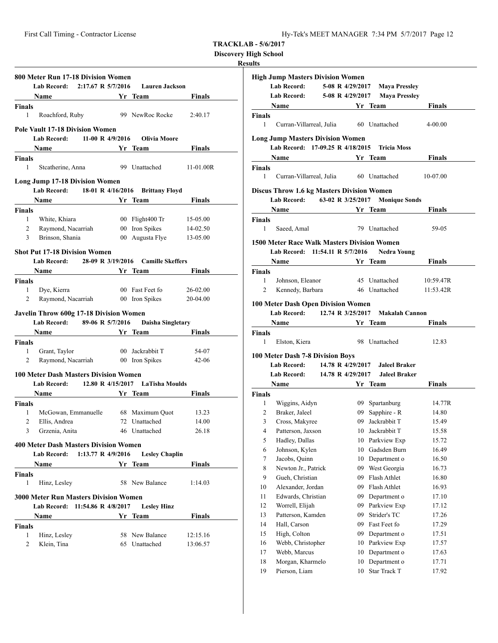**Discovery High School**

# **Results**

|                               | 800 Meter Run 17-18 Division Women<br>Lab Record:                                             | 2:17.67 R 5/7/2016        | <b>Lauren Jackson</b>                                                                                                                     |                         |
|-------------------------------|-----------------------------------------------------------------------------------------------|---------------------------|-------------------------------------------------------------------------------------------------------------------------------------------|-------------------------|
|                               | Name                                                                                          |                           | Yr Team                                                                                                                                   | <b>Finals</b>           |
| <b>Finals</b>                 |                                                                                               |                           |                                                                                                                                           |                         |
| 1                             | Roachford, Ruby                                                                               |                           | 99 NewRoc Rocke                                                                                                                           | 2:40.17                 |
|                               | <b>Pole Vault 17-18 Division Women</b>                                                        |                           |                                                                                                                                           |                         |
|                               | Lab Record: 11-00 R 4/9/2016                                                                  |                           | Olivia Moore                                                                                                                              |                         |
|                               | Name Yr Team                                                                                  |                           |                                                                                                                                           | <b>Finals</b>           |
| <b>Finals</b><br>1            | Stcatherine, Anna                                                                             |                           | 99 Unattached                                                                                                                             | 11-01.00R               |
|                               | <b>Long Jump 17-18 Division Women</b>                                                         |                           |                                                                                                                                           |                         |
|                               | <b>Lab Record:</b>                                                                            |                           | 18-01 R 4/16/2016 Brittany Floyd                                                                                                          |                         |
|                               | <b>Name</b>                                                                                   | <b>Example 18 Yr</b> Team |                                                                                                                                           | <b>Finals</b>           |
| <b>Finals</b>                 |                                                                                               |                           |                                                                                                                                           |                         |
| $\mathbf{1}$                  | White, Khiara                                                                                 |                           | 00 Flight400 Tr                                                                                                                           | 15-05.00                |
| 2                             | Raymond, Nacarriah                                                                            |                           |                                                                                                                                           | 00 Iron Spikes 14-02.50 |
| 3                             | Brinson, Shania                                                                               |                           | 00 Augusta Flye                                                                                                                           | 13-05.00                |
|                               | <b>Shot Put 17-18 Division Women</b>                                                          |                           |                                                                                                                                           |                         |
|                               | Lab Record: 28-09 R 3/19/2016 Camille Skeffers                                                |                           |                                                                                                                                           |                         |
|                               | <b>Name</b>                                                                                   |                           | Yr Team                                                                                                                                   | Finals                  |
| <b>Finals</b>                 |                                                                                               |                           |                                                                                                                                           |                         |
| 1                             | Dye, Kierra                                                                                   |                           | 00 Fast Feet fo                                                                                                                           | 26-02.00                |
| 2                             | Raymond, Nacarriah                                                                            |                           | 00 Iron Spikes                                                                                                                            | 20-04.00                |
|                               | <b>Javelin Throw 600g 17-18 Division Women</b><br>Lab Record: 89-06 R 5/7/2016<br><b>Name</b> |                           | Daisha Singletary<br><b>Solution String True True String True String True String True String True String True String True String True</b> | <b>Finals</b>           |
| <b>Finals</b>                 |                                                                                               |                           |                                                                                                                                           |                         |
| 1                             | Grant, Taylor                                                                                 |                           | 00 Jackrabbit T                                                                                                                           | 54-07                   |
| 2                             | Raymond, Nacarriah                                                                            |                           | 00 Iron Spikes                                                                                                                            | 42-06                   |
|                               | <b>100 Meter Dash Masters Division Women</b><br>Lab Record: 12.80 R 4/15/2017 LaTisha Moulds  |                           |                                                                                                                                           |                         |
|                               | Name                                                                                          |                           | Yr Team                                                                                                                                   | <b>Finals</b>           |
| <b>Finals</b>                 |                                                                                               |                           |                                                                                                                                           |                         |
| 1                             | McGowan, Emmanuelle                                                                           |                           | 68 Maximum Quot                                                                                                                           | 13.23                   |
| 2                             | Ellis, Andrea                                                                                 |                           | 72 Unattached                                                                                                                             | 14.00                   |
|                               | 3 Grzenia, Anita                                                                              |                           | 46 Unattached                                                                                                                             | 26.18                   |
|                               | <b>400 Meter Dash Masters Division Women</b>                                                  |                           |                                                                                                                                           |                         |
|                               | Lab Record: 1:13.77 R 4/9/2016                                                                |                           | <b>Lesley Chaplin</b>                                                                                                                     |                         |
|                               | Name Yr Team                                                                                  |                           |                                                                                                                                           | <b>Finals</b>           |
| <b>Finals</b><br>$\mathbf{1}$ | Hinz, Lesley                                                                                  |                           | 58 New Balance                                                                                                                            | 1:14.03                 |
|                               | <b>3000 Meter Run Masters Division Women</b><br>Lab Record: 11:54.86 R 4/8/2017               |                           | <b>Lesley Hinz</b>                                                                                                                        |                         |
|                               | Name                                                                                          |                           | Yr Team                                                                                                                                   | <b>Finals</b>           |
| <b>Finals</b>                 |                                                                                               |                           |                                                                                                                                           |                         |
| 1                             | Hinz, Lesley                                                                                  |                           | 58 New Balance                                                                                                                            | 12:15.16                |
| 2                             | Klein, Tina                                                                                   |                           | 65 Unattached                                                                                                                             | 13:06.57                |
|                               |                                                                                               |                           |                                                                                                                                           |                         |

|                | <b>High Jump Masters Division Women</b>                                               |                   |    |                                      |               |
|----------------|---------------------------------------------------------------------------------------|-------------------|----|--------------------------------------|---------------|
|                | <b>Lab Record:</b>                                                                    | 5-08 R 4/29/2017  |    | <b>Maya Pressley</b>                 |               |
|                | <b>Lab Record:</b>                                                                    | 5-08 R 4/29/2017  |    | <b>Maya Pressley</b>                 |               |
|                | Name                                                                                  |                   |    | Yr Team                              | Finals        |
| <b>Finals</b>  |                                                                                       |                   |    |                                      |               |
| 1              | Curran-Villarreal, Julia 60 Unattached                                                |                   |    |                                      | 4-00.00       |
|                | <b>Long Jump Masters Division Women</b><br>Lab Record: 17-09.25 R 4/18/2015           |                   |    | <b>Tricia Moss</b>                   |               |
|                | Name                                                                                  |                   |    | Yr Team                              | <b>Finals</b> |
| <b>Finals</b>  |                                                                                       |                   |    |                                      |               |
| 1              | Curran-Villarreal, Julia                                                              |                   |    | 60 Unattached                        | 10-07.00      |
|                | <b>Discus Throw 1.6 kg Masters Division Women</b>                                     |                   |    |                                      |               |
|                | Lab Record: 63-02 R 3/25/2017 Monique Sonds                                           |                   |    |                                      |               |
|                | Name                                                                                  |                   |    | <b>Example 18 Second Street Team</b> | Finals        |
| <b>Finals</b>  |                                                                                       |                   |    |                                      |               |
| 1              | Saeed, Amal                                                                           |                   |    | 79 Unattached                        | 59-05         |
|                |                                                                                       |                   |    |                                      |               |
|                | <b>1500 Meter Race Walk Masters Division Women</b><br>Lab Record: 11:54.11 R 5/7/2016 |                   |    |                                      |               |
|                |                                                                                       |                   |    | <b>Nedra Young</b>                   |               |
|                | Name                                                                                  | <u>Yr</u> Team    |    |                                      | Finals        |
| <b>Finals</b>  |                                                                                       |                   |    |                                      |               |
| 1              | Johnson, Eleanor                                                                      |                   |    | 45 Unattached                        | 10:59.47R     |
| 2              | Kennedy, Barbara                                                                      |                   |    | 46 Unattached                        | 11:53.42R     |
|                | <b>100 Meter Dash Open Division Women</b>                                             |                   |    |                                      |               |
|                | <b>Lab Record:</b>                                                                    | 12.74 R 3/25/2017 |    | <b>Makalah Cannon</b>                |               |
|                | Name Yr Team                                                                          |                   |    |                                      | <b>Finals</b> |
| Finals         |                                                                                       |                   |    |                                      |               |
| 1              | Elston, Kiera                                                                         |                   |    | 98 Unattached                        | 12.83         |
|                | 100 Meter Dash 7-8 Division Boys                                                      |                   |    |                                      |               |
|                | Lab Record:                                                                           |                   |    | 14.78 R 4/29/2017 Jaleel Braker      |               |
|                | <b>Lab Record:</b>                                                                    | 14.78 R 4/29/2017 |    | Jaleel Braker                        |               |
|                | <b>Name</b>                                                                           |                   |    | Yr Team                              | Finals        |
| <b>Finals</b>  |                                                                                       |                   |    |                                      |               |
| 1              | Wiggins, Aidyn                                                                        |                   |    | 09 Spartanburg                       | 14.77R        |
| $\overline{2}$ | Braker, Jaleel                                                                        |                   |    | 09 Sapphire - R                      | 14.80         |
| 3              | Cross, Makyree                                                                        |                   |    | 09 Jackrabbit T                      | 15.49         |
| 4              | Patterson, Jaxson                                                                     |                   |    | 10 Jackrabbit T                      | 15.58         |
| 5              | Hadley, Dallas                                                                        |                   | 10 | Parkview Exp                         | 15.72         |
| 6              | Johnson, Kylen                                                                        |                   | 10 | Gadsden Burn                         | 16.49         |
| 7              | Jacobs, Quinn                                                                         |                   | 10 | Department o                         | 16.50         |
| 8              | Newton Jr., Patrick                                                                   |                   | 09 | West Georgia                         | 16.73         |
| 9              | Gueh, Christian                                                                       |                   | 09 | Flash Athlet                         | 16.80         |
| 10             | Alexander, Jordan                                                                     |                   | 09 | Flash Athlet                         | 16.93         |
| 11             | Edwards, Christian                                                                    |                   | 09 | Department o                         | 17.10         |
| 12             | Worrell, Elijah                                                                       |                   | 09 | Parkview Exp                         | 17.12         |
| 13             | Patterson, Kamden                                                                     |                   | 09 | Strider's TC                         | 17.26         |
| 14             | Hall, Carson                                                                          |                   | 09 | Fast Feet fo                         | 17.29         |
| 15             | High, Colton                                                                          |                   | 09 | Department o                         | 17.51         |
| 16             | Webb, Christopher                                                                     |                   | 10 | Parkview Exp                         | 17.57         |
| 17             | Webb, Marcus                                                                          |                   | 10 | Department o                         | 17.63         |
| 18             | Morgan, Kharmelo                                                                      |                   | 10 | Department o                         | 17.71         |
| 19             | Pierson, Liam                                                                         |                   | 10 | Star Track T                         | 17.92         |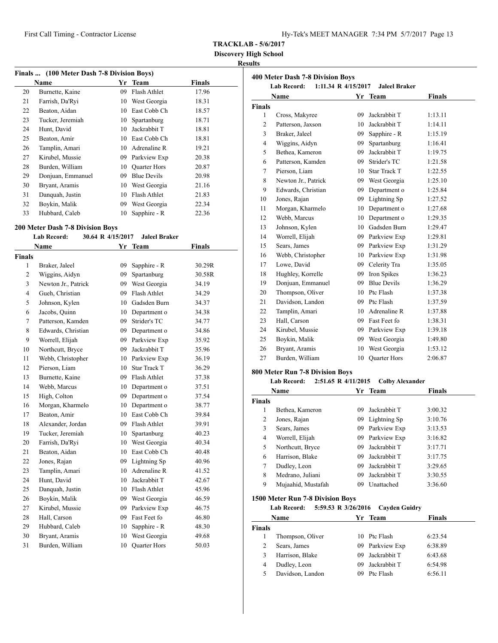**Discovery High School**

# **Results**

| Finals  (100 Meter Dash 7-8 Division Boys) |                   |     |                     |        |  |  |
|--------------------------------------------|-------------------|-----|---------------------|--------|--|--|
|                                            | Name              | Yr  | <b>Team</b>         | Finals |  |  |
| 20                                         | Burnette, Kaine   | 09  | Flash Athlet        | 17.96  |  |  |
| 21                                         | Farrish, Da'Ryi   | 10  | West Georgia        | 18.31  |  |  |
| 22                                         | Beaton, Aidan     | 10  | East Cobb Ch        | 18.57  |  |  |
| 23                                         | Tucker, Jeremiah  | 10  | Spartanburg         | 18.71  |  |  |
| 24                                         | Hunt, David       | 10  | Jackrabbit T        | 18.81  |  |  |
| 25                                         | Beaton, Amir      | 10  | East Cobb Ch        | 18.81  |  |  |
| 26                                         | Tamplin, Amari    | 10  | Adrenaline R        | 19.21  |  |  |
| 27                                         | Kirubel, Mussie   | 09. | Parkview Exp        | 20.38  |  |  |
| 28                                         | Burden, William   | 10  | <b>Quarter Hors</b> | 20.87  |  |  |
| 29                                         | Donjuan, Emmanuel | 09  | <b>Blue Devils</b>  | 20.98  |  |  |
| 30                                         | Bryant, Aramis    | 10  | West Georgia        | 21.16  |  |  |
| 31                                         | Danquah, Justin   | 10  | Flash Athlet        | 21.83  |  |  |
| 32                                         | Boykin, Malik     | 09  | West Georgia        | 22.34  |  |  |
| 33                                         | Hubbard, Caleb    | 10  | Sapphire - R        | 22.36  |  |  |

# **200 Meter Dash 7-8 Division Boys**

#### **Lab Record: 30.64 R 4/15/2017 Jaleel Braker**

| <b>Name</b>    |                     | Yr | <b>Team</b>         | <b>Finals</b> |  |
|----------------|---------------------|----|---------------------|---------------|--|
| <b>Finals</b>  |                     |    |                     |               |  |
| 1              | Braker, Jaleel      | 09 | Sapphire - R        | 30.29R        |  |
| $\overline{2}$ | Wiggins, Aidyn      | 09 | Spartanburg         | 30.58R        |  |
| 3              | Newton Jr., Patrick | 09 | West Georgia        | 34.19         |  |
| $\overline{4}$ | Gueh, Christian     | 09 | Flash Athlet        | 34.29         |  |
| 5              | Johnson, Kylen      | 10 | Gadsden Burn        | 34.37         |  |
| 6              | Jacobs, Quinn       | 10 | Department o        | 34.38         |  |
| 7              | Patterson, Kamden   | 09 | Strider's TC        | 34.77         |  |
| 8              | Edwards, Christian  | 09 | Department o        | 34.86         |  |
| 9              | Worrell, Elijah     | 09 | Parkview Exp        | 35.92         |  |
| 10             | Northcutt, Bryce    | 09 | Jackrabbit T        | 35.96         |  |
| 11             | Webb, Christopher   |    | 10 Parkview Exp     | 36.19         |  |
| 12             | Pierson, Liam       | 10 | <b>Star Track T</b> | 36.29         |  |
| 13             | Burnette, Kaine     | 09 | Flash Athlet        | 37.38         |  |
| 14             | Webb, Marcus        | 10 | Department o        | 37.51         |  |
| 15             | High, Colton        | 09 | Department o        | 37.54         |  |
| 16             | Morgan, Kharmelo    | 10 | Department o        | 38.77         |  |
| 17             | Beaton, Amir        | 10 | East Cobb Ch        | 39.84         |  |
| 18             | Alexander, Jordan   | 09 | Flash Athlet        | 39.91         |  |
| 19             | Tucker, Jeremiah    | 10 | Spartanburg         | 40.23         |  |
| 20             | Farrish, Da'Ryi     | 10 | West Georgia        | 40.34         |  |
| 21             | Beaton, Aidan       | 10 | East Cobb Ch        | 40.48         |  |
| 22             | Jones, Rajan        | 09 | Lightning Sp        | 40.96         |  |
| 23             | Tamplin, Amari      | 10 | Adrenaline R        | 41.52         |  |
| 24             | Hunt, David         | 10 | Jackrabbit T        | 42.67         |  |
| 25             | Danquah, Justin     | 10 | Flash Athlet        | 45.96         |  |
| 26             | Boykin, Malik       | 09 | West Georgia        | 46.59         |  |
| 27             | Kirubel, Mussie     | 09 | Parkview Exp        | 46.75         |  |
| 28             | Hall, Carson        | 09 | Fast Feet fo        | 46.80         |  |
| 29             | Hubbard, Caleb      | 10 | Sapphire - R        | 48.30         |  |
| 30             | Bryant, Aramis      | 10 | West Georgia        | 49.68         |  |
| 31             | Burden, William     | 10 | Quarter Hors        | 50.03         |  |
|                |                     |    |                     |               |  |

| <b>400 Meter Dash 7-8 Division Boys</b> |                                                                   |    |                     |               |  |  |  |  |  |
|-----------------------------------------|-------------------------------------------------------------------|----|---------------------|---------------|--|--|--|--|--|
|                                         | 1:11.34 R 4/15/2017<br><b>Lab Record:</b><br><b>Jaleel Braker</b> |    |                     |               |  |  |  |  |  |
|                                         | Name                                                              |    | Yr Team             | <b>Finals</b> |  |  |  |  |  |
| <b>Finals</b>                           |                                                                   |    |                     |               |  |  |  |  |  |
| $\mathbf{1}$                            | Cross, Makyree                                                    | 09 | Jackrabbit T        | 1:13.11       |  |  |  |  |  |
| $\overline{2}$                          | Patterson, Jaxson                                                 | 10 | Jackrabbit T        | 1:14.11       |  |  |  |  |  |
| 3                                       | Braker, Jaleel                                                    | 09 | Sapphire - R        | 1:15.19       |  |  |  |  |  |
| $\overline{4}$                          | Wiggins, Aidyn                                                    | 09 | Spartanburg         | 1:16.41       |  |  |  |  |  |
| 5                                       | Bethea, Kameron                                                   | 09 | Jackrabbit T        | 1:19.75       |  |  |  |  |  |
| 6                                       | Patterson, Kamden                                                 | 09 | Strider's TC        | 1:21.58       |  |  |  |  |  |
| $\overline{7}$                          | Pierson, Liam                                                     |    | 10 Star Track T     | 1:22.55       |  |  |  |  |  |
| 8                                       | Newton Jr., Patrick                                               |    | 09 West Georgia     | 1:25.10       |  |  |  |  |  |
| 9                                       | Edwards, Christian                                                | 09 | Department o        | 1:25.84       |  |  |  |  |  |
| 10                                      | Jones, Rajan                                                      | 09 | Lightning Sp        | 1:27.52       |  |  |  |  |  |
| 11                                      | Morgan, Kharmelo                                                  | 10 | Department o        | 1:27.68       |  |  |  |  |  |
| 12                                      | Webb, Marcus                                                      | 10 | Department o        | 1:29.35       |  |  |  |  |  |
| 13                                      | Johnson, Kylen                                                    | 10 | Gadsden Burn        | 1:29.47       |  |  |  |  |  |
| 14                                      | Worrell, Elijah                                                   | 09 | Parkview Exp        | 1:29.81       |  |  |  |  |  |
| 15                                      | Sears, James                                                      |    | 09 Parkview Exp     | 1:31.29       |  |  |  |  |  |
| 16                                      | Webb, Christopher                                                 | 10 | Parkview Exp        | 1:31.98       |  |  |  |  |  |
| 17                                      | Lowe, David                                                       | 09 | Celerity Tra        | 1:35.05       |  |  |  |  |  |
| 18                                      | Hughley, Korrelle                                                 | 09 | Iron Spikes         | 1:36.23       |  |  |  |  |  |
| 19                                      | Donjuan, Emmanuel                                                 | 09 | <b>Blue Devils</b>  | 1:36.29       |  |  |  |  |  |
| 20                                      | Thompson, Oliver                                                  |    | 10 Ptc Flash        | 1:37.38       |  |  |  |  |  |
| 21                                      | Davidson, Landon                                                  | 09 | Ptc Flash           | 1:37.59       |  |  |  |  |  |
| 22                                      | Tamplin, Amari                                                    |    | 10 Adrenaline R     | 1:37.88       |  |  |  |  |  |
| 23                                      | Hall, Carson                                                      |    | 09 Fast Feet fo     | 1:38.31       |  |  |  |  |  |
| 24                                      | Kirubel, Mussie                                                   | 09 | Parkview Exp        | 1:39.18       |  |  |  |  |  |
| 25                                      | Boykin, Malik                                                     |    | 09 West Georgia     | 1:49.80       |  |  |  |  |  |
| 26                                      | Bryant, Aramis                                                    | 10 | West Georgia        | 1:53.12       |  |  |  |  |  |
| 27                                      | Burden, William                                                   | 10 | <b>Quarter Hors</b> | 2:06.87       |  |  |  |  |  |
|                                         |                                                                   |    |                     |               |  |  |  |  |  |

#### **800 Meter Run 7-8 Division Boys**

#### **Lab Record: 2:51.65 R 4/11/2015 Colby Alexander**

|               | Name               |     | Yr Team         | Finals  |
|---------------|--------------------|-----|-----------------|---------|
| <b>Finals</b> |                    |     |                 |         |
| 1             | Bethea, Kameron    | 09  | Jackrabbit T    | 3:00.32 |
| 2             | Jones, Rajan       |     | 09 Lightning Sp | 3:10.76 |
| 3             | Sears, James       |     | 09 Parkview Exp | 3:13.53 |
| 4             | Worrell, Elijah    |     | 09 Parkview Exp | 3:16.82 |
| 5             | Northcutt, Bryce   | 09. | Jackrabbit T    | 3:17.71 |
| 6             | Harrison, Blake    | 09  | Jackrabbit T    | 3:17.75 |
| 7             | Dudley, Leon       | 09  | Jackrabbit T    | 3:29.65 |
| 8             | Medrano, Juliani   | 09. | Jackrabbit T    | 3:30.55 |
| 9             | Mujaahid, Mustafah | 09. | Unattached      | 3:36.60 |

# **1500 Meter Run 7-8 Division Boys**

**Lab Record: 5:59.53 R 3/26/2016 Cayden Guidry**

|               | <b>Name</b>      |    | Yr Team         | <b>Finals</b> |  |
|---------------|------------------|----|-----------------|---------------|--|
| <b>Finals</b> |                  |    |                 |               |  |
|               | Thompson, Oliver |    | 10 Ptc Flash    | 6:23.54       |  |
| 2             | Sears, James     |    | 09 Parkview Exp | 6:38.89       |  |
| 3             | Harrison, Blake  | 09 | Jackrabbit T    | 6:43.68       |  |
| 4             | Dudley, Leon     | 09 | Jackrabbit T    | 6:54.98       |  |
| 5             | Davidson, Landon | 09 | Ptc Flash       | 6:56.11       |  |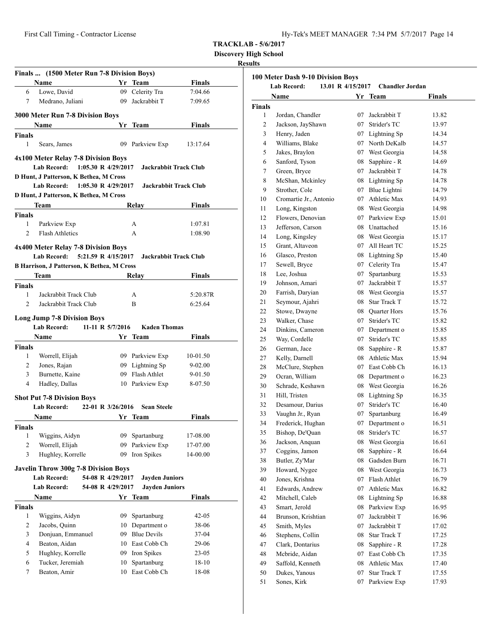| Hy-Tek's MEET MANAGER  7:34 PM  5/7/2017  Page 14 |  |  |  |  |
|---------------------------------------------------|--|--|--|--|
|---------------------------------------------------|--|--|--|--|

**Discovery High School**

# **Results**

| Finals  (1500 Meter Run 7-8 Division Boys)<br><b>Finals</b><br>Name<br>Yr Team<br>Lowe, David<br>09 Celerity Tra<br>7:04.66<br>6<br>Medrano, Juliani<br>09 Jackrabbit T<br>7<br>7:09.65<br>3000 Meter Run 7-8 Division Boys<br>Name<br>Yr Team<br><b>Finals</b><br><b>Finals</b><br>$\mathbf{1}$<br>Sears, James<br>09 Parkview Exp<br>13:17.64<br>4x100 Meter Relay 7-8 Division Boys<br><b>Lab Record:</b><br>1:05.30 R $4/29/2017$<br><b>Jackrabbit Track Club</b><br>D Hunt, J Patterson, K Bethea, M Cross<br>Lab Record: 1:05.30 R 4/29/2017<br>Jackrabbit Track Club<br>D Hunt, J Patterson, K Bethea, M Cross<br>Team<br>Relay<br>Finals<br><b>Finals</b><br>1<br>Parkview Exp<br>A<br>1:07.81<br>$\mathfrak{D}$<br><b>Flash Athletics</b><br>1:08.90<br>A<br>4x400 Meter Relay 7-8 Division Boys<br>5:21.59 R 4/15/2017<br><b>Lab Record:</b><br>Jackrabbit Track Club<br>B Harrison, J Patterson, K Bethea, M Cross<br>Team<br>Relay<br>Finals<br><b>Finals</b><br>1<br>Jackrabbit Track Club<br>5:20.87R<br>A<br>$\overline{2}$<br>Jackrabbit Track Club<br>B<br>6:25.64<br><b>Long Jump 7-8 Division Boys</b><br><b>Lab Record:</b><br>11-11 R 5/7/2016<br><b>Kaden Thomas</b><br><b>Name</b><br>Yr Team<br><b>Finals</b><br><b>Finals</b><br>Worrell, Elijah<br>09 Parkview Exp<br>1<br>10-01.50<br>Jones, Rajan<br>09 Lightning Sp<br>2<br>$9 - 02.00$<br>Burnette, Kaine<br>09 Flash Athlet<br>3<br>9-01.50<br>$\overline{4}$<br>Hadley, Dallas<br>10 Parkview Exp<br>8-07.50<br><b>Shot Put 7-8 Division Boys</b><br>22-01 R 3/26/2016<br>Lab Record:<br><b>Sean Steele</b><br>Name<br>Yr Team<br>Finals<br>Finals<br>Wiggins, Aidyn<br>09<br>Spartanburg<br>1<br>17-08.00<br>2<br>Worrell, Elijah<br>Parkview Exp<br>09<br>17-07.00<br>3<br>Iron Spikes<br>Hughley, Korrelle<br>09<br>14-00.00<br><b>Javelin Throw 300g 7-8 Division Boys</b><br><b>Lab Record:</b><br>54-08 R 4/29/2017<br><b>Jayden Juniors</b><br><b>Lab Record:</b><br>54-08 R 4/29/2017<br><b>Jayden Juniors</b><br><b>Finals</b><br>Yr Team<br>Name<br><b>Finals</b> |
|-------------------------------------------------------------------------------------------------------------------------------------------------------------------------------------------------------------------------------------------------------------------------------------------------------------------------------------------------------------------------------------------------------------------------------------------------------------------------------------------------------------------------------------------------------------------------------------------------------------------------------------------------------------------------------------------------------------------------------------------------------------------------------------------------------------------------------------------------------------------------------------------------------------------------------------------------------------------------------------------------------------------------------------------------------------------------------------------------------------------------------------------------------------------------------------------------------------------------------------------------------------------------------------------------------------------------------------------------------------------------------------------------------------------------------------------------------------------------------------------------------------------------------------------------------------------------------------------------------------------------------------------------------------------------------------------------------------------------------------------------------------------------------------------------------------------------------------------------------------------------------------------------------------------------------------------------------------------------------------------------------------------------------------------------------------|
|                                                                                                                                                                                                                                                                                                                                                                                                                                                                                                                                                                                                                                                                                                                                                                                                                                                                                                                                                                                                                                                                                                                                                                                                                                                                                                                                                                                                                                                                                                                                                                                                                                                                                                                                                                                                                                                                                                                                                                                                                                                             |
|                                                                                                                                                                                                                                                                                                                                                                                                                                                                                                                                                                                                                                                                                                                                                                                                                                                                                                                                                                                                                                                                                                                                                                                                                                                                                                                                                                                                                                                                                                                                                                                                                                                                                                                                                                                                                                                                                                                                                                                                                                                             |
|                                                                                                                                                                                                                                                                                                                                                                                                                                                                                                                                                                                                                                                                                                                                                                                                                                                                                                                                                                                                                                                                                                                                                                                                                                                                                                                                                                                                                                                                                                                                                                                                                                                                                                                                                                                                                                                                                                                                                                                                                                                             |
|                                                                                                                                                                                                                                                                                                                                                                                                                                                                                                                                                                                                                                                                                                                                                                                                                                                                                                                                                                                                                                                                                                                                                                                                                                                                                                                                                                                                                                                                                                                                                                                                                                                                                                                                                                                                                                                                                                                                                                                                                                                             |
|                                                                                                                                                                                                                                                                                                                                                                                                                                                                                                                                                                                                                                                                                                                                                                                                                                                                                                                                                                                                                                                                                                                                                                                                                                                                                                                                                                                                                                                                                                                                                                                                                                                                                                                                                                                                                                                                                                                                                                                                                                                             |
|                                                                                                                                                                                                                                                                                                                                                                                                                                                                                                                                                                                                                                                                                                                                                                                                                                                                                                                                                                                                                                                                                                                                                                                                                                                                                                                                                                                                                                                                                                                                                                                                                                                                                                                                                                                                                                                                                                                                                                                                                                                             |
|                                                                                                                                                                                                                                                                                                                                                                                                                                                                                                                                                                                                                                                                                                                                                                                                                                                                                                                                                                                                                                                                                                                                                                                                                                                                                                                                                                                                                                                                                                                                                                                                                                                                                                                                                                                                                                                                                                                                                                                                                                                             |
|                                                                                                                                                                                                                                                                                                                                                                                                                                                                                                                                                                                                                                                                                                                                                                                                                                                                                                                                                                                                                                                                                                                                                                                                                                                                                                                                                                                                                                                                                                                                                                                                                                                                                                                                                                                                                                                                                                                                                                                                                                                             |
|                                                                                                                                                                                                                                                                                                                                                                                                                                                                                                                                                                                                                                                                                                                                                                                                                                                                                                                                                                                                                                                                                                                                                                                                                                                                                                                                                                                                                                                                                                                                                                                                                                                                                                                                                                                                                                                                                                                                                                                                                                                             |
|                                                                                                                                                                                                                                                                                                                                                                                                                                                                                                                                                                                                                                                                                                                                                                                                                                                                                                                                                                                                                                                                                                                                                                                                                                                                                                                                                                                                                                                                                                                                                                                                                                                                                                                                                                                                                                                                                                                                                                                                                                                             |
|                                                                                                                                                                                                                                                                                                                                                                                                                                                                                                                                                                                                                                                                                                                                                                                                                                                                                                                                                                                                                                                                                                                                                                                                                                                                                                                                                                                                                                                                                                                                                                                                                                                                                                                                                                                                                                                                                                                                                                                                                                                             |
|                                                                                                                                                                                                                                                                                                                                                                                                                                                                                                                                                                                                                                                                                                                                                                                                                                                                                                                                                                                                                                                                                                                                                                                                                                                                                                                                                                                                                                                                                                                                                                                                                                                                                                                                                                                                                                                                                                                                                                                                                                                             |
|                                                                                                                                                                                                                                                                                                                                                                                                                                                                                                                                                                                                                                                                                                                                                                                                                                                                                                                                                                                                                                                                                                                                                                                                                                                                                                                                                                                                                                                                                                                                                                                                                                                                                                                                                                                                                                                                                                                                                                                                                                                             |
|                                                                                                                                                                                                                                                                                                                                                                                                                                                                                                                                                                                                                                                                                                                                                                                                                                                                                                                                                                                                                                                                                                                                                                                                                                                                                                                                                                                                                                                                                                                                                                                                                                                                                                                                                                                                                                                                                                                                                                                                                                                             |
|                                                                                                                                                                                                                                                                                                                                                                                                                                                                                                                                                                                                                                                                                                                                                                                                                                                                                                                                                                                                                                                                                                                                                                                                                                                                                                                                                                                                                                                                                                                                                                                                                                                                                                                                                                                                                                                                                                                                                                                                                                                             |
|                                                                                                                                                                                                                                                                                                                                                                                                                                                                                                                                                                                                                                                                                                                                                                                                                                                                                                                                                                                                                                                                                                                                                                                                                                                                                                                                                                                                                                                                                                                                                                                                                                                                                                                                                                                                                                                                                                                                                                                                                                                             |
|                                                                                                                                                                                                                                                                                                                                                                                                                                                                                                                                                                                                                                                                                                                                                                                                                                                                                                                                                                                                                                                                                                                                                                                                                                                                                                                                                                                                                                                                                                                                                                                                                                                                                                                                                                                                                                                                                                                                                                                                                                                             |
|                                                                                                                                                                                                                                                                                                                                                                                                                                                                                                                                                                                                                                                                                                                                                                                                                                                                                                                                                                                                                                                                                                                                                                                                                                                                                                                                                                                                                                                                                                                                                                                                                                                                                                                                                                                                                                                                                                                                                                                                                                                             |
|                                                                                                                                                                                                                                                                                                                                                                                                                                                                                                                                                                                                                                                                                                                                                                                                                                                                                                                                                                                                                                                                                                                                                                                                                                                                                                                                                                                                                                                                                                                                                                                                                                                                                                                                                                                                                                                                                                                                                                                                                                                             |
|                                                                                                                                                                                                                                                                                                                                                                                                                                                                                                                                                                                                                                                                                                                                                                                                                                                                                                                                                                                                                                                                                                                                                                                                                                                                                                                                                                                                                                                                                                                                                                                                                                                                                                                                                                                                                                                                                                                                                                                                                                                             |
|                                                                                                                                                                                                                                                                                                                                                                                                                                                                                                                                                                                                                                                                                                                                                                                                                                                                                                                                                                                                                                                                                                                                                                                                                                                                                                                                                                                                                                                                                                                                                                                                                                                                                                                                                                                                                                                                                                                                                                                                                                                             |
|                                                                                                                                                                                                                                                                                                                                                                                                                                                                                                                                                                                                                                                                                                                                                                                                                                                                                                                                                                                                                                                                                                                                                                                                                                                                                                                                                                                                                                                                                                                                                                                                                                                                                                                                                                                                                                                                                                                                                                                                                                                             |
|                                                                                                                                                                                                                                                                                                                                                                                                                                                                                                                                                                                                                                                                                                                                                                                                                                                                                                                                                                                                                                                                                                                                                                                                                                                                                                                                                                                                                                                                                                                                                                                                                                                                                                                                                                                                                                                                                                                                                                                                                                                             |
|                                                                                                                                                                                                                                                                                                                                                                                                                                                                                                                                                                                                                                                                                                                                                                                                                                                                                                                                                                                                                                                                                                                                                                                                                                                                                                                                                                                                                                                                                                                                                                                                                                                                                                                                                                                                                                                                                                                                                                                                                                                             |
|                                                                                                                                                                                                                                                                                                                                                                                                                                                                                                                                                                                                                                                                                                                                                                                                                                                                                                                                                                                                                                                                                                                                                                                                                                                                                                                                                                                                                                                                                                                                                                                                                                                                                                                                                                                                                                                                                                                                                                                                                                                             |
|                                                                                                                                                                                                                                                                                                                                                                                                                                                                                                                                                                                                                                                                                                                                                                                                                                                                                                                                                                                                                                                                                                                                                                                                                                                                                                                                                                                                                                                                                                                                                                                                                                                                                                                                                                                                                                                                                                                                                                                                                                                             |
|                                                                                                                                                                                                                                                                                                                                                                                                                                                                                                                                                                                                                                                                                                                                                                                                                                                                                                                                                                                                                                                                                                                                                                                                                                                                                                                                                                                                                                                                                                                                                                                                                                                                                                                                                                                                                                                                                                                                                                                                                                                             |
|                                                                                                                                                                                                                                                                                                                                                                                                                                                                                                                                                                                                                                                                                                                                                                                                                                                                                                                                                                                                                                                                                                                                                                                                                                                                                                                                                                                                                                                                                                                                                                                                                                                                                                                                                                                                                                                                                                                                                                                                                                                             |
|                                                                                                                                                                                                                                                                                                                                                                                                                                                                                                                                                                                                                                                                                                                                                                                                                                                                                                                                                                                                                                                                                                                                                                                                                                                                                                                                                                                                                                                                                                                                                                                                                                                                                                                                                                                                                                                                                                                                                                                                                                                             |
|                                                                                                                                                                                                                                                                                                                                                                                                                                                                                                                                                                                                                                                                                                                                                                                                                                                                                                                                                                                                                                                                                                                                                                                                                                                                                                                                                                                                                                                                                                                                                                                                                                                                                                                                                                                                                                                                                                                                                                                                                                                             |
|                                                                                                                                                                                                                                                                                                                                                                                                                                                                                                                                                                                                                                                                                                                                                                                                                                                                                                                                                                                                                                                                                                                                                                                                                                                                                                                                                                                                                                                                                                                                                                                                                                                                                                                                                                                                                                                                                                                                                                                                                                                             |
|                                                                                                                                                                                                                                                                                                                                                                                                                                                                                                                                                                                                                                                                                                                                                                                                                                                                                                                                                                                                                                                                                                                                                                                                                                                                                                                                                                                                                                                                                                                                                                                                                                                                                                                                                                                                                                                                                                                                                                                                                                                             |
|                                                                                                                                                                                                                                                                                                                                                                                                                                                                                                                                                                                                                                                                                                                                                                                                                                                                                                                                                                                                                                                                                                                                                                                                                                                                                                                                                                                                                                                                                                                                                                                                                                                                                                                                                                                                                                                                                                                                                                                                                                                             |
|                                                                                                                                                                                                                                                                                                                                                                                                                                                                                                                                                                                                                                                                                                                                                                                                                                                                                                                                                                                                                                                                                                                                                                                                                                                                                                                                                                                                                                                                                                                                                                                                                                                                                                                                                                                                                                                                                                                                                                                                                                                             |
|                                                                                                                                                                                                                                                                                                                                                                                                                                                                                                                                                                                                                                                                                                                                                                                                                                                                                                                                                                                                                                                                                                                                                                                                                                                                                                                                                                                                                                                                                                                                                                                                                                                                                                                                                                                                                                                                                                                                                                                                                                                             |
|                                                                                                                                                                                                                                                                                                                                                                                                                                                                                                                                                                                                                                                                                                                                                                                                                                                                                                                                                                                                                                                                                                                                                                                                                                                                                                                                                                                                                                                                                                                                                                                                                                                                                                                                                                                                                                                                                                                                                                                                                                                             |
|                                                                                                                                                                                                                                                                                                                                                                                                                                                                                                                                                                                                                                                                                                                                                                                                                                                                                                                                                                                                                                                                                                                                                                                                                                                                                                                                                                                                                                                                                                                                                                                                                                                                                                                                                                                                                                                                                                                                                                                                                                                             |
|                                                                                                                                                                                                                                                                                                                                                                                                                                                                                                                                                                                                                                                                                                                                                                                                                                                                                                                                                                                                                                                                                                                                                                                                                                                                                                                                                                                                                                                                                                                                                                                                                                                                                                                                                                                                                                                                                                                                                                                                                                                             |
|                                                                                                                                                                                                                                                                                                                                                                                                                                                                                                                                                                                                                                                                                                                                                                                                                                                                                                                                                                                                                                                                                                                                                                                                                                                                                                                                                                                                                                                                                                                                                                                                                                                                                                                                                                                                                                                                                                                                                                                                                                                             |
|                                                                                                                                                                                                                                                                                                                                                                                                                                                                                                                                                                                                                                                                                                                                                                                                                                                                                                                                                                                                                                                                                                                                                                                                                                                                                                                                                                                                                                                                                                                                                                                                                                                                                                                                                                                                                                                                                                                                                                                                                                                             |
|                                                                                                                                                                                                                                                                                                                                                                                                                                                                                                                                                                                                                                                                                                                                                                                                                                                                                                                                                                                                                                                                                                                                                                                                                                                                                                                                                                                                                                                                                                                                                                                                                                                                                                                                                                                                                                                                                                                                                                                                                                                             |
|                                                                                                                                                                                                                                                                                                                                                                                                                                                                                                                                                                                                                                                                                                                                                                                                                                                                                                                                                                                                                                                                                                                                                                                                                                                                                                                                                                                                                                                                                                                                                                                                                                                                                                                                                                                                                                                                                                                                                                                                                                                             |
|                                                                                                                                                                                                                                                                                                                                                                                                                                                                                                                                                                                                                                                                                                                                                                                                                                                                                                                                                                                                                                                                                                                                                                                                                                                                                                                                                                                                                                                                                                                                                                                                                                                                                                                                                                                                                                                                                                                                                                                                                                                             |
|                                                                                                                                                                                                                                                                                                                                                                                                                                                                                                                                                                                                                                                                                                                                                                                                                                                                                                                                                                                                                                                                                                                                                                                                                                                                                                                                                                                                                                                                                                                                                                                                                                                                                                                                                                                                                                                                                                                                                                                                                                                             |
|                                                                                                                                                                                                                                                                                                                                                                                                                                                                                                                                                                                                                                                                                                                                                                                                                                                                                                                                                                                                                                                                                                                                                                                                                                                                                                                                                                                                                                                                                                                                                                                                                                                                                                                                                                                                                                                                                                                                                                                                                                                             |
| Wiggins, Aidyn<br>Spartanburg<br>1<br>09<br>$42 - 05$                                                                                                                                                                                                                                                                                                                                                                                                                                                                                                                                                                                                                                                                                                                                                                                                                                                                                                                                                                                                                                                                                                                                                                                                                                                                                                                                                                                                                                                                                                                                                                                                                                                                                                                                                                                                                                                                                                                                                                                                       |
| 2<br>Jacobs, Quinn<br>10 Department o<br>38-06                                                                                                                                                                                                                                                                                                                                                                                                                                                                                                                                                                                                                                                                                                                                                                                                                                                                                                                                                                                                                                                                                                                                                                                                                                                                                                                                                                                                                                                                                                                                                                                                                                                                                                                                                                                                                                                                                                                                                                                                              |
| Donjuan, Emmanuel<br>09 Blue Devils<br>3<br>37-04                                                                                                                                                                                                                                                                                                                                                                                                                                                                                                                                                                                                                                                                                                                                                                                                                                                                                                                                                                                                                                                                                                                                                                                                                                                                                                                                                                                                                                                                                                                                                                                                                                                                                                                                                                                                                                                                                                                                                                                                           |
|                                                                                                                                                                                                                                                                                                                                                                                                                                                                                                                                                                                                                                                                                                                                                                                                                                                                                                                                                                                                                                                                                                                                                                                                                                                                                                                                                                                                                                                                                                                                                                                                                                                                                                                                                                                                                                                                                                                                                                                                                                                             |
| 4<br>Beaton, Aidan<br>10 East Cobb Ch<br>29-06                                                                                                                                                                                                                                                                                                                                                                                                                                                                                                                                                                                                                                                                                                                                                                                                                                                                                                                                                                                                                                                                                                                                                                                                                                                                                                                                                                                                                                                                                                                                                                                                                                                                                                                                                                                                                                                                                                                                                                                                              |
| 5<br>Hughley, Korrelle<br>09 Iron Spikes<br>$23-05$                                                                                                                                                                                                                                                                                                                                                                                                                                                                                                                                                                                                                                                                                                                                                                                                                                                                                                                                                                                                                                                                                                                                                                                                                                                                                                                                                                                                                                                                                                                                                                                                                                                                                                                                                                                                                                                                                                                                                                                                         |
| Tucker, Jeremiah<br>Spartanburg<br>6<br>10<br>18-10<br>East Cobb Ch<br>7<br>Beaton, Amir<br>10<br>18-08                                                                                                                                                                                                                                                                                                                                                                                                                                                                                                                                                                                                                                                                                                                                                                                                                                                                                                                                                                                                                                                                                                                                                                                                                                                                                                                                                                                                                                                                                                                                                                                                                                                                                                                                                                                                                                                                                                                                                     |

| 100 Meter Dash 9-10 Division Boys<br><b>Lab Record:</b><br>13.01 R 4/15/2017<br><b>Chandler Jordan</b> |                        |    |                 |        |
|--------------------------------------------------------------------------------------------------------|------------------------|----|-----------------|--------|
|                                                                                                        | Name                   | Yr | Team            | Finals |
| <b>Finals</b>                                                                                          |                        |    |                 |        |
| 1                                                                                                      | Jordan, Chandler       | 07 | Jackrabbit T    | 13.82  |
| 2                                                                                                      | Jackson, JayShawn      | 07 | Strider's TC    | 13.97  |
| 3                                                                                                      | Henry, Jaden           |    | 07 Lightning Sp | 14.34  |
| 4                                                                                                      | Williams, Blake        | 07 | North DeKalb    | 14.57  |
| 5                                                                                                      | Jakes, Braylon         |    | 07 West Georgia | 14.58  |
| 6                                                                                                      | Sanford, Tyson         | 08 | Sapphire - R    | 14.69  |
| 7                                                                                                      | Green, Bryce           | 07 | Jackrabbit T    | 14.78  |
| 8                                                                                                      | McShan, Mckinley       |    | 08 Lightning Sp | 14.78  |
| 9                                                                                                      | Strother, Cole         |    | 07 Blue Lightni | 14.79  |
| 10                                                                                                     | Cromartie Jr., Antonio |    | 07 Athletic Max | 14.93  |
| 11                                                                                                     | Long, Kingston         |    | 08 West Georgia | 14.98  |
| 12                                                                                                     | Flowers, Denovian      |    | 07 Parkview Exp | 15.01  |
| 13                                                                                                     | Jefferson, Carson      |    | 08 Unattached   | 15.16  |
| 14                                                                                                     | Long, Kingsley         |    | 08 West Georgia | 15.17  |
| 15                                                                                                     | Grant, Altaveon        |    | 07 All Heart TC | 15.25  |
|                                                                                                        |                        |    |                 |        |
| 16                                                                                                     | Glasco, Preston        |    | 08 Lightning Sp | 15.40  |
| 17                                                                                                     | Sewell, Bryce          | 07 | Celerity Tra    | 15.47  |
| 18                                                                                                     | Lee, Joshua            | 07 | Spartanburg     | 15.53  |
| 19                                                                                                     | Johnson, Amari         | 07 | Jackrabbit T    | 15.57  |
| 20                                                                                                     | Farrish, Daryian       |    | 08 West Georgia | 15.57  |
| 21                                                                                                     | Seymour, Ajahri        |    | 08 Star Track T | 15.72  |
| 22                                                                                                     | Stowe, Dwayne          |    | 08 Quarter Hors | 15.76  |
| 23                                                                                                     | Walker, Chase          | 07 | Strider's TC    | 15.82  |
| 24                                                                                                     | Dinkins, Cameron       |    | 07 Department o | 15.85  |
| 25                                                                                                     | Way, Cordelle          | 07 | Strider's TC    | 15.85  |
| 26                                                                                                     | German, Jace           |    | 08 Sapphire - R | 15.87  |
| 27                                                                                                     | Kelly, Darnell         |    | 08 Athletic Max | 15.94  |
| 28                                                                                                     | McClure, Stephen       | 07 | East Cobb Ch    | 16.13  |
| 29                                                                                                     | Ocran, William         | 08 | Department o    | 16.23  |
| 30                                                                                                     | Schrade, Keshawn       |    | 08 West Georgia | 16.26  |
| 31                                                                                                     | Hill, Tristen          | 08 | Lightning Sp    | 16.35  |
| 32                                                                                                     | Desamour, Darius       | 07 | Strider's TC    | 16.40  |
| 33                                                                                                     | Vaughn Jr., Ryan       | 07 | Spartanburg     | 16.49  |
| 34                                                                                                     | Frederick, Hughan      | 07 | Department o    | 16.51  |
| 35                                                                                                     | Bishop, De'Quan        | 08 | Strider's TC    | 16.57  |
| 36                                                                                                     | Jackson, Anquan        | 08 | West Georgia    | 16.61  |
| 37                                                                                                     | Coggins, Jamon         | 08 | Sapphire - R    | 16.64  |
| 38                                                                                                     | Butler, Zy'Mar         | 08 | Gadsden Burn    | 16.71  |
| 39                                                                                                     | Howard, Nygee          | 08 | West Georgia    | 16.73  |
| 40                                                                                                     | Jones, Krishna         | 07 | Flash Athlet    | 16.79  |
| 41                                                                                                     | Edwards, Andrew        | 07 | Athletic Max    | 16.82  |
| 42                                                                                                     | Mitchell, Caleb        | 08 | Lightning Sp    | 16.88  |
| 43                                                                                                     | Smart, Jerold          | 08 | Parkview Exp    | 16.95  |
| 44                                                                                                     | Brunson, Krishtian     | 07 | Jackrabbit T    | 16.96  |
| 45                                                                                                     | Smith, Myles           | 07 | Jackrabbit T    | 17.02  |
| 46                                                                                                     | Stephens, Collin       | 08 | Star Track T    | 17.25  |
| 47                                                                                                     | Clark, Dontarius       | 08 | Sapphire - R    | 17.28  |
| 48                                                                                                     | Mcbride, Aidan         | 07 | East Cobb Ch    | 17.35  |
| 49                                                                                                     | Saffold, Kenneth       | 08 | Athletic Max    | 17.40  |
| 50                                                                                                     | Dukes, Yanous          | 07 | Star Track T    | 17.55  |
|                                                                                                        |                        |    |                 |        |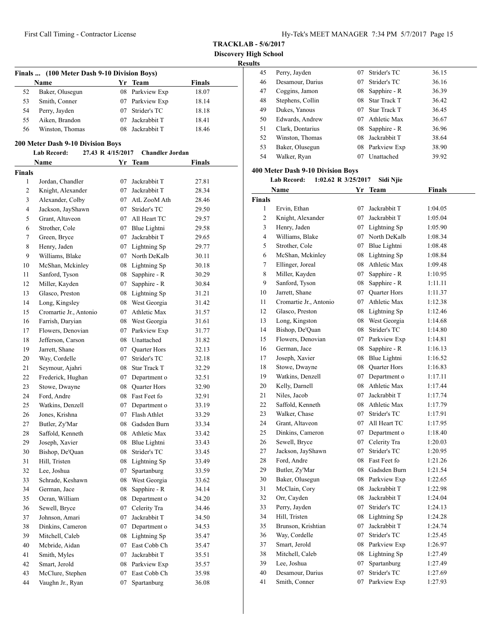**TRACKLAB - 5/6/2017**

**Discovery High School**

| (100 Meter Dash 9-10 Division Boys)<br>Finals<br>Yr Team<br><b>Finals</b><br>Name |                                                        |    |                                   |        |  |  |
|-----------------------------------------------------------------------------------|--------------------------------------------------------|----|-----------------------------------|--------|--|--|
| 52                                                                                | Baker, Olusegun                                        |    | 08 Parkview Exp                   | 18.07  |  |  |
| 53                                                                                | Smith, Conner                                          |    | 07 Parkview Exp                   | 18.14  |  |  |
| 54                                                                                | Perry, Jayden                                          |    | 07 Strider's TC                   | 18.18  |  |  |
| 55                                                                                | Aiken, Brandon                                         |    | 07 Jackrabbit T                   | 18.41  |  |  |
| 56                                                                                | Winston, Thomas                                        |    | 08 Jackrabbit T                   | 18.46  |  |  |
|                                                                                   | <b>200 Meter Dash 9-10 Division Boys</b>               |    |                                   |        |  |  |
|                                                                                   | 27.43 R 4/15/2017<br><b>Lab Record:</b><br><b>Name</b> |    | <b>Chandler Jordan</b><br>Yr Team | Finals |  |  |
| <b>Finals</b>                                                                     |                                                        |    |                                   |        |  |  |
| $\mathbf{1}$                                                                      | Jordan, Chandler                                       | 07 | Jackrabbit T                      | 27.81  |  |  |
| 2                                                                                 | Knight, Alexander                                      | 07 | Jackrabbit T                      | 28.34  |  |  |
| 3                                                                                 | Alexander, Colby                                       |    | 07 AtL ZooM Ath                   | 28.46  |  |  |
| $\overline{4}$                                                                    | Jackson, JayShawn                                      | 07 | Strider's TC                      | 29.50  |  |  |
| 5                                                                                 | Grant, Altaveon                                        |    | 07 All Heart TC                   | 29.57  |  |  |
| 6                                                                                 | Strother, Cole                                         |    | 07 Blue Lightni                   | 29.58  |  |  |
| 7                                                                                 | Green, Bryce                                           |    | 07 Jackrabbit T                   | 29.65  |  |  |
| 8                                                                                 | Henry, Jaden                                           |    | 07 Lightning Sp                   | 29.77  |  |  |
| 9                                                                                 | Williams, Blake                                        |    | 07 North DeKalb                   | 30.11  |  |  |
|                                                                                   |                                                        |    |                                   |        |  |  |
| 10                                                                                | McShan, Mckinley                                       |    | 08 Lightning Sp                   | 30.18  |  |  |
| 11                                                                                | Sanford, Tyson                                         | 08 | Sapphire - R                      | 30.29  |  |  |
| 12                                                                                | Miller, Kayden                                         | 07 | Sapphire - R                      | 30.84  |  |  |
| 13                                                                                | Glasco, Preston                                        |    | 08 Lightning Sp                   | 31.21  |  |  |
| 14                                                                                | Long, Kingsley                                         |    | 08 West Georgia                   | 31.42  |  |  |
| 15                                                                                | Cromartie Jr., Antonio                                 |    | 07 Athletic Max                   | 31.57  |  |  |
| 16                                                                                | Farrish, Daryian                                       |    | 08 West Georgia                   | 31.61  |  |  |
| 17                                                                                | Flowers, Denovian                                      |    | 07 Parkview Exp                   | 31.77  |  |  |
| 18                                                                                | Jefferson, Carson                                      |    | 08 Unattached                     | 31.82  |  |  |
| 19                                                                                | Jarrett, Shane                                         |    | 07 Ouarter Hors                   | 32.13  |  |  |
| 20                                                                                | Way, Cordelle                                          | 07 | Strider's TC                      | 32.18  |  |  |
| 21                                                                                | Seymour, Ajahri                                        | 08 | <b>Star Track T</b>               | 32.29  |  |  |
| 22                                                                                | Frederick, Hughan                                      | 07 | Department o                      | 32.51  |  |  |
| 23                                                                                | Stowe, Dwayne                                          |    | 08 Quarter Hors                   | 32.90  |  |  |
| 24                                                                                | Ford, Andre                                            |    | 08 Fast Feet fo                   | 32.91  |  |  |
| 25                                                                                | Watkins, Denzell                                       | 07 | Department o                      | 33.19  |  |  |
| 26                                                                                | Jones, Krishna                                         | 07 | Flash Athlet                      | 33.29  |  |  |
| 27                                                                                | Butler, Zy'Mar                                         |    | 08 Gadsden Burn                   | 33.34  |  |  |
| 28                                                                                | Saffold, Kenneth                                       | 08 | Athletic Max                      | 33.42  |  |  |
| 29                                                                                | Joseph, Xavier                                         | 08 | Blue Lightni                      | 33.43  |  |  |
| 30                                                                                | Bishop, De'Quan                                        | 08 | Strider's TC                      | 33.45  |  |  |
| 31                                                                                | Hill, Tristen                                          | 08 | Lightning Sp                      | 33.49  |  |  |
| 32                                                                                | Lee, Joshua                                            | 07 | Spartanburg                       | 33.59  |  |  |
| 33                                                                                | Schrade, Keshawn                                       | 08 | West Georgia                      | 33.62  |  |  |
| 34                                                                                | German, Jace                                           | 08 | Sapphire - R                      | 34.14  |  |  |
| 35                                                                                | Ocran, William                                         | 08 | Department o                      | 34.20  |  |  |
| 36                                                                                | Sewell, Bryce                                          | 07 | Celerity Tra                      | 34.46  |  |  |
| 37                                                                                | Johnson, Amari                                         | 07 | Jackrabbit T                      | 34.50  |  |  |
| 38                                                                                | Dinkins, Cameron                                       | 07 | Department o                      | 34.53  |  |  |
| 39                                                                                | Mitchell, Caleb                                        | 08 | Lightning Sp                      | 35.47  |  |  |
| 40                                                                                | Mcbride, Aidan                                         | 07 | East Cobb Ch                      | 35.47  |  |  |
| 41                                                                                | Smith, Myles                                           | 07 | Jackrabbit T                      | 35.51  |  |  |
|                                                                                   |                                                        |    |                                   |        |  |  |
| 42                                                                                | Smart, Jerold                                          | 08 | Parkview Exp                      | 35.57  |  |  |
| 43                                                                                | McClure, Stephen                                       | 07 | East Cobb Ch                      | 35.98  |  |  |
| 44                                                                                | Vaughn Jr., Ryan                                       | 07 | Spartanburg                       | 36.08  |  |  |

| 45 | Perry, Jayden    | 07 | Strider's TC        | 36.15 |
|----|------------------|----|---------------------|-------|
| 46 | Desamour, Darius | 07 | Strider's TC        | 36.16 |
| 47 | Coggins, Jamon   | 08 | Sapphire - R        | 36.39 |
| 48 | Stephens, Collin |    | 08 Star Track T     | 36.42 |
| 49 | Dukes, Yanous    | 07 | <b>Star Track T</b> | 36.45 |
| 50 | Edwards, Andrew  | 07 | Athletic Max        | 36.67 |
| 51 | Clark, Dontarius |    | 08 Sapphire - R     | 36.96 |
| 52 | Winston, Thomas  | 08 | Jackrabbit T        | 38.64 |
| 53 | Baker, Olusegun  |    | 08 Parkview Exp     | 38.90 |
| 54 | Walker, Ryan     | 07 | Unattached          | 39.92 |
|    |                  |    |                     |       |

# **400 Meter Dash 9-10 Division Boys**

**Lab Record: 1:02.62 R 3/25/2017 Sidi Njie**

|                | Name                   | Yr  | <b>Team</b>     | <b>Finals</b> |  |
|----------------|------------------------|-----|-----------------|---------------|--|
| <b>Finals</b>  |                        |     |                 |               |  |
| 1              | Ervin, Ethan           | 07  | Jackrabbit T    | 1:04.05       |  |
| 2              | Knight, Alexander      | 07  | Jackrabbit T    | 1:05.04       |  |
| 3              | Henry, Jaden           |     | 07 Lightning Sp | 1:05.90       |  |
| $\overline{4}$ | Williams, Blake        |     | 07 North DeKalb | 1:08.34       |  |
| 5              | Strother, Cole         |     | 07 Blue Lightni | 1:08.48       |  |
| 6              | McShan, Mckinley       |     | 08 Lightning Sp | 1:08.84       |  |
| $\overline{7}$ | Ellinger, Joreal       | 08  | Athletic Max    | 1:09.48       |  |
| 8              | Miller, Kayden         | 07  | Sapphire - R    | 1:10.95       |  |
| 9              | Sanford, Tyson         | 08  | Sapphire - R    | 1:11.11       |  |
| 10             | Jarrett, Shane         |     | 07 Quarter Hors | 1:11.37       |  |
| 11             | Cromartie Jr., Antonio | 07  | Athletic Max    | 1:12.38       |  |
| 12             | Glasco, Preston        | 08  | Lightning Sp    | 1:12.46       |  |
| 13             | Long, Kingston         | 08  | West Georgia    | 1:14.68       |  |
| 14             | Bishop, De'Quan        |     | 08 Strider's TC | 1:14.80       |  |
| 15             | Flowers, Denovian      |     | 07 Parkview Exp | 1:14.81       |  |
| 16             | German, Jace           | 08  | Sapphire - R    | 1:16.13       |  |
| 17             | Joseph, Xavier         | 08  | Blue Lightni    | 1:16.52       |  |
| 18             | Stowe, Dwayne          |     | 08 Quarter Hors | 1:16.83       |  |
| 19             | Watkins, Denzell       | 07  | Department o    | 1:17.11       |  |
| 20             | Kelly, Darnell         | 08  | Athletic Max    | 1:17.44       |  |
| 21             | Niles, Jacob           | 07  | Jackrabbit T    | 1:17.74       |  |
| 22             | Saffold, Kenneth       | 08. | Athletic Max    | 1:17.79       |  |
| 23             | Walker, Chase          | 07  | Strider's TC    | 1:17.91       |  |
| 24             | Grant, Altaveon        |     | 07 All Heart TC | 1:17.95       |  |
| 25             | Dinkins, Cameron       |     | 07 Department o | 1:18.40       |  |
| 26             | Sewell, Bryce          |     | 07 Celerity Tra | 1:20.03       |  |
| 27             | Jackson, JayShawn      | 07  | Strider's TC    | 1:20.95       |  |
| 28             | Ford, Andre            |     | 08 Fast Feet fo | 1:21.26       |  |
| 29             | Butler, Zy'Mar         |     | 08 Gadsden Burn | 1:21.54       |  |
| 30             | Baker, Olusegun        |     | 08 Parkview Exp | 1:22.65       |  |
| 31             | McClain, Cory          | 08  | Jackrabbit T    | 1:22.98       |  |
| 32             | Orr, Cayden            | 08  | Jackrabbit T    | 1:24.04       |  |
| 33             | Perry, Jayden          | 07  | Strider's TC    | 1:24.13       |  |
| 34             | Hill, Tristen          | 08  | Lightning Sp    | 1:24.28       |  |
| 35             | Brunson, Krishtian     | 07  | Jackrabbit T    | 1:24.74       |  |
| 36             | Way, Cordelle          | 07  | Strider's TC    | 1:25.45       |  |
| 37             | Smart, Jerold          |     | 08 Parkview Exp | 1:26.97       |  |
| 38             | Mitchell, Caleb        |     | 08 Lightning Sp | 1:27.49       |  |
| 39             | Lee, Joshua            | 07  | Spartanburg     | 1:27.49       |  |
| 40             | Desamour, Darius       | 07  | Strider's TC    | 1:27.69       |  |
| 41             | Smith, Conner          | 07  | Parkview Exp    | 1:27.93       |  |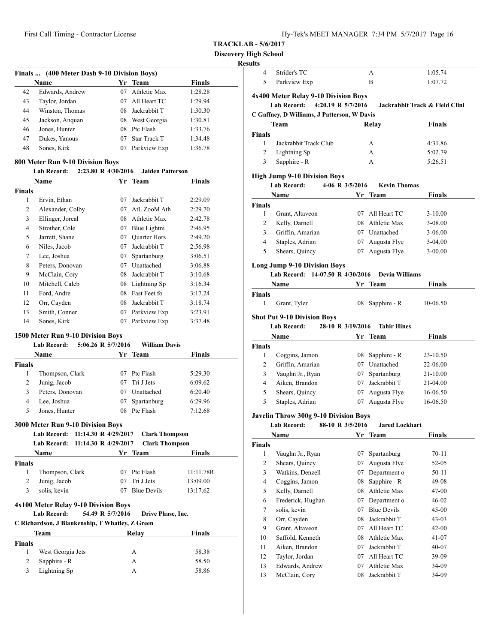| Hy-Tek's MEET MANAGER 7:34 PM 5/7/2017 Page 16 |  |  |  |  |
|------------------------------------------------|--|--|--|--|
|------------------------------------------------|--|--|--|--|

**Discovery High School**

# **Results**

| Finals  (400 Meter Dash 9-10 Division Boys) |                                  |                     |                         |               |  |
|---------------------------------------------|----------------------------------|---------------------|-------------------------|---------------|--|
|                                             | <b>Name</b>                      | Yr                  | <b>Team</b>             | <b>Finals</b> |  |
| 42                                          | Edwards, Andrew                  | 07                  | Athletic Max            | 1:28.28       |  |
| 43                                          | Taylor, Jordan                   | 07                  | All Heart TC            | 1:29.94       |  |
| 44                                          | Winston, Thomas                  | 08                  | Jackrabbit T            | 1:30.30       |  |
| 45                                          | Jackson, Anquan                  | 08                  | West Georgia            | 1:30.81       |  |
| 46                                          | Jones, Hunter                    | 08                  | Ptc Flash               | 1:33.76       |  |
| 47                                          | Dukes, Yanous                    | 07                  | <b>Star Track T</b>     | 1:34.48       |  |
| 48                                          | Sones, Kirk                      | 07                  | Parkview Exp            | 1:36.78       |  |
|                                             | 800 Meter Run 9-10 Division Boys |                     |                         |               |  |
|                                             | <b>Lab Record:</b>               | 2:23.80 R 4/30/2016 | <b>Jaiden Patterson</b> |               |  |
|                                             | Name                             | Yr                  | <b>Team</b>             | Finals        |  |
| <b>Finals</b>                               |                                  |                     |                         |               |  |
| 1                                           | Ervin, Ethan                     | 07                  | Jackrabbit T            | 2:29.09       |  |
| 2                                           | Alexander, Colby                 | 07                  | AtL ZooM Ath            | 2:29.70       |  |
| 3                                           | Ellinger, Joreal                 | 08                  | Athletic Max            | 2:42.78       |  |
| 4                                           | Strother, Cole                   | 07                  | Blue Lightni            | 2:46.95       |  |
| 5                                           | Jarrett, Shane                   | 07                  | <b>Quarter Hors</b>     | 2:49.20       |  |
| 6                                           | Niles, Jacob                     | 07                  | Jackrabbit T            | 2:56.98       |  |
| 7                                           | Lee, Joshua                      | 07                  | Spartanburg             | 3:06.51       |  |
| 8                                           | Peters, Donovan                  | 07                  | Unattached              | 3:06.88       |  |
| 9                                           | McClain, Cory                    | 08                  | Jackrabbit T            | 3:10.68       |  |
| 10                                          | Mitchell, Caleb                  | 08                  | Lightning Sp            | 3:16.34       |  |
| 11                                          | Ford, Andre                      | 08                  | Fast Feet fo            | 3:17.24       |  |
| 12                                          | Orr, Cayden                      | 08                  | Jackrabbit T            | 3:18.74       |  |

# **1500 Meter Run 9-10 Division Boys**

# **Lab Record: 5:06.26 R 5/7/2016 William Davis**

| тло кесого:     |    |             |                                                                                 |              |
|-----------------|----|-------------|---------------------------------------------------------------------------------|--------------|
| Name            |    |             | <b>Finals</b>                                                                   |              |
|                 |    |             |                                                                                 |              |
| Thompson, Clark | 07 |             | 5:29.30                                                                         |              |
| Junig, Jacob    | 07 |             | 6:09.62                                                                         |              |
| Peters, Donovan | 07 | Unattached  | 6:20.40                                                                         |              |
| Lee, Joshua     | 07 | Spartanburg | 6:29.96                                                                         |              |
| Jones, Hunter   |    |             | 7:12.68                                                                         |              |
|                 |    |             | $5:00.20 \times 5/1/2010$<br>Yr Team<br>Ptc Flash<br>Tri J Jets<br>08 Ptc Flash | WHIPER DAVIS |

13 Smith, Conner 07 Parkview Exp 3:23.91 14 Sones, Kirk 07 Parkview Exp 3:37.48

# **3000 Meter Run 9-10 Division Boys**

|               | Lab Record: 11:14.30 R 4/29/2017                               | <b>Clark Thompson</b>                 |               |
|---------------|----------------------------------------------------------------|---------------------------------------|---------------|
|               | Lab Record: 11:14.30 R 4/29/2017                               | <b>Clark Thompson</b>                 |               |
|               | Name                                                           | Yr Team                               | <b>Finals</b> |
| <b>Finals</b> |                                                                |                                       |               |
| 1             | Thompson, Clark                                                | Ptc Flash<br>07                       | 11:11.78R     |
| 2             | Junig, Jacob                                                   | Tri J Jets<br>07                      | 13:09.00      |
| 3             | solis, kevin                                                   | <b>Blue Devils</b><br>07              | 13:17.62      |
|               | Lab Record:<br>C Richardson, J Blankenship, T Whatley, Z Green | 54.49 R 5/7/2016<br>Drive Phase, Inc. |               |
|               | <b>Team</b>                                                    | Relay                                 | <b>Finals</b> |
| <b>Finals</b> |                                                                |                                       |               |
| 1             | West Georgia Jets                                              | A                                     | 58.38         |
| 2             | Sapphire - R                                                   | A                                     | 58.50         |
| 3             | Lightning Sp                                                   | А                                     | 58.86         |
|               |                                                                |                                       |               |

| ults               |                                              |                    |                       |                                |
|--------------------|----------------------------------------------|--------------------|-----------------------|--------------------------------|
| 4                  | Strider's TC                                 |                    | А                     | 1:05.74                        |
| 5                  | Parkview Exp                                 |                    | B                     | 1:07.72                        |
|                    | 4x400 Meter Relay 9-10 Division Boys         |                    |                       |                                |
|                    | <b>Lab Record:</b>                           | 4:20.19 R 5/7/2016 |                       | Jackrabbit Track & Field Clini |
|                    | C Gaffney, D Williams, J Patterson, W Davis  |                    |                       |                                |
|                    | Team                                         |                    |                       |                                |
|                    |                                              |                    | Relay                 | Finals                         |
| Finals<br>1        | Jackrabbit Track Club                        |                    | А                     | 4:31.86                        |
| 2                  | Lightning Sp                                 |                    | А                     | 5:02.79                        |
| 3                  | Sapphire - R                                 |                    | A                     | 5:26.51                        |
|                    |                                              |                    |                       |                                |
|                    | <b>High Jump 9-10 Division Boys</b>          |                    |                       |                                |
|                    | <b>Lab Record:</b>                           | 4-06 R 3/5/2016    | <b>Kevin Thomas</b>   |                                |
|                    | Name                                         | Yr                 | Team                  | Finals                         |
| <b>Finals</b>      |                                              |                    |                       |                                |
| 1                  | Grant, Altaveon                              |                    | 07 All Heart TC       | $3-10.00$                      |
| 2                  | Kelly, Darnell                               |                    | 08 Athletic Max       | 3-08.00                        |
| 3                  | Griffin, Amarian                             |                    | 07 Unattached         | 3-06.00                        |
| 4                  | Staples, Adrian                              |                    | 07 Augusta Flye       | 3-04.00                        |
| 5                  | Shears, Quincy                               |                    | 07 Augusta Flye       | $3-00.00$                      |
|                    | <b>Long Jump 9-10 Division Boys</b>          |                    |                       |                                |
|                    | 14-07.50 R 4/30/2016<br><b>Lab Record:</b>   |                    | <b>Devin Williams</b> |                                |
|                    |                                              |                    |                       |                                |
|                    | Name                                         |                    | Yr Team               | Finals                         |
| <b>Finals</b><br>1 |                                              |                    |                       |                                |
|                    | Grant, Tyler                                 |                    | 08 Sapphire - R       | 10-06.50                       |
|                    | <b>Shot Put 9-10 Division Boys</b>           |                    |                       |                                |
|                    | <b>Lab Record:</b>                           | 28-10 R 3/19/2016  | <b>Tahir Hines</b>    |                                |
|                    | Name                                         | Yr                 | <b>Team</b>           | Finals                         |
| <b>Finals</b>      |                                              |                    |                       |                                |
| 1                  | Coggins, Jamon                               |                    | 08 Sapphire - R       | 23-10.50                       |
| 2                  | Griffin, Amarian                             |                    | 07 Unattached         | 22-06.00                       |
| 3                  | Vaughn Jr., Ryan                             |                    | 07 Spartanburg        | 21-10.00                       |
| 4                  | Aiken, Brandon                               |                    | 07 Jackrabbit T       | 21-04.00                       |
| 5                  | Shears, Quincy                               | 07                 | Augusta Flye          | 16-06.50                       |
| 5                  | Staples, Adrian                              | 07                 | Augusta Flye          | 16-06.50                       |
|                    | <b>Javelin Throw 300g 9-10 Division Boys</b> |                    |                       |                                |
|                    | Lab Record:                                  | 88-10 R 3/5/2016   | <b>Jared Lockhart</b> |                                |
|                    | Name                                         |                    | Yr Team               | <b>Finals</b>                  |
| <b>Finals</b>      |                                              |                    |                       |                                |
| 1                  | Vaughn Jr., Ryan                             | 07                 | Spartanburg           | $70 - 11$                      |
| $\overline{c}$     | Shears, Quincy                               | 07                 | Augusta Flye          | 52-05                          |
| 3                  | Watkins, Denzell                             | 07                 | Department o          | 50-11                          |
| 4                  | Coggins, Jamon                               | 08                 | Sapphire - R          | 49-08                          |
| 5                  | Kelly, Darnell                               | 08                 | Athletic Max          | 47-00                          |
| 6                  | Frederick, Hughan                            | 07                 | Department o          | 46-02                          |
| 7                  | solis, kevin                                 | 07                 | <b>Blue Devils</b>    | 45-00                          |
| 8                  | Orr, Cayden                                  | 08                 | Jackrabbit T          | 43-03                          |
| 9                  | Grant, Altaveon                              | 07                 | All Heart TC          |                                |
|                    |                                              |                    |                       | 42-00                          |
| 10                 | Saffold, Kenneth                             | 08                 | Athletic Max          | 41-07                          |
| 11                 | Aiken, Brandon                               | 07                 | Jackrabbit T          | 40-07                          |
| 12                 |                                              |                    |                       |                                |
|                    | Taylor, Jordan                               | 07                 | All Heart TC          | 39-09                          |
| 13                 | Edwards, Andrew                              | 07                 | Athletic Max          | 34-09                          |
| 13                 | McClain, Cory                                | 08                 | Jackrabbit T          | 34-09                          |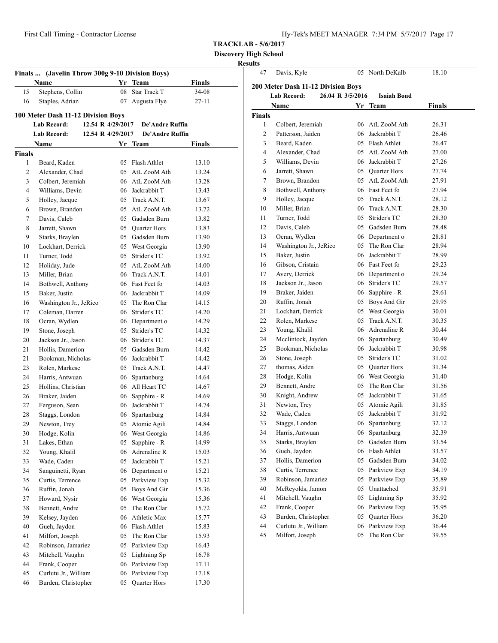**Discovery High School Results**<br>**A7** Davis Kyle

| Finals  (Javelin Throw 300g 9-10 Division Boys) |                                    |                   |                 |               |  |
|-------------------------------------------------|------------------------------------|-------------------|-----------------|---------------|--|
|                                                 | Name                               | Yr                | <b>Team</b>     | <b>Finals</b> |  |
| 15                                              | Stephens, Collin                   | 08                | Star Track T    | 34-08         |  |
| 16                                              | Staples, Adrian                    |                   | 07 Augusta Flye | $27 - 11$     |  |
|                                                 | 100 Meter Dash 11-12 Division Boys |                   |                 |               |  |
|                                                 | Lab Record:                        | 12.54 R 4/29/2017 | De'Andre Ruffin |               |  |
|                                                 | <b>Lab Record:</b>                 | 12.54 R 4/29/2017 | De'Andre Ruffin |               |  |
|                                                 | Name                               | Yr                | Team            | <b>Finals</b> |  |
| <b>Finals</b>                                   |                                    |                   |                 |               |  |
| 1                                               | Beard, Kaden                       |                   | 05 Flash Athlet | 13.10         |  |
| 2                                               | Alexander, Chad                    |                   | 05 AtL ZooM Ath | 13.24         |  |
| 3                                               | Colbert, Jeremiah                  |                   | 06 AtL ZooM Ath | 13.28         |  |
| $\overline{4}$                                  | Williams, Devin                    |                   | 06 Jackrabbit T | 13.43         |  |
| 5                                               | Holley, Jacque                     |                   | 05 Track A.N.T. | 13.67         |  |
| 6                                               | Brown, Brandon                     | 05                | AtL ZooM Ath    | 13.72         |  |
| 7                                               | Davis, Caleb                       |                   | 05 Gadsden Burn | 13.82         |  |
| 8                                               | Jarrett, Shawn                     |                   | 05 Ouarter Hors | 13.83         |  |
| 9                                               | Starks, Braylen                    |                   | 05 Gadsden Burn | 13.90         |  |
| 10                                              | Lockhart, Derrick                  | 05                | West Georgia    | 13.90         |  |
| 11                                              | Turner, Todd                       | 05                | Strider's TC    | 13.92         |  |
| 12                                              | Holiday, Jude                      |                   | 05 AtL ZooM Ath | 14.00         |  |
| 13                                              | Miller, Brian                      |                   | 06 Track A.N.T. | 14.01         |  |
| 14                                              | Bothwell, Anthony                  |                   | 06 Fast Feet fo | 14.03         |  |
| 15                                              | Baker, Justin                      |                   | 06 Jackrabbit T | 14.09         |  |
| 16                                              | Washington Jr., JeRico             |                   | 05 The Ron Clar | 14.15         |  |
| 17                                              | Coleman, Darren                    |                   | 06 Strider's TC | 14.20         |  |
| 18                                              | Ocran, Wydlen                      |                   | 06 Department o | 14.29         |  |
| 19                                              | Stone, Joseph                      |                   | 05 Strider's TC | 14.32         |  |
| 20                                              | Jackson Jr., Jason                 |                   | 06 Strider's TC | 14.37         |  |
| 21                                              | Hollis, Damerion                   |                   | 05 Gadsden Burn | 14.42         |  |
| 21                                              | Bookman, Nicholas                  |                   | 06 Jackrabbit T | 14.42         |  |
| 23                                              | Rolen, Markese                     |                   | 05 Track A.N.T. | 14.47         |  |
| 24                                              | Harris, Antwuan                    | 06                | Spartanburg     | 14.64         |  |
| 25                                              | Hollins, Christian                 |                   | 06 All Heart TC | 14.67         |  |
| 26                                              | Braker, Jaiden                     | 06                | Sapphire - R    | 14.69         |  |
| 27                                              | Ferguson, Sean                     | 06                | Jackrabbit T    | 14.74         |  |
| 28                                              | Staggs, London                     |                   | 06 Spartanburg  | 14.84         |  |
| 29                                              | Newton, Trey                       |                   | 05 Atomic Agili | 14.84         |  |
| 30                                              | Hodge, Kolin                       | 06                | West Georgia    | 14.86         |  |
| 31                                              | Lakes, Ethan                       | 05                | Sapphire - R    | 14.99         |  |
| 32                                              | Young, Khalil                      | 06                | Adrenaline R    | 15.03         |  |
| 33                                              | Wade, Caden                        | 05                | Jackrabbit T    | 15.21         |  |
| 34                                              | Sanguinetti, Ryan                  | 06                | Department o    | 15.21         |  |
| 35                                              | Curtis, Terrence                   | 05                | Parkview Exp    | 15.32         |  |
| 36                                              | Ruffin, Jonah                      | 05                | Boys And Gir    | 15.36         |  |
| 37                                              | Howard, Nysir                      | 06                | West Georgia    | 15.36         |  |
| 38                                              | Bennett, Andre                     | 05                | The Ron Clar    | 15.72         |  |
| 39                                              | Kelsey, Jayden                     | 06                | Athletic Max    | 15.77         |  |
| 40                                              | Gueh, Jaydon                       | 06                | Flash Athlet    | 15.83         |  |
| 41                                              | Milfort, Joseph                    | 05                | The Ron Clar    | 15.93         |  |
| 42                                              | Robinson, Jamariez                 | 05                | Parkview Exp    | 16.43         |  |
| 43                                              | Mitchell, Vaughn                   | 05                | Lightning Sp    | 16.78         |  |
| 44                                              | Frank, Cooper                      | 06                | Parkview Exp    | 17.11         |  |
| 45                                              | Curlutu Jr., William               | 06                | Parkview Exp    | 17.18         |  |
| 46                                              | Burden, Christopher                | 05                | Quarter Hors    | 17.30         |  |

| 47                                                                                                 | Davis, Kyle            |    | 05 North DeKalb | 18.10  |  |  |  |
|----------------------------------------------------------------------------------------------------|------------------------|----|-----------------|--------|--|--|--|
|                                                                                                    |                        |    |                 |        |  |  |  |
| 200 Meter Dash 11-12 Division Boys<br><b>Lab Record:</b><br>26.04 R 3/5/2016<br><b>Isaiah Bond</b> |                        |    |                 |        |  |  |  |
|                                                                                                    |                        |    |                 |        |  |  |  |
|                                                                                                    | Name                   | Yr | Team            | Finals |  |  |  |
| Finals                                                                                             |                        |    |                 |        |  |  |  |
| 1                                                                                                  | Colbert, Jeremiah      |    | 06 AtL ZooM Ath | 26.31  |  |  |  |
| 2                                                                                                  | Patterson, Jaiden      |    | 06 Jackrabbit T | 26.46  |  |  |  |
| 3                                                                                                  | Beard, Kaden           |    | 05 Flash Athlet | 26.47  |  |  |  |
| 4                                                                                                  | Alexander, Chad        |    | 05 AtL ZooM Ath | 27.00  |  |  |  |
| 5                                                                                                  | Williams, Devin        |    | 06 Jackrabbit T | 27.26  |  |  |  |
| 6                                                                                                  | Jarrett, Shawn         |    | 05 Ouarter Hors | 27.74  |  |  |  |
| 7                                                                                                  | Brown, Brandon         |    | 05 AtL ZooM Ath | 27.91  |  |  |  |
| 8                                                                                                  | Bothwell, Anthony      |    | 06 Fast Feet fo | 27.94  |  |  |  |
| 9                                                                                                  | Holley, Jacque         |    | 05 Track A.N.T. | 28.12  |  |  |  |
| 10                                                                                                 | Miller, Brian          |    | 06 Track A.N.T. | 28.30  |  |  |  |
| 11                                                                                                 | Turner, Todd           |    | 05 Strider's TC | 28.30  |  |  |  |
| 12                                                                                                 | Davis, Caleb           |    | 05 Gadsden Burn | 28.48  |  |  |  |
| 13                                                                                                 | Ocran, Wydlen          |    | 06 Department o | 28.81  |  |  |  |
| 14                                                                                                 | Washington Jr., JeRico |    | 05 The Ron Clar | 28.94  |  |  |  |
| 15                                                                                                 | Baker, Justin          |    | 06 Jackrabbit T | 28.99  |  |  |  |
| 16                                                                                                 | Gibson, Cristain       |    | 06 Fast Feet fo | 29.23  |  |  |  |
| 17                                                                                                 | Avery, Derrick         |    | 06 Department o | 29.24  |  |  |  |
| 18                                                                                                 | Jackson Jr., Jason     |    | 06 Strider's TC | 29.57  |  |  |  |
| 19                                                                                                 | Braker, Jaiden         |    | 06 Sapphire - R | 29.61  |  |  |  |
| 20                                                                                                 | Ruffin, Jonah          |    | 05 Boys And Gir | 29.95  |  |  |  |
| 21                                                                                                 | Lockhart, Derrick      |    | 05 West Georgia | 30.01  |  |  |  |
| 22                                                                                                 | Rolen, Markese         |    | 05 Track A.N.T. | 30.35  |  |  |  |
| 23                                                                                                 | Young, Khalil          |    | 06 Adrenaline R | 30.44  |  |  |  |
| 24                                                                                                 | Mcclintock, Jayden     |    | 06 Spartanburg  | 30.49  |  |  |  |
| 25                                                                                                 | Bookman, Nicholas      |    | 06 Jackrabbit T | 30.98  |  |  |  |
| 26                                                                                                 | Stone, Joseph          |    | 05 Strider's TC | 31.02  |  |  |  |
| 27                                                                                                 | thomas, Aiden          |    | 05 Quarter Hors | 31.34  |  |  |  |
| 28                                                                                                 | Hodge, Kolin           |    | 06 West Georgia | 31.40  |  |  |  |
| 29                                                                                                 | Bennett, Andre         | 05 | The Ron Clar    | 31.56  |  |  |  |
| 30                                                                                                 | Knight, Andrew         | 05 | Jackrabbit T    | 31.65  |  |  |  |
| 31                                                                                                 | Newton, Trey           |    | 05 Atomic Agili | 31.85  |  |  |  |
| 32                                                                                                 | Wade, Caden            | 05 | Jackrabbit T    | 31.92  |  |  |  |
| 33                                                                                                 | Staggs, London         |    | 06 Spartanburg  | 32.12  |  |  |  |
| 34                                                                                                 | Harris, Antwuan        | 06 | Spartanburg     | 32.39  |  |  |  |
| 35                                                                                                 | Starks, Braylen        | 05 | Gadsden Burn    | 33.54  |  |  |  |
| 36                                                                                                 | Gueh, Jaydon           | 06 | Flash Athlet    | 33.57  |  |  |  |
| 37                                                                                                 | Hollis, Damerion       | 05 | Gadsden Burn    | 34.02  |  |  |  |
| 38                                                                                                 | Curtis, Terrence       | 05 | Parkview Exp    | 34.19  |  |  |  |
| 39                                                                                                 | Robinson, Jamariez     | 05 | Parkview Exp    | 35.89  |  |  |  |
| 40                                                                                                 | McReyolds, Jamon       | 05 | Unattached      | 35.91  |  |  |  |
| 41                                                                                                 | Mitchell, Vaughn       | 05 | Lightning Sp    | 35.92  |  |  |  |
| 42                                                                                                 | Frank, Cooper          | 06 | Parkview Exp    | 35.95  |  |  |  |
| 43                                                                                                 | Burden, Christopher    | 05 | Quarter Hors    | 36.20  |  |  |  |
| 44                                                                                                 | Curlutu Jr., William   | 06 | Parkview Exp    | 36.44  |  |  |  |
| 45                                                                                                 | Milfort, Joseph        | 05 | The Ron Clar    | 39.55  |  |  |  |
|                                                                                                    |                        |    |                 |        |  |  |  |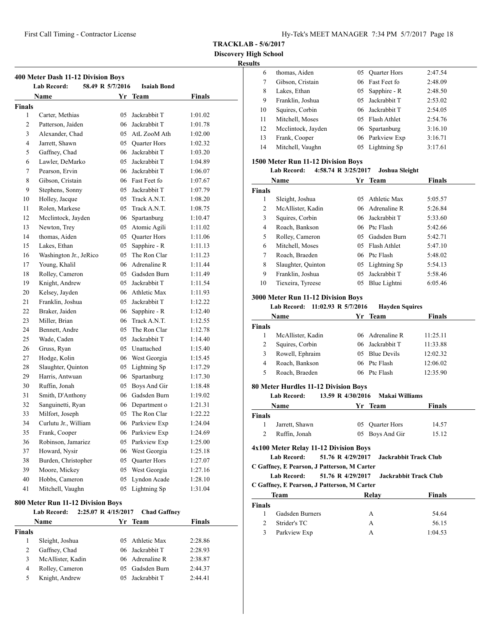**Discovery High School**

| <b>Results</b> |
|----------------|
|----------------|

| 400 Meter Dash 11-12 Division Boys                           |                        |  |    |                     |               |  |  |
|--------------------------------------------------------------|------------------------|--|----|---------------------|---------------|--|--|
| 58.49 R 5/7/2016<br><b>Lab Record:</b><br><b>Isaiah Bond</b> |                        |  |    |                     |               |  |  |
|                                                              | <b>Name</b>            |  |    | Yr Team             | <b>Finals</b> |  |  |
| Finals                                                       |                        |  |    |                     |               |  |  |
| 1                                                            | Carter, Methias        |  | 05 | Jackrabbit T        | 1:01.02       |  |  |
| $\overline{c}$                                               | Patterson, Jaiden      |  | 06 | Jackrabbit T        | 1:01.78       |  |  |
| 3                                                            | Alexander, Chad        |  | 05 | AtL ZooM Ath        | 1:02.00       |  |  |
| $\overline{4}$                                               | Jarrett, Shawn         |  | 05 | <b>Quarter Hors</b> | 1:02.32       |  |  |
| 5                                                            | Gaffney, Chad          |  | 06 | Jackrabbit T        | 1:03.20       |  |  |
| 6                                                            | Lawler, DeMarko        |  | 05 | Jackrabbit T        | 1:04.89       |  |  |
| 7                                                            | Pearson, Ervin         |  | 06 | Jackrabbit T        | 1:06.07       |  |  |
| 8                                                            | Gibson, Cristain       |  | 06 | Fast Feet fo        | 1:07.67       |  |  |
| 9                                                            | Stephens, Sonny        |  | 05 | Jackrabbit T        | 1:07.79       |  |  |
| 10                                                           | Holley, Jacque         |  | 05 | Track A.N.T.        | 1:08.20       |  |  |
| 11                                                           | Rolen, Markese         |  | 05 | Track A.N.T.        | 1:08.75       |  |  |
| 12                                                           | Mcclintock, Jayden     |  | 06 | Spartanburg         | 1:10.47       |  |  |
| 13                                                           | Newton, Trey           |  | 05 | Atomic Agili        | 1:11.02       |  |  |
| 14                                                           | thomas, Aiden          |  | 05 | Quarter Hors        | 1:11.06       |  |  |
| 15                                                           | Lakes, Ethan           |  | 05 | Sapphire - R        | 1:11.13       |  |  |
| 16                                                           | Washington Jr., JeRico |  | 05 | The Ron Clar        | 1:11.23       |  |  |
| 17                                                           | Young, Khalil          |  | 06 | Adrenaline R        | 1:11.44       |  |  |
| 18                                                           | Rolley, Cameron        |  | 05 | Gadsden Burn        | 1:11.49       |  |  |
| 19                                                           | Knight, Andrew         |  | 05 | Jackrabbit T        | 1:11.54       |  |  |
| 20                                                           | Kelsey, Jayden         |  | 06 | Athletic Max        | 1:11.93       |  |  |
| 21                                                           | Franklin, Joshua       |  | 05 | Jackrabbit T        | 1:12.22       |  |  |
| 22                                                           | Braker, Jaiden         |  | 06 | Sapphire - R        | 1:12.40       |  |  |
| 23                                                           | Miller, Brian          |  | 06 | Track A.N.T.        | 1:12.55       |  |  |
| 24                                                           | Bennett, Andre         |  | 05 | The Ron Clar        | 1:12.78       |  |  |
| 25                                                           | Wade, Caden            |  | 05 | Jackrabbit T        | 1:14.40       |  |  |
| 26                                                           | Gruss, Ryan            |  | 05 | Unattached          | 1:15.40       |  |  |
| 27                                                           | Hodge, Kolin           |  | 06 | West Georgia        | 1:15.45       |  |  |
| 28                                                           | Slaughter, Quinton     |  | 05 | Lightning Sp        | 1:17.29       |  |  |
| 29                                                           | Harris, Antwuan        |  | 06 | Spartanburg         | 1:17.30       |  |  |
| 30                                                           | Ruffin, Jonah          |  | 05 | Boys And Gir        | 1:18.48       |  |  |
| 31                                                           | Smith, D'Anthony       |  | 06 | Gadsden Burn        | 1:19.02       |  |  |
| 32                                                           | Sanguinetti, Ryan      |  | 06 | Department o        | 1:21.31       |  |  |
| 33                                                           | Milfort, Joseph        |  | 05 | The Ron Clar        | 1:22.22       |  |  |
| 34                                                           | Curlutu Jr., William   |  | 06 | Parkview Exp        | 1:24.04       |  |  |
| 35                                                           | Frank, Cooper          |  | 06 | Parkview Exp        | 1:24.69       |  |  |
| 36                                                           | Robinson, Jamariez     |  | 05 | Parkview Exp        | 1:25.00       |  |  |
| 37                                                           | Howard, Nysir          |  | 06 | West Georgia        | 1:25.18       |  |  |
| 38                                                           | Burden, Christopher    |  | 05 | Quarter Hors        | 1:27.07       |  |  |
| 39                                                           | Moore, Mickey          |  | 05 | West Georgia        | 1:27.16       |  |  |
| 40                                                           | Hobbs, Cameron         |  | 05 | Lyndon Acade        | 1:28.10       |  |  |
| 41                                                           | Mitchell, Vaughn       |  | 05 | Lightning Sp        | 1:31.04       |  |  |

#### **800 Meter Run 11-12 Division Boys**

| <b>Lab Record:</b> | <b>Chad Gaffney</b> |                     |
|--------------------|---------------------|---------------------|
| <b>Name</b>        | Yr Team             | <b>Finals</b>       |
|                    |                     |                     |
| Sleight, Joshua    | 05 Athletic Max     | 2:28.86             |
| Gaffney, Chad      | 06 Jackrabbit T     | 2:28.93             |
| McAllister, Kadin  | 06 Adrenaline R     | 2:38.87             |
| Rolley, Cameron    | 05 Gadsden Burn     | 2:44.37             |
| Knight, Andrew     | 05 Jackrabbit T     | 2:44.41             |
|                    | Finals              | 2:25.07 R 4/15/2017 |

| .  |                    |    |                     |         |
|----|--------------------|----|---------------------|---------|
| 6  | thomas, Aiden      | 05 | <b>Quarter Hors</b> | 2:47.54 |
|    | Gibson, Cristain   |    | 06 Fast Feet fo     | 2:48.09 |
| 8  | Lakes, Ethan       |    | 05 Sapphire - R     | 2:48.50 |
| 9  | Franklin, Joshua   |    | 05 Jackrabbit T     | 2:53.02 |
| 10 | Squires, Corbin    |    | 06 Jackrabbit T     | 2:54.05 |
| 11 | Mitchell, Moses    |    | 05 Flash Athlet     | 2:54.76 |
| 12 | Mcclintock, Jayden |    | 06 Spartanburg      | 3:16.10 |
| 13 | Frank, Cooper      |    | 06 Parkview Exp     | 3:16.71 |
| 14 | Mitchell, Vaughn   |    | 05 Lightning Sp     | 3:17.61 |

# **1500 Meter Run 11-12 Division Boys**

# **Lab Record: 4:58.74 R 3/25/2017 Joshua Sleight**

| Name          |                    | Yr | Team            | <b>Finals</b> |  |
|---------------|--------------------|----|-----------------|---------------|--|
| <b>Finals</b> |                    |    |                 |               |  |
| 1             | Sleight, Joshua    | 05 | Athletic Max    | 5:05.57       |  |
| 2             | McAllister, Kadin  |    | 06 Adrenaline R | 5:26.84       |  |
| 3             | Squires, Corbin    |    | 06 Jackrabbit T | 5:33.60       |  |
| 4             | Roach, Bankson     |    | 06 Ptc Flash    | 5:42.66       |  |
| 5             | Rolley, Cameron    |    | 05 Gadsden Burn | 5:42.71       |  |
| 6             | Mitchell, Moses    | 05 | Flash Athlet    | 5:47.10       |  |
| 7             | Roach, Braeden     |    | 06 Ptc Flash    | 5:48.02       |  |
| 8             | Slaughter, Quinton |    | 05 Lightning Sp | 5:54.13       |  |
| 9             | Franklin, Joshua   | 05 | Jackrabbit T    | 5:58.46       |  |
| 10            | Tiexeira, Tyreese  | 05 | Blue Lightni    | 6:05.46       |  |

#### **3000 Meter Run 11-12 Division Boys**

# **Lab Record: 11:02.93 R 5/7/2016 Hayden Squires**

| Name          |                   | Yr Team         | <b>Finals</b> |  |
|---------------|-------------------|-----------------|---------------|--|
| <b>Finals</b> |                   |                 |               |  |
|               | McAllister, Kadin | 06 Adrenaline R | 11:25.11      |  |
| 2             | Squires, Corbin   | 06 Jackrabbit T | 11:33.88      |  |
| 3             | Rowell, Ephraim   | 05 Blue Devils  | 12:02.32      |  |
| 4             | Roach, Bankson    | 06 Ptc Flash    | 12:06.02      |  |
| 5             | Roach, Braeden    | 06 Ptc Flash    | 12:35.90      |  |
|               |                   |                 |               |  |

# **80 Meter Hurdles 11-12 Division Boys**

#### **Lab Record: 13.59 R 4/30/2016 Makai Williams**

|               | Lav Ketvi u.                                | $13.37 \, \text{K}$ +/30/4010 $\,$ Makal Williams |                              |        |
|---------------|---------------------------------------------|---------------------------------------------------|------------------------------|--------|
|               | Name                                        |                                                   | Yr Team                      | Finals |
| <b>Finals</b> |                                             |                                                   |                              |        |
| 1             | Jarrett, Shawn                              |                                                   | 05 Ouarter Hors              | 14.57  |
| 2             | Ruffin, Jonah                               |                                                   | 05 Boys And Gir              | 15.12  |
|               | 4x100 Meter Relay 11-12 Division Boys       |                                                   |                              |        |
|               | Lab Record:                                 | 51.76 R 4/29/2017 Jackrabbit Track Club           |                              |        |
|               | C Gaffney, E Pearson, J Patterson, M Carter |                                                   |                              |        |
|               | Lab Record:                                 | 51.76 R 4/29/2017                                 | <b>Jackrabbit Track Club</b> |        |
|               | C Gaffney, E Pearson, J Patterson, M Carter |                                                   |                              |        |
|               | <b>Team</b>                                 |                                                   | Relav                        | Finals |
| <b>Finals</b> |                                             |                                                   |                              |        |
| 1             | Gadsden Burners                             |                                                   | А                            | 54.64  |
| $\sim$        | $0 + 1 - 1 - T C$                           |                                                   | $\mathbf{A}$                 | 26.15  |

| Strider's TC | 56.15   |
|--------------|---------|
| Parkview Exp | 1:04.53 |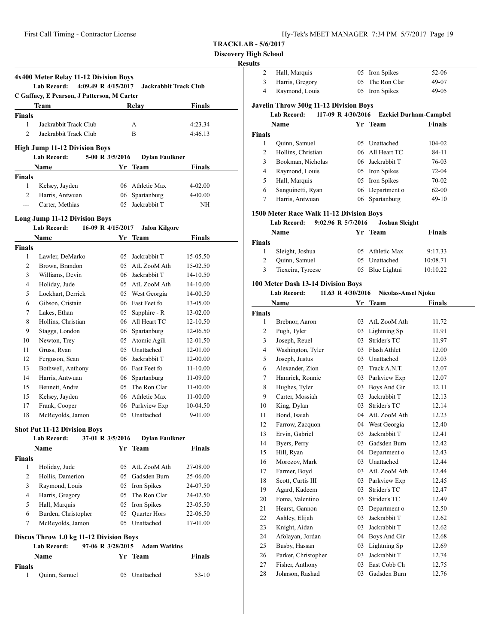**Discovery High School**

# **Result**

| C Gaffney, E Pearson, J Patterson, M Carter                                                                                                       |                     |                                       |  |  |  |
|---------------------------------------------------------------------------------------------------------------------------------------------------|---------------------|---------------------------------------|--|--|--|
| Team                                                                                                                                              | Relay               | <b>Finals</b>                         |  |  |  |
| <b>Finals</b>                                                                                                                                     |                     |                                       |  |  |  |
| Jackrabbit Track Club<br>1                                                                                                                        | A                   | 4:23.34                               |  |  |  |
| $\mathcal{D}$<br>Jackrabbit Track Club                                                                                                            | R                   | 4:46.13                               |  |  |  |
| <b>High Jump 11-12 Division Boys</b><br><b>Lab Record:</b><br>5-00 R 3/5/2016<br><b>Dylan Faulkner</b><br><b>Finals</b><br><b>Name</b><br>Yr Team |                     |                                       |  |  |  |
|                                                                                                                                                   |                     |                                       |  |  |  |
|                                                                                                                                                   |                     |                                       |  |  |  |
| Kelsey, Jayden<br>1                                                                                                                               | 06 Athletic Max     | $4 - 02.00$                           |  |  |  |
| <b>Finals</b><br>$\overline{2}$<br>Harris, Antwuan                                                                                                | 06 Spartanburg      | $4 - 00.00$                           |  |  |  |
| Carter, Methias                                                                                                                                   | Jackrabbit T<br>05. | NH                                    |  |  |  |
| <b>Long Jump 11-12 Division Boys</b><br><b>Lab Record:</b><br><b>Name</b>                                                                         | 16-09 R 4/15/2017   | <b>Jalon Kilgore</b><br><b>Finals</b> |  |  |  |

| гуанис         |                    | 11 | тсаш         | г шагэ       |
|----------------|--------------------|----|--------------|--------------|
| Finals         |                    |    |              |              |
| 1              | Lawler, DeMarko    | 05 | Jackrabbit T | 15-05.50     |
| 2              | Brown, Brandon     | 05 | AtL ZooM Ath | 15-02.50     |
| 3              | Williams, Devin    | 06 | Jackrabbit T | 14-10.50     |
| $\overline{4}$ | Holiday, Jude      | 05 | AtL ZooM Ath | 14-10.00     |
| 5              | Lockhart, Derrick  | 05 | West Georgia | 14-00.50     |
| 6              | Gibson, Cristain   | 06 | Fast Feet fo | 13-05.00     |
| 7              | Lakes, Ethan       | 05 | Sapphire - R | 13-02.00     |
| 8              | Hollins, Christian | 06 | All Heart TC | 12-10.50     |
| 9              | Staggs, London     | 06 | Spartanburg  | 12-06.50     |
| 10             | Newton, Trey       | 05 | Atomic Agili | 12-01.50     |
| 11             | Gruss, Ryan        | 05 | Unattached   | 12-01.00     |
| 12             | Ferguson, Sean     | 06 | Jackrabbit T | 12-00.00     |
| 13             | Bothwell, Anthony  | 06 | Fast Feet fo | $11 - 10.00$ |
| 14             | Harris, Antwuan    | 06 | Spartanburg  | 11-09.00     |
| 15             | Bennett, Andre     | 05 | The Ron Clar | 11-00.00     |
| 15             | Kelsey, Jayden     | 06 | Athletic Max | 11-00.00     |
| 17             | Frank, Cooper      | 06 | Parkview Exp | 10-04.50     |
| 18             | McReyolds, Jamon   | 05 | Unattached   | 9-01.00      |

# **Shot Put 11-12 Division Boys**

|                                                                                                           | <b>Lab Record:</b>  | 37-01 R 3/5/2016 | <b>Dylan Faulkner</b> |               |  |  |
|-----------------------------------------------------------------------------------------------------------|---------------------|------------------|-----------------------|---------------|--|--|
|                                                                                                           | Name                |                  | Yr Team               | <b>Finals</b> |  |  |
| <b>Finals</b>                                                                                             |                     |                  |                       |               |  |  |
| 1                                                                                                         | Holiday, Jude       | 05               | AtL ZooM Ath          | 27-08.00      |  |  |
| 2                                                                                                         | Hollis, Damerion    | 05               | Gadsden Burn          | 25-06.00      |  |  |
| 3                                                                                                         | Raymond, Louis      | 05               | Iron Spikes           | 24-07.50      |  |  |
| 4                                                                                                         | Harris, Gregory     |                  | 05 The Ron Clar       | 24-02.50      |  |  |
| 5                                                                                                         | Hall, Marquis       | 05               | Iron Spikes           | 23-05.50      |  |  |
| 6                                                                                                         | Burden, Christopher |                  | 05 Ouarter Hors       | 22-06.50      |  |  |
| 7                                                                                                         | McReyolds, Jamon    | 05               | Unattached            | 17-01.00      |  |  |
| Discus Throw 1.0 kg 11-12 Division Boys<br>97-06 R 3/28/2015<br><b>Lab Record:</b><br><b>Adam Watkins</b> |                     |                  |                       |               |  |  |
|                                                                                                           | Name                |                  | Yr Team               | <b>Finals</b> |  |  |
| <b>Finals</b>                                                                                             |                     |                  |                       |               |  |  |
| 1                                                                                                         | Quinn, Samuel       | 05               | Unattached            | 53-10         |  |  |

| unts           |                                          |                    |                     |                               |
|----------------|------------------------------------------|--------------------|---------------------|-------------------------------|
| 2              | Hall, Marquis                            |                    | 05 Iron Spikes      | 52-06                         |
| 3              | Harris, Gregory                          | 05                 | The Ron Clar        | 49-07                         |
| $\overline{4}$ | Raymond, Louis                           |                    | 05 Iron Spikes      | 49-05                         |
|                | Javelin Throw 300g 11-12 Division Boys   |                    |                     |                               |
|                | <b>Lab Record:</b>                       | 117-09 R 4/30/2016 |                     | <b>Ezekiel Durham-Campbel</b> |
|                | Name                                     |                    | Yr Team             | Finals                        |
| <b>Finals</b>  |                                          |                    |                     |                               |
| 1              | Quinn, Samuel                            |                    | 05 Unattached       | 104-02                        |
| 2              | Hollins, Christian                       |                    | 06 All Heart TC     | 84-11                         |
| 3              | Bookman, Nicholas                        |                    | 06 Jackrabbit T     | 76-03                         |
| $\overline{4}$ | Raymond, Louis                           |                    | 05 Iron Spikes      | 72-04                         |
| 5              | Hall, Marquis                            |                    | 05 Iron Spikes      | 70-02                         |
| 6              | Sanguinetti, Ryan                        |                    | 06 Department o     | $62 - 00$                     |
| 7              | Harris, Antwuan                          | 06                 | Spartanburg         | 49-10                         |
|                |                                          |                    |                     |                               |
|                | 1500 Meter Race Walk 11-12 Division Boys |                    |                     |                               |
|                | <b>Lab Record:</b>                       | 9:02.96 R 5/7/2016 | Joshua Sleight      |                               |
|                | Name                                     | Yr                 | <b>Team</b>         | <b>Finals</b>                 |
| <b>Finals</b>  |                                          |                    |                     |                               |
| 1              | Sleight, Joshua                          |                    | 05 Athletic Max     | 9:17.33                       |
| 2              | Quinn, Samuel                            |                    | 05 Unattached       | 10:08.71                      |
| 3              | Tiexeira, Tyreese                        |                    | 05 Blue Lightni     | 10:10.22                      |
|                | 100 Meter Dash 13-14 Division Boys       |                    |                     |                               |
|                | <b>Lab Record:</b>                       | 11.63 R 4/30/2016  | Nicolas-Ansel Njoku |                               |
|                | Name                                     |                    | Yr Team             | Finals                        |
| <b>Finals</b>  |                                          |                    |                     |                               |
| 1              | Brebnor, Aaron                           |                    | 03 AtL ZooM Ath     | 11.72                         |
| 2              | Pugh, Tyler                              |                    | 03 Lightning Sp     | 11.91                         |
| 3              | Joseph, Reuel                            |                    | 03 Strider's TC     | 11.97                         |
| 4              | Washington, Tyler                        |                    | 03 Flash Athlet     | 12.00                         |
| 5              | Joseph, Justus                           |                    | 03 Unattached       | 12.03                         |
| 6              | Alexander, Zion                          |                    | 03 Track A.N.T.     | 12.07                         |
| 7              | Hamrick, Ronnie                          |                    | 03 Parkview Exp     | 12.07                         |
| 8              | Hughes, Tyler                            |                    | 03 Boys And Gir     | 12.11                         |
| 9              | Carter, Mossiah                          |                    | 03 Jackrabbit T     | 12.13                         |
| 10             | King, Dylan                              |                    | 03 Strider's TC     | 12.14                         |
| 11             | Bond, Isaiah                             | 04                 | AtL ZooM Ath        | 12.23                         |
| 12             | Farrow, Zacquon                          | 04                 | West Georgia        | 12.40                         |
| 13             | Ervin, Gabriel                           | 03                 | Jackrabbit T        | 12.41                         |
| 14             | Byers, Perry                             | 03                 | Gadsden Burn        | 12.42                         |
| 15             | Hill, Ryan                               | 04                 | Department o        | 12.43                         |
| 16             | Morozov, Mark                            |                    | 03 Unattached       | 12.44                         |
| 17             | Farmer, Boyd                             |                    | 03 AtL ZooM Ath     | 12.44                         |
| 18             | Scott, Curtis III                        | 03                 | Parkview Exp        | 12.45                         |
| 19             | Agard, Kadeem                            | 03                 | Strider's TC        | 12.47                         |
| 20             | Foma, Valentino                          | 03                 | Strider's TC        | 12.49                         |
| 21             | Hearst, Gannon                           | 03                 | Department o        | 12.50                         |
| 22             | Ashley, Elijah                           | 03                 | Jackrabbit T        | 12.62                         |
| 23             | Knight, Aidan                            | 03                 | Jackrabbit T        | 12.62                         |
| 24             | Afolayan, Jordan                         | 04                 | Boys And Gir        | 12.68                         |
| 25             | Busby, Hassan                            | 03                 | Lightning Sp        | 12.69                         |
| 26             | Parker, Christopher                      | 03                 | Jackrabbit T        | 12.74                         |
| 27             | Fisher, Anthony                          | 03                 | East Cobb Ch        | 12.75                         |
| 28             | Johnson, Rashad                          | 03                 | Gadsden Burn        | 12.76                         |
|                |                                          |                    |                     |                               |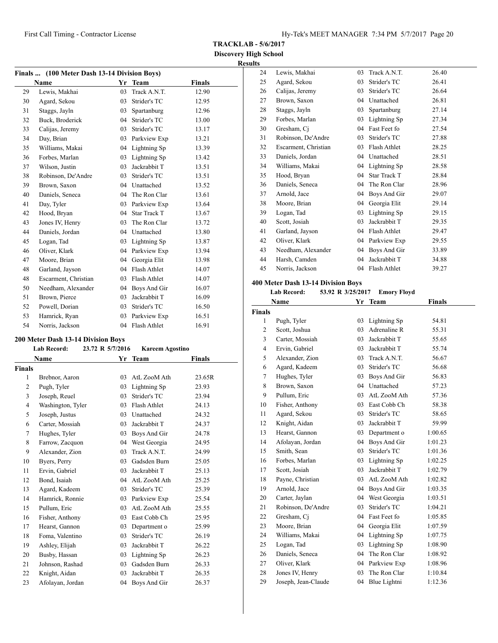**TRACKLAB - 5/6/2017**

**Discovery High School Results**

| Finals  (100 Meter Dash 13-14 Division Boys) |                      |    |                     |        |  |
|----------------------------------------------|----------------------|----|---------------------|--------|--|
|                                              | Name                 | Yr | <b>Team</b>         | Finals |  |
| 29                                           | Lewis, Makhai        | 03 | Track A.N.T.        | 12.90  |  |
| 30                                           | Agard, Sekou         | 03 | Strider's TC        | 12.95  |  |
| 31                                           | Staggs, Jayln        | 03 | Spartanburg         | 12.96  |  |
| 32                                           | Buck, Broderick      | 04 | Strider's TC        | 13.00  |  |
| 33                                           | Calijas, Jeremy      | 03 | Strider's TC        | 13.17  |  |
| 34                                           | Day, Brian           | 03 | Parkview Exp        | 13.21  |  |
| 35                                           | Williams, Makai      | 04 | Lightning Sp        | 13.39  |  |
| 36                                           | Forbes, Marlan       | 03 | Lightning Sp        | 13.42  |  |
| 37                                           | Wilson, Justin       | 03 | Jackrabbit T        | 13.51  |  |
| 38                                           | Robinson, De'Andre   | 03 | Strider's TC        | 13.51  |  |
| 39                                           | Brown, Saxon         |    | 04 Unattached       | 13.52  |  |
| 40                                           | Daniels, Seneca      | 04 | The Ron Clar        | 13.61  |  |
| 41                                           | Day, Tyler           | 03 | Parkview Exp        | 13.64  |  |
| 42                                           | Hood, Bryan          | 04 | <b>Star Track T</b> | 13.67  |  |
| 43                                           | Jones IV, Henry      | 03 | The Ron Clar        | 13.72  |  |
| 44                                           | Daniels, Jordan      | 04 | Unattached          | 13.80  |  |
| 45                                           | Logan, Tad           | 03 | Lightning Sp        | 13.87  |  |
| 46                                           | Oliver, Klark        | 04 | Parkview Exp        | 13.94  |  |
| 47                                           | Moore, Brian         | 04 | Georgia Elit        | 13.98  |  |
| 48                                           | Garland, Jayson      | 04 | Flash Athlet        | 14.07  |  |
| 48                                           | Escarment, Christian | 03 | Flash Athlet        | 14.07  |  |
| 50                                           | Needham, Alexander   | 04 | Boys And Gir        | 16.07  |  |
| 51                                           | Brown, Pierce        | 03 | Jackrabbit T        | 16.09  |  |
| 52                                           | Powell, Dorian       | 03 | Strider's TC        | 16.50  |  |
| 53                                           | Hamrick, Ryan        | 03 | Parkview Exp        | 16.51  |  |
| 54                                           | Norris, Jackson      | 04 | Flash Athlet        | 16.91  |  |

# **200 Meter Dash 13-14 Division Boys**

|                | <b>Lab Record:</b> | 23.72 R 5/7/2016 | <b>Kareem Agostino</b> |               |
|----------------|--------------------|------------------|------------------------|---------------|
|                | Name               |                  | Yr Team                | <b>Finals</b> |
| <b>Finals</b>  |                    |                  |                        |               |
| 1              | Brebnor, Aaron     | 03               | AtL ZooM Ath           | 23.65R        |
| $\overline{2}$ | Pugh, Tyler        | 03               | Lightning Sp           | 23.93         |
| 3              | Joseph, Reuel      | 03               | Strider's TC           | 23.94         |
| 4              | Washington, Tyler  | 03               | Flash Athlet           | 24.13         |
| 5              | Joseph, Justus     | 03               | Unattached             | 24.32         |
| 6              | Carter, Mossiah    | 03               | Jackrabbit T           | 24.37         |
| 7              | Hughes, Tyler      | 03               | Boys And Gir           | 24.78         |
| 8              | Farrow, Zacquon    | 04               | West Georgia           | 24.95         |
| 9              | Alexander, Zion    | 03               | Track A.N.T.           | 24.99         |
| 10             | Byers, Perry       | 03               | Gadsden Burn           | 25.05         |
| 11             | Ervin, Gabriel     | 03               | Jackrabbit T           | 25.13         |
| 12             | Bond, Isaiah       | 04               | AtL ZooM Ath           | 25.25         |
| 13             | Agard, Kadeem      | 03               | Strider's TC           | 25.39         |
| 14             | Hamrick, Ronnie    | 03               | Parkview Exp           | 25.54         |
| 15             | Pullum, Eric       | 03               | AtL ZooM Ath           | 25.55         |
| 16             | Fisher, Anthony    | 03               | East Cobb Ch           | 25.95         |
| 17             | Hearst, Gannon     | 03               | Department o           | 25.99         |
| 18             | Foma, Valentino    | 03               | Strider's TC           | 26.19         |
| 19             | Ashley, Elijah     | 03               | Jackrabbit T           | 26.22         |
| 20             | Busby, Hassan      | 03               | Lightning Sp           | 26.23         |
| 21             | Johnson, Rashad    | 03               | Gadsden Burn           | 26.33         |
| 22             | Knight, Aidan      | 03               | Jackrabbit T           | 26.35         |
| 23             | Afolayan, Jordan   | 04               | Boys And Gir           | 26.37         |

| 24 | Lewis, Makhai        | 03 | Track A.N.T. | 26.40 |
|----|----------------------|----|--------------|-------|
| 25 | Agard, Sekou         | 03 | Strider's TC | 26.41 |
| 26 | Calijas, Jeremy      | 03 | Strider's TC | 26.64 |
| 27 | Brown, Saxon         | 04 | Unattached   | 26.81 |
| 28 | Staggs, Jayln        | 03 | Spartanburg  | 27.14 |
| 29 | Forbes, Marlan       | 03 | Lightning Sp | 27.34 |
| 30 | Gresham, Ci          | 04 | Fast Feet fo | 27.54 |
| 31 | Robinson, De'Andre   | 03 | Strider's TC | 27.88 |
| 32 | Escarment, Christian | 03 | Flash Athlet | 28.25 |
| 33 | Daniels, Jordan      | 04 | Unattached   | 28.51 |
| 34 | Williams, Makai      | 04 | Lightning Sp | 28.58 |
| 35 | Hood, Bryan          | 04 | Star Track T | 28.84 |
| 36 | Daniels, Seneca      | 04 | The Ron Clar | 28.96 |
| 37 | Arnold, Jace         | 04 | Boys And Gir | 29.07 |
| 38 | Moore, Brian         | 04 | Georgia Elit | 29.14 |
| 39 | Logan, Tad           | 03 | Lightning Sp | 29.15 |
| 40 | Scott, Josiah        | 03 | Jackrabbit T | 29.35 |
| 41 | Garland, Jayson      | 04 | Flash Athlet | 29.47 |
| 42 | Oliver, Klark        | 04 | Parkview Exp | 29.55 |
| 43 | Needham, Alexander   | 04 | Boys And Gir | 33.89 |
| 44 | Harsh, Camden        | 04 | Jackrabbit T | 34.88 |
| 45 | Norris, Jackson      | 04 | Flash Athlet | 39.27 |

# **400 Meter Dash 13-14 Division Boys**

| Lab Record: |  | 53.92 R 3/25/2017 | Emory Floyd |
|-------------|--|-------------------|-------------|
|-------------|--|-------------------|-------------|

|                | Name                | Yr | <b>Team</b>     | <b>Finals</b> |  |
|----------------|---------------------|----|-----------------|---------------|--|
| <b>Finals</b>  |                     |    |                 |               |  |
| $\mathbf{1}$   | Pugh, Tyler         | 03 | Lightning Sp    | 54.81         |  |
| $\overline{c}$ | Scott, Joshua       | 03 | Adrenaline R    | 55.31         |  |
| 3              | Carter, Mossiah     | 03 | Jackrabbit T    | 55.65         |  |
| $\overline{4}$ | Ervin, Gabriel      | 03 | Jackrabbit T    | 55.74         |  |
| 5              | Alexander, Zion     | 03 | Track A.N.T.    | 56.67         |  |
| 6              | Agard, Kadeem       | 03 | Strider's TC    | 56.68         |  |
| 7              | Hughes, Tyler       | 03 | Boys And Gir    | 56.83         |  |
| 8              | Brown, Saxon        |    | 04 Unattached   | 57.23         |  |
| 9              | Pullum, Eric        | 03 | AtL ZooM Ath    | 57.36         |  |
| 10             | Fisher, Anthony     | 03 | East Cobb Ch    | 58.38         |  |
| 11             | Agard, Sekou        | 03 | Strider's TC    | 58.65         |  |
| 12             | Knight, Aidan       | 03 | Jackrabbit T    | 59.99         |  |
| 13             | Hearst, Gannon      | 03 | Department o    | 1:00.65       |  |
| 14             | Afolayan, Jordan    | 04 | Boys And Gir    | 1:01.23       |  |
| 15             | Smith, Sean         | 03 | Strider's TC    | 1:01.36       |  |
| 16             | Forbes, Marlan      | 03 | Lightning Sp    | 1:02.25       |  |
| 17             | Scott, Josiah       | 03 | Jackrabbit T    | 1:02.79       |  |
| 18             | Payne, Christian    | 03 | AtL ZooM Ath    | 1:02.82       |  |
| 19             | Arnold, Jace        | 04 | Boys And Gir    | 1:03.35       |  |
| 20             | Carter, Jaylan      | 04 | West Georgia    | 1:03.51       |  |
| 21             | Robinson, De'Andre  | 03 | Strider's TC    | 1:04.21       |  |
| 22             | Gresham, Ci         | 04 | Fast Feet fo    | 1:05.85       |  |
| 23             | Moore, Brian        | 04 | Georgia Elit    | 1:07.59       |  |
| 24             | Williams, Makai     | 04 | Lightning Sp    | 1:07.75       |  |
| 25             | Logan, Tad          | 03 | Lightning Sp    | 1:08.90       |  |
| 26             | Daniels, Seneca     | 04 | The Ron Clar    | 1:08.92       |  |
| 27             | Oliver, Klark       |    | 04 Parkview Exp | 1:08.96       |  |
| 28             | Jones IV, Henry     | 03 | The Ron Clar    | 1:10.84       |  |
| 29             | Joseph, Jean-Claude | 04 | Blue Lightni    | 1:12.36       |  |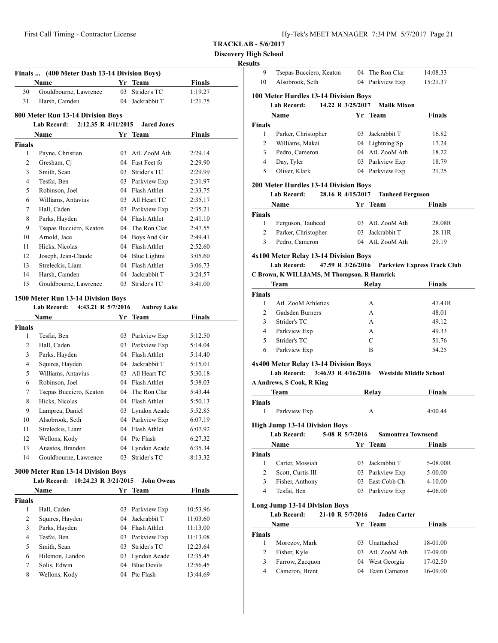|  | Hy-Tek's MEET MANAGER 7:34 PM 5/7/2017 Page 21 |  |  |
|--|------------------------------------------------|--|--|
|  |                                                |  |  |

**Discovery High School**

# **R**

|               | Finals  (400 Meter Dash 13-14 Division Boys)                                     |          |                                    |                      |
|---------------|----------------------------------------------------------------------------------|----------|------------------------------------|----------------------|
|               | Name                                                                             |          | Yr Team                            | <b>Finals</b>        |
| 30            | Gouldbourne, Lawrence                                                            | 03       | Strider's TC                       | 1:19.27              |
| 31            | Harsh, Camden                                                                    |          | 04 Jackrabbit T                    | 1:21.75              |
|               |                                                                                  |          |                                    |                      |
|               | 800 Meter Run 13-14 Division Boys<br>2:12.35 R 4/11/2015<br><b>Lab Record:</b>   |          | <b>Jared Jones</b>                 |                      |
|               |                                                                                  |          |                                    |                      |
|               | Name                                                                             |          | Yr Team                            | <b>Finals</b>        |
| <b>Finals</b> |                                                                                  |          |                                    |                      |
| 1             | Payne, Christian                                                                 | 03       | AtL ZooM Ath<br>Fast Feet fo       | 2:29.14              |
| 2             | Gresham, Ci<br>Smith, Sean                                                       | 04       | Strider's TC                       | 2:29.90              |
| 3             |                                                                                  | 03       |                                    | 2:29.99              |
| 4<br>5        | Tesfai, Ben<br>Robinson, Joel                                                    | 03<br>04 | Parkview Exp<br>Flash Athlet       | 2:31.97              |
|               |                                                                                  |          |                                    | 2:33.75              |
| 6             | Williams, Antavius                                                               |          | 03 All Heart TC                    | 2:35.17              |
| 7             | Hall, Caden                                                                      |          | 03 Parkview Exp                    | 2:35.21              |
| 8             | Parks, Hayden                                                                    | 04       | Flash Athlet                       | 2:41.10              |
| 9             | Tsepas Bucciero, Keaton                                                          | 04       | The Ron Clar                       | 2:47.55              |
| 10            | Arnold, Jace                                                                     |          | 04 Boys And Gir                    | 2:49.41              |
| 11            | Hicks, Nicolas                                                                   | 04       | Flash Athlet                       | 2:52.60              |
| 12            | Joseph, Jean-Claude                                                              | 04       | Blue Lightni                       | 3:05.60              |
| 13            | Streleckis, Liam                                                                 | 04       | Flash Athlet                       | 3:06.73              |
| 14            | Harsh, Camden                                                                    | 04       | Jackrabbit T                       | 3:24.57              |
| 15            | Gouldbourne, Lawrence                                                            | 03       | Strider's TC                       | 3:41.00              |
|               | 1500 Meter Run 13-14 Division Boys                                               |          |                                    |                      |
|               | <b>Lab Record:</b><br>4:43.21 R 5/7/2016                                         |          | <b>Aubrey Lake</b>                 |                      |
|               | Name                                                                             |          | Yr Team                            | Finals               |
| <b>Finals</b> |                                                                                  |          |                                    |                      |
| 1             | Tesfai, Ben                                                                      |          | 03 Parkview Exp                    | 5:12.50              |
| 2             | Hall, Caden                                                                      | 03       | Parkview Exp                       | 5:14.04              |
| 3             | Parks, Hayden                                                                    | 04       | Flash Athlet                       | 5:14.40              |
| 4             | Squires, Hayden                                                                  | 04       | Jackrabbit T                       | 5:15.01              |
| 5             | Williams, Antavius                                                               | 03       | All Heart TC                       | 5:30.18              |
| 6             | Robinson, Joel                                                                   | 04       | Flash Athlet                       | 5:38.03              |
| 7             | Tsepas Bucciero, Keaton                                                          | 04       | The Ron Clar                       | 5:43.44              |
| 8             | Hicks, Nicolas                                                                   | 04       | Flash Athlet                       | 5:50.13              |
| 9             | Lamprea, Daniel                                                                  | 03       | Lyndon Acade                       | 5:52.85              |
| 10            | Alsobrook, Seth                                                                  | 04       | Parkview Exp                       | 6:07.19              |
| 11            | Streleckis, Liam                                                                 | 04       | Flash Athlet                       | 6:07.92              |
| 12            | Wellons, Kody                                                                    |          | 04 Ptc Flash                       | 6:27.32              |
| 13            | Anastos, Brandon                                                                 | 04       | Lyndon Acade                       | 6:35.34              |
| 14            | Gouldbourne, Lawrence                                                            | 03       | Strider's TC                       | 8:13.32              |
|               |                                                                                  |          |                                    |                      |
|               | 3000 Meter Run 13-14 Division Boys<br><b>Lab Record:</b><br>10:24.23 R 3/21/2015 |          | <b>John Owens</b>                  |                      |
|               |                                                                                  |          |                                    |                      |
|               | Name                                                                             |          | Yr Team                            | Finals               |
| <b>Finals</b> |                                                                                  |          |                                    |                      |
| $\mathbf{1}$  | Hall, Caden                                                                      | 03       | Parkview Exp                       | 10:53.96             |
| 2             | Squires, Hayden                                                                  | 04       | Jackrabbit T                       | 11:03.60             |
| 3             | Parks, Hayden<br>Tesfai, Ben                                                     | 04       | Flash Athlet                       | 11:13.00             |
| 4             |                                                                                  | 03       | Parkview Exp<br>Strider's TC       | 11:13.08             |
| 5<br>6        | Smith, Sean<br>Hilemon, Landon                                                   | 03<br>03 |                                    | 12:23.64             |
| 7             | Solis, Edwin                                                                     | 04       | Lyndon Acade<br><b>Blue Devils</b> | 12:35.45<br>12:56.45 |
| 8             | Wellons, Kody                                                                    | 04       | Ptc Flash                          | 13:44.69             |
|               |                                                                                  |          |                                    |                      |

| 9<br>10                             | Tsepas Bucciero, Keaton<br>Alsobrook, Seth                                                              |                   | 04 The Ron Clar<br>04 Parkview Exp         | 14:08.33<br>15:21.37 |
|-------------------------------------|---------------------------------------------------------------------------------------------------------|-------------------|--------------------------------------------|----------------------|
|                                     |                                                                                                         |                   |                                            |                      |
|                                     | 100 Meter Hurdles 13-14 Division Boys<br><b>Lab Record:</b>                                             | 14.22 R 3/25/2017 | <b>Malik Mixon</b>                         |                      |
|                                     | Name                                                                                                    |                   | Yr Team                                    | Finals               |
| <b>Finals</b>                       |                                                                                                         |                   |                                            |                      |
| $\mathbf{1}$                        | Parker, Christopher                                                                                     |                   | 03 Jackrabbit T                            | 16.82                |
| $\overline{2}$                      | Williams, Makai                                                                                         |                   | 04 Lightning Sp                            | 17.24                |
| 3                                   | Pedro, Cameron                                                                                          |                   | 04 AtL ZooM Ath                            | 18.22                |
| $\overline{4}$                      | Day, Tyler                                                                                              |                   | 03 Parkview Exp                            | 18.79                |
| 5                                   | Oliver, Klark                                                                                           |                   | 04 Parkview Exp                            | 21.25                |
|                                     | 200 Meter Hurdles 13-14 Division Boys                                                                   |                   |                                            |                      |
|                                     | <b>Lab Record:</b>                                                                                      | 28.16 R 4/15/2017 | <b>Tauheed Ferguson</b>                    |                      |
|                                     | Name                                                                                                    |                   | Yr Team                                    | Finals               |
| <b>Finals</b>                       |                                                                                                         |                   |                                            |                      |
| 1                                   | Ferguson, Tauheed                                                                                       |                   | 03 AtL ZooM Ath                            | 28.08R               |
| 2                                   | Parker, Christopher                                                                                     |                   | 03 Jackrabbit T                            | 28.11R               |
| 3                                   | Pedro, Cameron                                                                                          |                   | 04 AtL ZooM Ath                            | 29.19                |
|                                     | 4x100 Meter Relay 13-14 Division Boys                                                                   |                   |                                            |                      |
|                                     | Lab Record: 47.59 R 3/26/2016 Parkview Express Track Club<br>C Brown, K WILLIAMS, M Thompson, R Hamrick |                   |                                            |                      |
|                                     | Team                                                                                                    | Relay             |                                            | <b>Finals</b>        |
| <b>Finals</b>                       |                                                                                                         |                   |                                            |                      |
| $\mathbf{1}$                        | <b>AtL ZooM Athletics</b>                                                                               |                   | A                                          | 47.41R               |
| $\overline{2}$                      | Gadsden Burners                                                                                         |                   | A                                          | 48.01                |
|                                     |                                                                                                         |                   |                                            |                      |
| 3                                   | Strider's TC                                                                                            |                   | A                                          | 49.12                |
| $\overline{4}$                      | Parkview Exp                                                                                            |                   | A                                          | 49.33                |
| 5                                   | Strider's TC                                                                                            |                   | $\mathbf C$                                | 51.76                |
| 6                                   | Parkview Exp                                                                                            |                   | B                                          | 54.25                |
|                                     |                                                                                                         |                   |                                            |                      |
|                                     | 4x400 Meter Relay 13-14 Division Boys<br><b>Lab Record:</b>                                             |                   | 3:46.93 R 4/16/2016 Westside Middle School |                      |
|                                     | <b>A Andrews, S Cook, R King</b>                                                                        |                   |                                            |                      |
|                                     | Team                                                                                                    |                   | Relay                                      | <b>Finals</b>        |
| <b>Finals</b>                       |                                                                                                         |                   |                                            |                      |
| 1                                   | Parkview Exp                                                                                            |                   | А                                          | 4:00.44              |
|                                     | <b>High Jump 13-14 Division Boys</b>                                                                    |                   |                                            |                      |
|                                     | <b>Lab Record:</b>                                                                                      | 5-08 R 5/7/2016   | <b>Samontrea Townsend</b>                  |                      |
|                                     | Name                                                                                                    |                   | Yr Team                                    | Finals               |
|                                     |                                                                                                         |                   |                                            |                      |
| 1                                   | Carter, Mossiah                                                                                         |                   | 03 Jackrabbit T                            | 5-08.00R             |
| $\overline{2}$                      | Scott, Curtis III                                                                                       |                   | 03 Parkview Exp                            | 5-00.00              |
| 3                                   | Fisher, Anthony                                                                                         |                   | 03 East Cobb Ch                            | $4 - 10.00$          |
| $\overline{4}$                      | Tesfai, Ben                                                                                             |                   | 03 Parkview Exp                            | 4-06.00              |
|                                     | <b>Long Jump 13-14 Division Boys</b>                                                                    |                   |                                            |                      |
|                                     | <b>Lab Record:</b><br>21-10 R 5/7/2016                                                                  |                   | <b>Jaden Carter</b>                        |                      |
|                                     | Name                                                                                                    | Yr                | Team                                       | <b>Finals</b>        |
| $\mathbf{1}$                        |                                                                                                         |                   |                                            |                      |
|                                     | Morozov, Mark                                                                                           |                   | 03 Unattached                              | 18-01.00             |
| 2                                   | Fisher, Kyle                                                                                            |                   | 03 AtL ZooM Ath                            | 17-09.00             |
| <b>Finals</b><br><b>Finals</b><br>3 | Farrow, Zacquon                                                                                         |                   | 04 West Georgia                            | 17-02.50             |
| $\overline{4}$                      | Cameron, Brent                                                                                          | 04                | Team Cameron                               | 16-09.00             |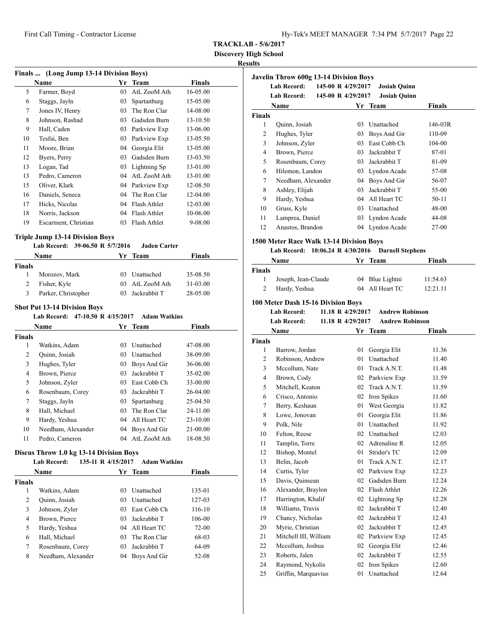**Discovery High School**

# **Results**

| Finals  (Long Jump 13-14 Division Boys) |                      |    |              |               |  |  |
|-----------------------------------------|----------------------|----|--------------|---------------|--|--|
|                                         | Name                 | Yr | <b>Team</b>  | <b>Finals</b> |  |  |
| 5                                       | Farmer, Boyd         | 03 | AtL ZooM Ath | 16-05.00      |  |  |
| 6                                       | Staggs, Jayln        | 03 | Spartanburg  | 15-05.00      |  |  |
| 7                                       | Jones IV, Henry      | 03 | The Ron Clar | 14-08.00      |  |  |
| 8                                       | Johnson, Rashad      | 03 | Gadsden Burn | 13-10.50      |  |  |
| 9                                       | Hall, Caden          | 03 | Parkview Exp | 13-06.00      |  |  |
| 10                                      | Tesfai, Ben          | 03 | Parkview Exp | 13-05.50      |  |  |
| 11                                      | Moore, Brian         | 04 | Georgia Elit | 13-05.00      |  |  |
| 12                                      | Byers, Perry         | 03 | Gadsden Burn | 13-03.50      |  |  |
| 13                                      | Logan, Tad           | 03 | Lightning Sp | 13-01.00      |  |  |
| 13                                      | Pedro, Cameron       | 04 | AtL ZooM Ath | 13-01.00      |  |  |
| 15                                      | Oliver, Klark        | 04 | Parkview Exp | 12-08.50      |  |  |
| 16                                      | Daniels, Seneca      | 04 | The Ron Clar | 12-04.00      |  |  |
| 17                                      | Hicks, Nicolas       | 04 | Flash Athlet | 12-03.00      |  |  |
| 18                                      | Norris, Jackson      | 04 | Flash Athlet | 10-06.00      |  |  |
| 19                                      | Escarment, Christian | 03 | Flash Athlet | 9-08.00       |  |  |

# **Triple Jump 13-14 Division Boys**

| Name                |    | Finals                                                                                         |                     |
|---------------------|----|------------------------------------------------------------------------------------------------|---------------------|
| Finals              |    |                                                                                                |                     |
| Morozov, Mark       |    | 35-08.50                                                                                       |                     |
| Fisher, Kyle        |    | 31-03.00                                                                                       |                     |
| Parker, Christopher | 03 | 28-05.00                                                                                       |                     |
|                     |    | Lab Record: 39-06.50 R 5/7/2016<br>Yr Team<br>03 Unattached<br>03 AtL ZooM Ath<br>Jackrabbit T | <b>Jaden Carter</b> |

# **Shot Put 13-14 Division Boys**

**Lab Record: 47-10.50 R 4/15/2017 Adam Watkins**

|               | <b>Name</b>        | Yr | <b>Team</b>       | <b>Finals</b> |  |
|---------------|--------------------|----|-------------------|---------------|--|
| <b>Finals</b> |                    |    |                   |               |  |
| 1             | Watkins, Adam      | 03 | <b>Unattached</b> | 47-08.00      |  |
| 2             | Quinn, Josiah      | 03 | Unattached        | 38-09.00      |  |
| 3             | Hughes, Tyler      | 03 | Boys And Gir      | 36-06.00      |  |
| 4             | Brown, Pierce      | 03 | Jackrabbit T      | $35-02.00$    |  |
| 5             | Johnson, Zyler     | 03 | East Cobb Ch      | 33-00.00      |  |
| 6             | Rosenbaum, Corey   | 03 | Jackrabbit T      | $26-04.00$    |  |
| 7             | Staggs, Jayln      | 03 | Spartanburg       | 25-04.50      |  |
| 8             | Hall, Michael      | 03 | The Ron Clar      | 24-11.00      |  |
| 9             | Hardy, Yeshua      | 04 | All Heart TC      | $23 - 10.00$  |  |
| 10            | Needham, Alexander | 04 | Boys And Gir      | 21-00.00      |  |
| 11            | Pedro, Cameron     | 04 | AtL ZooM Ath      | 18-08.50      |  |

# **Discus Throw 1.0 kg 13-14 Division Boys**

| <b>Lab Record:</b> |                                        |                                                                                                                                                                                                                     |
|--------------------|----------------------------------------|---------------------------------------------------------------------------------------------------------------------------------------------------------------------------------------------------------------------|
| Name               |                                        | Finals                                                                                                                                                                                                              |
| <b>Finals</b>      |                                        |                                                                                                                                                                                                                     |
| Watkins, Adam      |                                        | 135-01                                                                                                                                                                                                              |
| Quinn, Josiah      |                                        | 127-03                                                                                                                                                                                                              |
| Johnson, Zyler     |                                        | 116-10                                                                                                                                                                                                              |
| Brown, Pierce      |                                        | 106-00                                                                                                                                                                                                              |
| Hardy, Yeshua      |                                        | $72 - 00$                                                                                                                                                                                                           |
| Hall, Michael      |                                        | 68-03                                                                                                                                                                                                               |
|                    |                                        | 64-09                                                                                                                                                                                                               |
|                    |                                        | 52-08                                                                                                                                                                                                               |
|                    | Rosenbaum, Corey<br>Needham, Alexander | 135-11 R 4/15/2017 Adam Watkins<br>Yr Team<br>Unattached<br>03<br>Unattached<br>03<br>East Cobb Ch<br>03<br>Jackrabbit T<br>03<br>04 All Heart TC<br>The Ron Clar<br>03<br>Jackrabbit T<br>03<br>Boys And Gir<br>04 |

|               | <b>Javelin Throw 600g 13-14 Division Boys</b> |                    |                     |         |
|---------------|-----------------------------------------------|--------------------|---------------------|---------|
|               | <b>Lab Record:</b>                            | 145-00 R 4/29/2017 | <b>Josiah Quinn</b> |         |
|               | <b>Lab Record:</b>                            | 145-00 R 4/29/2017 | <b>Josiah Quinn</b> |         |
|               | Name                                          | Yr                 | <b>Team</b>         | Finals  |
| <b>Finals</b> |                                               |                    |                     |         |
| 1             | Quinn, Josiah                                 | 03                 | Unattached          | 146-03R |
| 2             | Hughes, Tyler                                 | 03                 | Boys And Gir        | 110-09  |
| 3             | Johnson, Zyler                                | 03                 | East Cobb Ch        | 104-00  |
| 4             | Brown, Pierce                                 | 03                 | Jackrabbit T        | 87-01   |
| 5             | Rosenbaum, Corey                              | 03                 | Jackrabbit T        | 81-09   |
| 6             | Hilemon, Landon                               | 03                 | Lyndon Acade        | 57-08   |
| 7             | Needham, Alexander                            | 04                 | Boys And Gir        | 56-07   |
| 8             | Ashley, Elijah                                | 03                 | Jackrabbit T        | 55-00   |
| 9             | Hardy, Yeshua                                 | 04                 | All Heart TC        | $50-11$ |
| 10            | Gruss, Kyle                                   | 03                 | Unattached          | 48-00   |
| 11            | Lamprea, Daniel                               | 03                 | Lyndon Acade        | 44-08   |
| 12            | Anastos, Brandon                              | 04                 | Lyndon Acade        | $27-00$ |

# **1500 Meter Race Walk 13-14 Division Boys**

# **Lab Record: 10:06.24 R 4/30/2016 Darnell Stephens**

|               | Name                | Yr Team         | <b>Finals</b> |  |
|---------------|---------------------|-----------------|---------------|--|
| <b>Finals</b> |                     |                 |               |  |
|               | Joseph, Jean-Claude | 04 Blue Lightni | 11:54.63      |  |
|               | Hardy, Yeshua       | 04 All Heart TC | 12:21.11      |  |

# **100 Meter Dash 15-16 Division Boys**

| Lab Record: | 11.18 R 4/29/2017 | Andrew Robinson        |
|-------------|-------------------|------------------------|
| Lab Record: | 11.18 R 4/29/2017 | <b>Andrew Robinson</b> |
| <b>Name</b> | Yr Team           | <b>Finals</b>          |

|                | Name                  | Υr | Team         | Finals |  |
|----------------|-----------------------|----|--------------|--------|--|
| <b>Finals</b>  |                       |    |              |        |  |
| 1              | Barrow, Jordan        | 01 | Georgia Elit | 11.36  |  |
| 2              | Robinson, Andrew      | 01 | Unattached   | 11.40  |  |
| 3              | Mccollum, Nate        | 01 | Track A.N.T. | 11.48  |  |
| $\overline{4}$ | Brown, Cody           | 02 | Parkview Exp | 11.59  |  |
| 5              | Mitchell, Keaton      | 02 | Track A.N.T. | 11.59  |  |
| 6              | Crisco, Antonio       | 02 | Iron Spikes  | 11.60  |  |
| 7              | Berry, Keshaun        | 01 | West Georgia | 11.82  |  |
| 8              | Lowe, Jonovan         | 01 | Georgia Elit | 11.86  |  |
| 9              | Polk, Nile            | 01 | Unattached   | 11.92  |  |
| 10             | Felton, Reese         | 02 | Unattached   | 12.03  |  |
| 11             | Tamplin, Torre        | 02 | Adrenaline R | 12.05  |  |
| 12             | Bishop, Montel        | 01 | Strider's TC | 12.09  |  |
| 13             | Belin, Jacob          | 01 | Track A.N.T. | 12.17  |  |
| 14             | Curtis, Tyler         | 02 | Parkview Exp | 12.23  |  |
| 15             | Davis, Quinsean       | 02 | Gadsden Burn | 12.24  |  |
| 16             | Alexander, Braylon    | 02 | Flash Athlet | 12.26  |  |
| 17             | Harrington, Khalif    | 02 | Lightning Sp | 12.28  |  |
| 18             | Williams, Travis      | 02 | Jackrabbit T | 12.40  |  |
| 19             | Chancy, Nicholas      | 02 | Jackrabbit T | 12.43  |  |
| 20             | Myrie, Christian      | 02 | Jackrabbit T | 12.45  |  |
| 21             | Mitchell III, William | 02 | Parkview Exp | 12.45  |  |
| 22             | Mccollum, Joshua      | 02 | Georgia Elit | 12.46  |  |
| 23             | Roberts, Jalen        | 02 | Jackrabbit T | 12.55  |  |
| 24             | Raymond, Nykolis      | 02 | Iron Spikes  | 12.60  |  |
| 25             | Griffin, Marquavius   | 01 | Unattached   | 12.64  |  |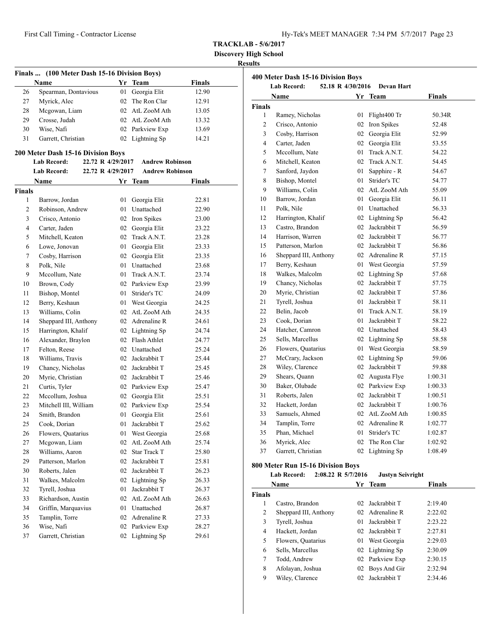**Discovery High School**

#### **Results**

| Finals  (100 Meter Dash 15-16 Division Boys) |                                           |    |                        |               |
|----------------------------------------------|-------------------------------------------|----|------------------------|---------------|
|                                              | Name                                      |    | Yr Team                | <b>Finals</b> |
| 26                                           | Spearman, Dontavious                      | 01 | Georgia Elit           | 12.90         |
| 27                                           | Myrick, Alec                              | 02 | The Ron Clar           | 12.91         |
| 28                                           | Mcgowan, Liam                             |    | 02 AtL ZooM Ath        | 13.05         |
| 29                                           | Crosse, Judah                             |    | 02 AtL ZooM Ath        | 13.32         |
| 30                                           | Wise, Nafi                                |    | 02 Parkview Exp        | 13.69         |
| 31                                           | Garrett, Christian                        | 02 | Lightning Sp           | 14.21         |
|                                              | <b>200 Meter Dash 15-16 Division Boys</b> |    |                        |               |
|                                              | <b>Lab Record:</b><br>22.72 R 4/29/2017   |    | <b>Andrew Robinson</b> |               |
|                                              | <b>Lab Record:</b><br>22.72 R 4/29/2017   |    | <b>Andrew Robinson</b> |               |
|                                              | Name                                      | Yr | <b>Team</b>            | <b>Finals</b> |
| <b>Finals</b>                                |                                           |    |                        |               |
| 1                                            | Barrow, Jordan                            | 01 | Georgia Elit           | 22.81         |
| 2                                            | Robinson, Andrew                          | 01 | Unattached             | 22.90         |
| 3                                            | Crisco, Antonio                           |    | 02 Iron Spikes         | 23.00         |
| $\overline{4}$                               | Carter, Jaden                             |    | 02 Georgia Elit        | 23.22         |
| 5                                            | Mitchell, Keaton                          |    | 02 Track A.N.T.        | 23.28         |
| 6                                            | Lowe, Jonovan                             | 01 | Georgia Elit           | 23.33         |
| 7                                            | Cosby, Harrison                           | 02 | Georgia Elit           | 23.35         |
| 8                                            | Polk, Nile                                | 01 | Unattached             | 23.68         |
| 9                                            | Mccollum, Nate                            | 01 | Track A.N.T.           | 23.74         |
| 10                                           | Brown, Cody                               |    | 02 Parkview Exp        | 23.99         |
| 11                                           | Bishop, Montel                            | 01 | Strider's TC           | 24.09         |
| 12                                           | Berry, Keshaun                            |    | 01 West Georgia        | 24.25         |
| 13                                           | Williams, Colin                           | 02 | AtL ZooM Ath           | 24.35         |
| 14                                           | Sheppard III, Anthony                     |    | 02 Adrenaline R        | 24.61         |
| 15                                           | Harrington, Khalif                        |    | 02 Lightning Sp        | 24.74         |
| 16                                           | Alexander, Braylon                        |    | 02 Flash Athlet        | 24.77         |
| 17                                           | Felton, Reese                             | 02 | Unattached             | 25.24         |
| 18                                           | Williams, Travis                          | 02 | Jackrabbit T           | 25.44         |
| 19                                           | Chancy, Nicholas                          |    | 02 Jackrabbit T        | 25.45         |
| 20                                           | Myrie, Christian                          |    | 02 Jackrabbit T        | 25.46         |
| 21                                           | Curtis, Tyler                             |    | 02 Parkview Exp        | 25.47         |
| 22                                           | Mccollum, Joshua                          |    | 02 Georgia Elit        | 25.51         |
| 23                                           | Mitchell III, William                     |    | 02 Parkview Exp        | 25.54         |
| 24                                           | Smith, Brandon                            | 01 | Georgia Elit           | 25.61         |
| 25                                           | Cook, Dorian                              | 01 | Jackrabbit T           | 25.62         |
| 26                                           | Flowers, Quatarius                        |    | 01 West Georgia        | 25.68         |
| 27                                           | Mcgowan, Liam                             | 02 | AtL ZooM Ath           | 25.74         |
| 28                                           | Williams, Aaron                           | 02 | <b>Star Track T</b>    | 25.80         |
| 29                                           | Patterson, Marlon                         | 02 | Jackrabbit T           | 25.81         |
| 30                                           | Roberts, Jalen                            | 02 | Jackrabbit T           | 26.23         |
| 31                                           | Walkes, Malcolm                           | 02 | Lightning Sp           | 26.33         |
| 32                                           | Tyrell, Joshua                            | 01 | Jackrabbit T           | 26.37         |
| 33                                           | Richardson, Austin                        | 02 | AtL ZooM Ath           | 26.63         |
| 34                                           | Griffin, Marquavius                       | 01 | Unattached             | 26.87         |
| 35                                           | Tamplin, Torre                            | 02 | Adrenaline R           | 27.33         |
| 36                                           | Wise, Nafi                                | 02 | Parkview Exp           | 28.27         |
| 37                                           | Garrett, Christian                        | 02 | Lightning Sp           | 29.61         |

|                | <b>Lab Record:</b>                | 52.18 R 4/30/2016 | <b>Devan Hart</b> |               |
|----------------|-----------------------------------|-------------------|-------------------|---------------|
|                | Name                              |                   | Yr Team           | <b>Finals</b> |
| <b>Finals</b>  |                                   |                   |                   |               |
| 1              | Ramey, Nicholas                   | 01                | Flight400 Tr      | 50.34R        |
| $\overline{c}$ | Crisco, Antonio                   | 02                | Iron Spikes       | 52.48         |
| 3              | Cosby, Harrison                   | 02                | Georgia Elit      | 52.99         |
| $\overline{4}$ | Carter, Jaden                     |                   | 02 Georgia Elit   | 53.55         |
| 5              | Mccollum, Nate                    | 01                | Track A.N.T.      | 54.22         |
| 6              | Mitchell, Keaton                  | 02                | Track A.N.T.      | 54.45         |
| 7              | Sanford, Jaydon                   | 01                | Sapphire - R      | 54.67         |
| 8              | Bishop, Montel                    | 01                | Strider's TC      | 54.77         |
| 9              | Williams, Colin                   |                   | 02 AtL ZooM Ath   | 55.09         |
| 10             | Barrow, Jordan                    |                   | 01 Georgia Elit   | 56.11         |
| 11             | Polk, Nile                        | 01                | Unattached        | 56.33         |
| 12             | Harrington, Khalif                |                   | 02 Lightning Sp   | 56.42         |
| 13             | Castro, Brandon                   |                   | 02 Jackrabbit T   | 56.59         |
| 14             | Harrison, Warren                  |                   | 02 Jackrabbit T   | 56.77         |
| 15             | Patterson, Marlon                 |                   | 02 Jackrabbit T   | 56.86         |
| 16             | Sheppard III, Anthony             |                   | 02 Adrenaline R   | 57.15         |
| 17             | Berry, Keshaun                    |                   | 01 West Georgia   | 57.59         |
| 18             | Walkes, Malcolm                   |                   | 02 Lightning Sp   | 57.68         |
| 19             | Chancy, Nicholas                  | 02                | Jackrabbit T      | 57.75         |
| 20             | Myrie, Christian                  |                   | 02 Jackrabbit T   | 57.86         |
| 21             | Tyrell, Joshua                    | 01                | Jackrabbit T      | 58.11         |
| 22             | Belin, Jacob                      | 01                | Track A.N.T.      | 58.19         |
| 23             | Cook, Dorian                      | 01                | Jackrabbit T      | 58.22         |
| 24             | Hatcher, Camron                   |                   | 02 Unattached     | 58.43         |
| 25             | Sells, Marcellus                  |                   | 02 Lightning Sp   | 58.58         |
| 26             | Flowers, Quatarius                |                   | 01 West Georgia   | 58.59         |
| 27             | McCrary, Jackson                  |                   | 02 Lightning Sp   | 59.06         |
| 28             | Wiley, Clarence                   | 02                | Jackrabbit T      | 59.88         |
| 29             | Shears, Quann                     |                   | 02 Augusta Flye   | 1:00.31       |
| 30             | Baker, Olubade                    |                   | 02 Parkview Exp   | 1:00.33       |
| 31             | Roberts, Jalen                    |                   | 02 Jackrabbit T   | 1:00.51       |
| 32             | Hackett, Jordan                   |                   | 02 Jackrabbit T   | 1:00.76       |
| 33             | Samuels, Ahmed                    |                   | 02 AtL ZooM Ath   | 1:00.85       |
| 34             | Tamplin, Torre                    |                   | 02 Adrenaline R   | 1:02.77       |
| 35             | Phan, Michael                     | 01                | Strider's TC      | 1:02.87       |
| 36             | Myrick, Alec                      |                   | 02 The Ron Clar   | 1:02.92       |
| 37             | Garrett, Christian                | 02                | Lightning Sp      | 1:08.49       |
|                | 800 Meter Run 15-16 Division Boys |                   |                   |               |

|               | <b>Lab Record:</b>    | 2:08.22 R 5/7/2016 | <b>Justyn Seivright</b> |         |
|---------------|-----------------------|--------------------|-------------------------|---------|
|               | <b>Name</b>           | Yr                 | Team                    | Finals  |
| <b>Finals</b> |                       |                    |                         |         |
| 1             | Castro, Brandon       | 02                 | Jackrabbit T            | 2:19.40 |
| 2             | Sheppard III, Anthony |                    | 02 Adrenaline R         | 2:22.02 |
| 3             | Tyrell, Joshua        | 01                 | Jackrabbit T            | 2:23.22 |
| 4             | Hackett, Jordan       |                    | 02 Jackrabbit T         | 2:27.81 |
| 5             | Flowers, Quatarius    | 01                 | West Georgia            | 2:29.03 |
| 6             | Sells, Marcellus      |                    | 02 Lightning Sp         | 2:30.09 |
| 7             | Todd, Andrew          |                    | 02 Parkview Exp         | 2:30.15 |
| 8             | Afolayan, Joshua      | 02                 | Boys And Gir            | 2:32.94 |
| 9             | Wiley, Clarence       | 02                 | Jackrabbit T            | 2:34.46 |
|               |                       |                    |                         |         |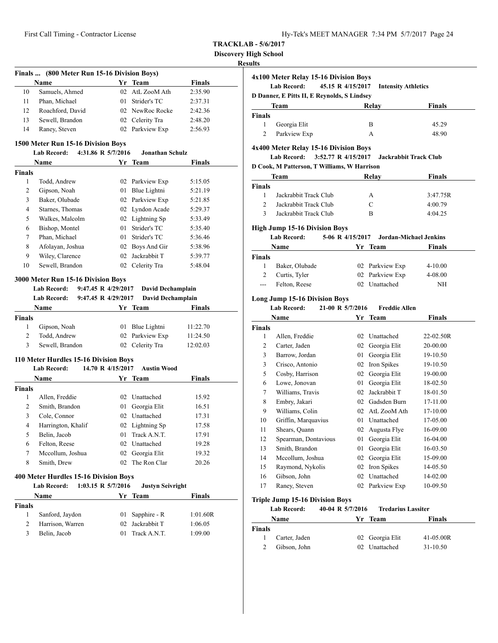**Finals ... (800 Meter Run 15-16 Division Boys)**

| Hy-Tek's MEET MANAGER 7:34 PM 5/7/2017 Page 24 |  |  |  |
|------------------------------------------------|--|--|--|
|------------------------------------------------|--|--|--|

**TRACKLAB - 5/6/2017**

**Discovery High School**

# **Results**

|                | Name                                                     |                     | Yr Team                       | <b>Finals</b>      |
|----------------|----------------------------------------------------------|---------------------|-------------------------------|--------------------|
| 10             | Samuels, Ahmed                                           | 02                  | AtL ZooM Ath                  | 2:35.90            |
| 11             | Phan, Michael                                            | 01                  | Strider's TC                  | 2:37.31            |
| 12             | Roachford, David                                         |                     | 02 NewRoc Rocke               | 2:42.36            |
| 13             | Sewell, Brandon                                          |                     | 02 Celerity Tra               | 2:48.20            |
| 14             | Raney, Steven                                            |                     | 02 Parkview Exp               | 2:56.93            |
|                | 1500 Meter Run 15-16 Division Boys                       |                     |                               |                    |
|                | <b>Lab Record:</b>                                       | 4:31.86 R 5/7/2016  | <b>Jonathan Schulz</b>        |                    |
|                | Name                                                     | Yr                  | <b>Team</b>                   | <b>Finals</b>      |
| <b>Finals</b>  |                                                          |                     |                               |                    |
| 1              | Todd, Andrew                                             |                     | 02 Parkview Exp               | 5:15.05            |
| 2              | Gipson, Noah                                             | 01                  | Blue Lightni                  | 5:21.19            |
| 3              | Baker, Olubade                                           |                     | 02 Parkview Exp               | 5:21.85            |
| $\overline{4}$ | Starnes, Thomas                                          |                     | 02 Lyndon Acade               | 5:29.37            |
| 5              | Walkes, Malcolm                                          |                     | 02 Lightning Sp               | 5:33.49            |
| 6              | Bishop, Montel                                           | 01                  | Strider's TC                  | 5:35.40            |
| 7              | Phan, Michael                                            | 01                  | Strider's TC                  | 5:36.46            |
| 8              | Afolayan, Joshua                                         |                     | 02 Boys And Gir               | 5:38.96            |
| 9              | Wiley, Clarence                                          | 02                  | Jackrabbit T                  | 5:39.77            |
| 10             | Sewell, Brandon                                          |                     | 02 Celerity Tra               | 5:48.04            |
|                |                                                          |                     |                               |                    |
|                | 3000 Meter Run 15-16 Division Boys<br><b>Lab Record:</b> | 9:47.45 R 4/29/2017 | David Dechamplain             |                    |
|                | <b>Lab Record:</b>                                       | 9:47.45 R 4/29/2017 | <b>David Dechamplain</b>      |                    |
|                | Name                                                     |                     | Yr Team                       | Finals             |
| <b>Finals</b>  |                                                          |                     |                               |                    |
| 1              | Gipson, Noah                                             |                     | 01 Blue Lightni               | 11:22.70           |
| 2              | Todd, Andrew                                             | 02                  | Parkview Exp                  | 11:24.50           |
| 3              | Sewell, Brandon                                          |                     | 02 Celerity Tra               | 12:02.03           |
|                |                                                          |                     |                               |                    |
|                | 110 Meter Hurdles 15-16 Division Boys                    |                     |                               |                    |
|                | <b>Lab Record:</b>                                       | 14.70 R 4/15/2017   | <b>Austin Wood</b>            |                    |
|                | Name                                                     |                     | Yr Team                       | <b>Finals</b>      |
| Finals         | Allen, Freddie                                           |                     |                               |                    |
| 1<br>2         |                                                          |                     | 02 Unattached<br>Georgia Elit | 15.92              |
| 3              | Smith, Brandon                                           | 01                  | 02 Unattached                 | 16.51              |
| $\overline{4}$ | Cole, Connor                                             |                     | 02 Lightning Sp               | 17.31              |
| 5              | Harrington, Khalif                                       |                     |                               | 17.58              |
|                | Belin, Jacob                                             | 01                  | Track A.N.T.                  | 17.91              |
| 6              | Felton, Reese                                            |                     | 02 Unattached                 | 19.28              |
| 7              | Mccollum, Joshua                                         |                     | 02 Georgia Elit               | 19.32              |
| 8              | Smith, Drew                                              |                     | 02 The Ron Clar               | 20.26              |
|                | 400 Meter Hurdles 15-16 Division Boys                    |                     |                               |                    |
|                | <b>Lab Record:</b>                                       | 1:03.15 R 5/7/2016  | <b>Justyn Seivright</b>       |                    |
|                | Name                                                     |                     | Yr Team                       | <b>Finals</b>      |
| <b>Finals</b>  |                                                          |                     |                               |                    |
| 1              | Sanford, Jaydon                                          | 01                  | Sapphire - R                  | 1:01.60R           |
| 2              |                                                          | 02                  |                               |                    |
| 3              | Harrison, Warren<br>Belin, Jacob                         | 01                  | Jackrabbit T<br>Track A.N.T.  | 1:06.05<br>1:09.00 |

|                    | 4x100 Meter Relay 15-16 Division Boys<br><b>Lab Record:</b><br>45.15 R 4/15/2017 |                  |                              |           |
|--------------------|----------------------------------------------------------------------------------|------------------|------------------------------|-----------|
|                    |                                                                                  |                  | <b>Intensity Athletics</b>   |           |
|                    | D Danner, E Pitts II, E Reynolds, S Lindsey                                      |                  |                              |           |
|                    | Team                                                                             |                  | Relay                        | Finals    |
| <b>Finals</b><br>1 | Georgia Elit                                                                     |                  | B                            | 45.29     |
| $\overline{c}$     | Parkview Exp                                                                     |                  | A                            | 48.90     |
|                    |                                                                                  |                  |                              |           |
|                    | 4x400 Meter Relay 15-16 Division Boys                                            |                  |                              |           |
|                    | <b>Lab Record:</b><br>3:52.77 R 4/15/2017                                        |                  | <b>Jackrabbit Track Club</b> |           |
|                    | D Cook, M Patterson, T Williams, W Harrison                                      |                  |                              |           |
|                    | Team                                                                             |                  | Relay                        | Finals    |
| Finals             |                                                                                  |                  |                              |           |
| 1                  | Jackrabbit Track Club                                                            |                  | А                            | 3:47.75R  |
| 2                  | Jackrabbit Track Club                                                            |                  | C                            | 4:00.79   |
| 3                  | Jackrabbit Track Club                                                            |                  | B                            | 4:04.25   |
|                    | <b>High Jump 15-16 Division Boys</b>                                             |                  |                              |           |
|                    | <b>Lab Record:</b>                                                               | 5-06 R 4/15/2017 | Jordan-Michael Jenkins       |           |
|                    | Name                                                                             |                  | Yr Team                      | Finals    |
| <b>Finals</b>      |                                                                                  |                  |                              |           |
| 1                  | Baker, Olubade                                                                   |                  | 02 Parkview Exp              | 4-10.00   |
| 2                  | Curtis, Tyler                                                                    |                  | 02 Parkview Exp              | 4-08.00   |
| ---                | Felton, Reese                                                                    |                  | 02 Unattached                | ΝH        |
|                    |                                                                                  |                  |                              |           |
|                    | <b>Long Jump 15-16 Division Boys</b>                                             |                  |                              |           |
|                    | <b>Lab Record:</b><br>21-00 R 5/7/2016                                           |                  | <b>Freddie Allen</b>         |           |
|                    | Name                                                                             |                  | Yr Team                      | Finals    |
| <b>Finals</b><br>1 | Allen, Freddie                                                                   |                  | 02 Unattached                | 22-02.50R |
| 2                  | Carter, Jaden                                                                    |                  | 02 Georgia Elit              | 20-00.00  |
| 3                  | Barrow, Jordan                                                                   |                  | 01 Georgia Elit              | 19-10.50  |
| 3                  | Crisco, Antonio                                                                  |                  | 02 Iron Spikes               | 19-10.50  |
| 5                  | Cosby, Harrison                                                                  |                  | 02 Georgia Elit              | 19-00.00  |
| 6                  | Lowe, Jonovan                                                                    | 01               | Georgia Elit                 | 18-02.50  |
| 7                  | Williams, Travis                                                                 |                  | 02 Jackrabbit T              | 18-01.50  |
| 8                  | Embry, Jakari                                                                    |                  | 02 Gadsden Burn              | 17-11.00  |
| 9                  | Williams, Colin                                                                  |                  | 02 AtL ZooM Ath              | 17-10.00  |
| 10                 | Griffin, Marquavius                                                              |                  | 01 Unattached                | 17-05.00  |
| 11                 | Shears, Quann                                                                    |                  | 02 Augusta Flye              | 16-09.00  |
| 12                 | Spearman, Dontavious                                                             | 01               | Georgia Elit                 | 16-04.00  |
| 13                 | Smith, Brandon                                                                   | 01               | Georgia Elit                 | 16-03.50  |
| 14                 | Mccollum, Joshua                                                                 | 02               | Georgia Elit                 | 15-09.00  |
| 15                 | Raymond, Nykolis                                                                 | 02               | Iron Spikes                  | 14-05.50  |
| 16                 | Gibson, John                                                                     | 02               | Unattached                   | 14-02.00  |
| 17                 | Raney, Steven                                                                    | 02               | Parkview Exp                 | 10-09.50  |
|                    |                                                                                  |                  |                              |           |
|                    | <b>Triple Jump 15-16 Division Boys</b>                                           |                  |                              |           |
|                    | <b>Lab Record:</b><br>40-04 R 5/7/2016                                           |                  | <b>Tredarius Lassiter</b>    |           |

|               | Name          | Yr Team         | <b>Finals</b> |
|---------------|---------------|-----------------|---------------|
| <b>Finals</b> |               |                 |               |
|               | Carter, Jaden | 02 Georgia Elit | 41-05.00R     |
|               | Gibson, John  | 02 Unattached   | $31 - 10.50$  |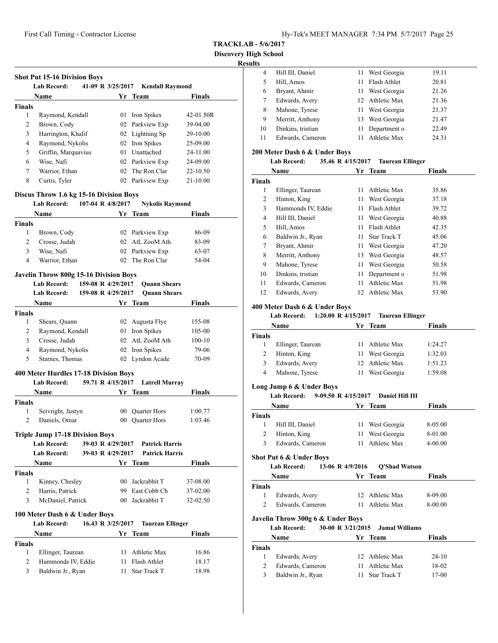**Shot Put 15-16 Division Boys**

**TRACKLAB - 5/6/2017**

**Discovery High School**

# **Results**

| .  |                   |     |                 |       |  |
|----|-------------------|-----|-----------------|-------|--|
| 4  | Hill III, Daniel  |     | 11 West Georgia | 19.11 |  |
| 5  | Hill, Amos        | 11. | Flash Athlet    | 20.81 |  |
| 6  | Bryant, Ahmir     | 11. | West Georgia    | 21.26 |  |
|    | Edwards, Avery    |     | 12 Athletic Max | 21.36 |  |
| 8  | Mahone, Tyrese    |     | 11 West Georgia | 21.37 |  |
| 9  | Merritt, Anthony  |     | 13 West Georgia | 21.47 |  |
| 10 | Dinkins, tristian | 11. | Department o    | 22.49 |  |
| 11 | Edwards, Cameron  | 11. | Athletic Max    | 24.31 |  |

#### **200 Meter Dash 6 & Under Boys**

|  | <b>Lab Record:</b> | 35.46 R 4/15/2017 | <b>Taurean Ellinger</b> |
|--|--------------------|-------------------|-------------------------|
|--|--------------------|-------------------|-------------------------|

|               | Name               |                 | Yr Team      | <b>Finals</b> |  |
|---------------|--------------------|-----------------|--------------|---------------|--|
| <b>Finals</b> |                    |                 |              |               |  |
| 1             | Ellinger, Taurean  | 11              | Athletic Max | 35.86         |  |
| 2             | Hinton, King       | 11              | West Georgia | 37.18         |  |
| 3             | Hammonds IV, Eddie | 11              | Flash Athlet | 39.72         |  |
| 4             | Hill III, Daniel   | 11              | West Georgia | 40.88         |  |
| 5             | Hill, Amos         | 11              | Flash Athlet | 42.35         |  |
| 6             | Baldwin Jr., Ryan  | 11              | Star Track T | 45.06         |  |
| 7             | Bryant, Ahmir      | 11              | West Georgia | 47.20         |  |
| 8             | Merritt, Anthony   | 13              | West Georgia | 48.57         |  |
| 9             | Mahone, Tyrese     | 11              | West Georgia | 50.58         |  |
| 10            | Dinkins, tristian  | 11              | Department o | 51.98         |  |
| 11            | Edwards, Cameron   | 11              | Athletic Max | 51.98         |  |
| 12            | Edwards, Avery     | 12 <sub>1</sub> | Athletic Max | 53.90         |  |

#### **400 Meter Dash 6 & Under Boys**

#### **Lab Record: 1:20.00 R 4/15/2017 Taurean Ellinger**

|        | Name              |    | Yr Team         | <b>Finals</b> |  |
|--------|-------------------|----|-----------------|---------------|--|
| Finals |                   |    |                 |               |  |
|        | Ellinger, Taurean |    | Athletic Max    | 1:24.27       |  |
|        | Hinton, King      |    | 11 West Georgia | 1:32.03       |  |
| 3      | Edwards, Avery    |    | 12 Athletic Max | 1:51.23       |  |
| 4      | Mahone, Tyrese    | 11 | West Georgia    | 1:59.08       |  |

# **Long Jump 6 & Under Boys**

#### **Lab Record: 9-09.50 R 4/15/2017 Daniel Hill III**

|               | <b>Name</b>      | Yr Team         | <b>Finals</b> |  |
|---------------|------------------|-----------------|---------------|--|
| <b>Finals</b> |                  |                 |               |  |
|               | Hill III, Daniel | 11 West Georgia | 8-05.00       |  |
| 2             | Hinton, King     | 11 West Georgia | 8-01.00       |  |
| 3             | Edwards, Cameron | Athletic Max    | $4 - 00.00$   |  |

#### **Shot Put 6 & Under Boys**

# **Lab Record: 13-06 R 4/9/2016 Q'Shad Watson**

|               | <b>Name</b>      | Yr Team         | <b>Finals</b> |
|---------------|------------------|-----------------|---------------|
| <b>Finals</b> |                  |                 |               |
| $\mathbf{1}$  | Edwards, Avery   | 12 Athletic Max | 8-09.00       |
| 2             | Edwards, Cameron | 11 Athletic Max | 8-00.00       |

# **Javelin Throw 300g 6 & Under Boys**

**Lab Record: 30-00 R 3/21/2015 Jamal Williams**

|               | Name              | Yr Team         | <b>Finals</b> |
|---------------|-------------------|-----------------|---------------|
| <b>Finals</b> |                   |                 |               |
|               | Edwards, Avery    | 12 Athletic Max | $24-10$       |
|               | Edwards, Cameron  | 11 Athletic Max | 18-02         |
| 3             | Baldwin Jr., Ryan | 11 Star Track T | 17-00         |

| 1<br>2<br>3<br>$\overline{4}$<br>5<br>6<br>7<br>8<br>1<br>2<br>3<br>$\overline{4}$ | <b>Name</b><br>Raymond, Kendall<br>Brown, Cody<br>Harrington, Khalif<br>Raymond, Nykolis<br>Griffin, Marquavius<br>Wise, Nafi<br>Warrior, Ethan<br>Curtis, Tyler<br>Discus Throw 1.6 kg 15-16 Division Boys<br><b>Lab Record:</b><br><b>Name</b><br>Brown, Cody<br>Crosse, Judah<br>Wise, Nafi<br>Warrior, Ethan<br><b>Javelin Throw 800g 15-16 Division Boys</b><br><b>Lab Record:</b><br><b>Lab Record:</b> | 107-04 R 4/8/2017  | Yr Team<br>01 Iron Spikes<br>02 Parkview Exp<br>02 Lightning Sp<br>02 Iron Spikes<br>01 Unattached<br>02 Parkview Exp<br>02 The Ron Clar<br>02 Parkview Exp<br><b>Nykolis Raymond</b><br>Yr Team<br>02 Parkview Exp<br>02 AtL ZooM Ath<br>02 Parkview Exp<br>02 The Ron Clar | <b>Finals</b><br>42-01.50R<br>39-04.00<br>29-10.00<br>25-09.00<br>24-11.00<br>24-09.00<br>22-10.50<br>21-10.00<br><b>Finals</b><br>86-09<br>83-09 |
|------------------------------------------------------------------------------------|---------------------------------------------------------------------------------------------------------------------------------------------------------------------------------------------------------------------------------------------------------------------------------------------------------------------------------------------------------------------------------------------------------------|--------------------|------------------------------------------------------------------------------------------------------------------------------------------------------------------------------------------------------------------------------------------------------------------------------|---------------------------------------------------------------------------------------------------------------------------------------------------|
| <b>Finals</b><br><b>Finals</b>                                                     |                                                                                                                                                                                                                                                                                                                                                                                                               |                    |                                                                                                                                                                                                                                                                              |                                                                                                                                                   |
|                                                                                    |                                                                                                                                                                                                                                                                                                                                                                                                               |                    |                                                                                                                                                                                                                                                                              |                                                                                                                                                   |
|                                                                                    |                                                                                                                                                                                                                                                                                                                                                                                                               |                    |                                                                                                                                                                                                                                                                              |                                                                                                                                                   |
|                                                                                    |                                                                                                                                                                                                                                                                                                                                                                                                               |                    |                                                                                                                                                                                                                                                                              |                                                                                                                                                   |
|                                                                                    |                                                                                                                                                                                                                                                                                                                                                                                                               |                    |                                                                                                                                                                                                                                                                              |                                                                                                                                                   |
|                                                                                    |                                                                                                                                                                                                                                                                                                                                                                                                               |                    |                                                                                                                                                                                                                                                                              |                                                                                                                                                   |
|                                                                                    |                                                                                                                                                                                                                                                                                                                                                                                                               |                    |                                                                                                                                                                                                                                                                              |                                                                                                                                                   |
|                                                                                    |                                                                                                                                                                                                                                                                                                                                                                                                               |                    |                                                                                                                                                                                                                                                                              |                                                                                                                                                   |
|                                                                                    |                                                                                                                                                                                                                                                                                                                                                                                                               |                    |                                                                                                                                                                                                                                                                              |                                                                                                                                                   |
|                                                                                    |                                                                                                                                                                                                                                                                                                                                                                                                               |                    |                                                                                                                                                                                                                                                                              |                                                                                                                                                   |
|                                                                                    |                                                                                                                                                                                                                                                                                                                                                                                                               |                    |                                                                                                                                                                                                                                                                              |                                                                                                                                                   |
|                                                                                    |                                                                                                                                                                                                                                                                                                                                                                                                               |                    |                                                                                                                                                                                                                                                                              |                                                                                                                                                   |
|                                                                                    |                                                                                                                                                                                                                                                                                                                                                                                                               |                    |                                                                                                                                                                                                                                                                              |                                                                                                                                                   |
|                                                                                    |                                                                                                                                                                                                                                                                                                                                                                                                               |                    |                                                                                                                                                                                                                                                                              |                                                                                                                                                   |
|                                                                                    |                                                                                                                                                                                                                                                                                                                                                                                                               |                    |                                                                                                                                                                                                                                                                              |                                                                                                                                                   |
|                                                                                    |                                                                                                                                                                                                                                                                                                                                                                                                               |                    |                                                                                                                                                                                                                                                                              |                                                                                                                                                   |
|                                                                                    |                                                                                                                                                                                                                                                                                                                                                                                                               |                    |                                                                                                                                                                                                                                                                              |                                                                                                                                                   |
|                                                                                    |                                                                                                                                                                                                                                                                                                                                                                                                               |                    |                                                                                                                                                                                                                                                                              | 63-07                                                                                                                                             |
|                                                                                    |                                                                                                                                                                                                                                                                                                                                                                                                               |                    |                                                                                                                                                                                                                                                                              | 54-04                                                                                                                                             |
|                                                                                    |                                                                                                                                                                                                                                                                                                                                                                                                               |                    |                                                                                                                                                                                                                                                                              |                                                                                                                                                   |
|                                                                                    |                                                                                                                                                                                                                                                                                                                                                                                                               | 159-08 R 4/29/2017 | <b>Quann Shears</b>                                                                                                                                                                                                                                                          |                                                                                                                                                   |
|                                                                                    |                                                                                                                                                                                                                                                                                                                                                                                                               | 159-08 R 4/29/2017 | <b>Ouann Shears</b>                                                                                                                                                                                                                                                          |                                                                                                                                                   |
|                                                                                    | Name                                                                                                                                                                                                                                                                                                                                                                                                          |                    | Yr Team                                                                                                                                                                                                                                                                      | <b>Finals</b>                                                                                                                                     |
|                                                                                    |                                                                                                                                                                                                                                                                                                                                                                                                               |                    |                                                                                                                                                                                                                                                                              |                                                                                                                                                   |
| Finals<br>1                                                                        | Shears, Quann                                                                                                                                                                                                                                                                                                                                                                                                 |                    | 02 Augusta Flye                                                                                                                                                                                                                                                              |                                                                                                                                                   |
|                                                                                    |                                                                                                                                                                                                                                                                                                                                                                                                               |                    |                                                                                                                                                                                                                                                                              | 155-08                                                                                                                                            |
| 2                                                                                  | Raymond, Kendall                                                                                                                                                                                                                                                                                                                                                                                              |                    | 01 Iron Spikes                                                                                                                                                                                                                                                               | 105-00                                                                                                                                            |
| 3                                                                                  | Crosse, Judah                                                                                                                                                                                                                                                                                                                                                                                                 |                    | 02 AtL ZooM Ath                                                                                                                                                                                                                                                              | $100 - 10$                                                                                                                                        |
| $\overline{4}$                                                                     | Raymond, Nykolis                                                                                                                                                                                                                                                                                                                                                                                              |                    | 02 Iron Spikes                                                                                                                                                                                                                                                               | 79-06                                                                                                                                             |
| 5                                                                                  | Starnes, Thomas                                                                                                                                                                                                                                                                                                                                                                                               |                    | 02 Lyndon Acade                                                                                                                                                                                                                                                              | 70-09                                                                                                                                             |
|                                                                                    | 400 Meter Hurdles 17-18 Division Boys                                                                                                                                                                                                                                                                                                                                                                         |                    |                                                                                                                                                                                                                                                                              |                                                                                                                                                   |
|                                                                                    | <b>Lab Record:</b>                                                                                                                                                                                                                                                                                                                                                                                            | 59.71 R 4/15/2017  | <b>Latrell Murray</b>                                                                                                                                                                                                                                                        |                                                                                                                                                   |
|                                                                                    | Name                                                                                                                                                                                                                                                                                                                                                                                                          |                    | Yr Team                                                                                                                                                                                                                                                                      | <b>Finals</b>                                                                                                                                     |
| <b>Finals</b>                                                                      |                                                                                                                                                                                                                                                                                                                                                                                                               |                    |                                                                                                                                                                                                                                                                              |                                                                                                                                                   |
| 1                                                                                  | Seivright, Justyn                                                                                                                                                                                                                                                                                                                                                                                             |                    | 00 Quarter Hors                                                                                                                                                                                                                                                              | 1:00.77                                                                                                                                           |
| 2                                                                                  | Daniels, Omar                                                                                                                                                                                                                                                                                                                                                                                                 |                    | 00 Quarter Hors                                                                                                                                                                                                                                                              | 1:03.46                                                                                                                                           |
|                                                                                    |                                                                                                                                                                                                                                                                                                                                                                                                               |                    |                                                                                                                                                                                                                                                                              |                                                                                                                                                   |
|                                                                                    | <b>Triple Jump 17-18 Division Boys</b><br>Lab Record:                                                                                                                                                                                                                                                                                                                                                         | 39-03 R 4/29/2017  | <b>Patrick Harris</b>                                                                                                                                                                                                                                                        |                                                                                                                                                   |
|                                                                                    | <b>Lab Record:</b>                                                                                                                                                                                                                                                                                                                                                                                            | 39-03 R 4/29/2017  | <b>Patrick Harris</b>                                                                                                                                                                                                                                                        |                                                                                                                                                   |
|                                                                                    | <b>Name</b>                                                                                                                                                                                                                                                                                                                                                                                                   |                    | Yr Team                                                                                                                                                                                                                                                                      | <b>Finals</b>                                                                                                                                     |
|                                                                                    |                                                                                                                                                                                                                                                                                                                                                                                                               |                    |                                                                                                                                                                                                                                                                              |                                                                                                                                                   |
| <b>Finals</b>                                                                      |                                                                                                                                                                                                                                                                                                                                                                                                               |                    |                                                                                                                                                                                                                                                                              |                                                                                                                                                   |
| 1                                                                                  | Kinney, Chesley                                                                                                                                                                                                                                                                                                                                                                                               |                    | 00 Jackrabbit T                                                                                                                                                                                                                                                              | 37-08.00                                                                                                                                          |
| 2                                                                                  | Harris, Patrick                                                                                                                                                                                                                                                                                                                                                                                               |                    | 99 East Cobb Ch                                                                                                                                                                                                                                                              | 37-02.00                                                                                                                                          |
| 3                                                                                  | McDaniel, Patrick                                                                                                                                                                                                                                                                                                                                                                                             |                    | 00 Jackrabbit T                                                                                                                                                                                                                                                              | 32-02.50                                                                                                                                          |
|                                                                                    | 100 Meter Dash 6 & Under Boys                                                                                                                                                                                                                                                                                                                                                                                 |                    |                                                                                                                                                                                                                                                                              |                                                                                                                                                   |
|                                                                                    | <b>Lab Record:</b>                                                                                                                                                                                                                                                                                                                                                                                            | 16.43 R 3/25/2017  | <b>Taurean Ellinger</b>                                                                                                                                                                                                                                                      |                                                                                                                                                   |
|                                                                                    | <b>Name</b>                                                                                                                                                                                                                                                                                                                                                                                                   |                    | Yr Team                                                                                                                                                                                                                                                                      | Finals                                                                                                                                            |
| <b>Finals</b>                                                                      |                                                                                                                                                                                                                                                                                                                                                                                                               |                    |                                                                                                                                                                                                                                                                              |                                                                                                                                                   |
| 1                                                                                  | Ellinger, Taurean                                                                                                                                                                                                                                                                                                                                                                                             |                    | 11 Athletic Max                                                                                                                                                                                                                                                              | 16.86                                                                                                                                             |
| 2                                                                                  | Hammonds IV, Eddie                                                                                                                                                                                                                                                                                                                                                                                            |                    | 11 Flash Athlet                                                                                                                                                                                                                                                              | 18.17                                                                                                                                             |
| 3                                                                                  | Baldwin Jr., Ryan                                                                                                                                                                                                                                                                                                                                                                                             |                    | 11 Star Track T                                                                                                                                                                                                                                                              | 18.98                                                                                                                                             |
|                                                                                    |                                                                                                                                                                                                                                                                                                                                                                                                               |                    |                                                                                                                                                                                                                                                                              |                                                                                                                                                   |
|                                                                                    |                                                                                                                                                                                                                                                                                                                                                                                                               |                    |                                                                                                                                                                                                                                                                              |                                                                                                                                                   |
|                                                                                    |                                                                                                                                                                                                                                                                                                                                                                                                               |                    |                                                                                                                                                                                                                                                                              |                                                                                                                                                   |
|                                                                                    |                                                                                                                                                                                                                                                                                                                                                                                                               |                    |                                                                                                                                                                                                                                                                              |                                                                                                                                                   |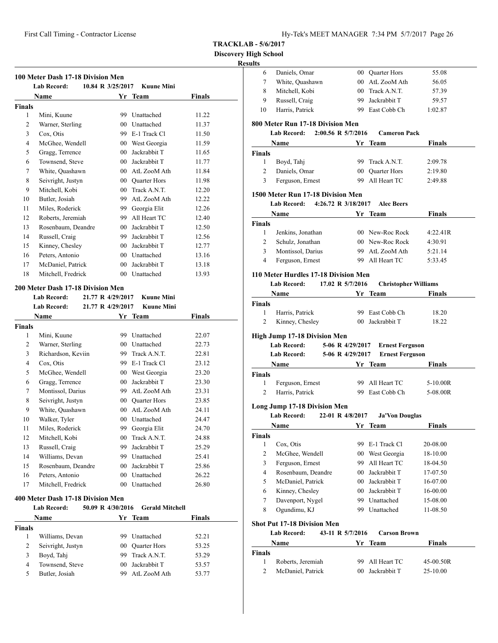6 Daniels, Omar 00 Quarter Hors 55.08 7 White, Quashawn 00 AtL ZooM Ath 56.05 8 Mitchell, Kobi 00 Track A.N.T. 57.39

**TRACKLAB - 5/6/2017**

**Discovery High School**

#### **Results**

|                | 100 Meter Dash 17-18 Division Men |                   |                 |                              |               |
|----------------|-----------------------------------|-------------------|-----------------|------------------------------|---------------|
|                | <b>Lab Record:</b><br>Name        | 10.84 R 3/25/2017 |                 | <b>Kuune Mini</b><br>Yr Team | <b>Finals</b> |
| Finals         |                                   |                   |                 |                              |               |
| 1              | Mini, Kuune                       |                   |                 | 99 Unattached                | 11.22         |
| $\overline{2}$ | Warner, Sterling                  |                   | 0 <sub>0</sub>  | Unattached                   | 11.37         |
| 3              | Cox, Otis                         |                   |                 | 99 E-1 Track Cl              | 11.50         |
| $\overline{4}$ | McGhee, Wendell                   |                   |                 | 00 West Georgia              | 11.59         |
| 5              | Gragg, Terrence                   |                   | 00 <sup>1</sup> | Jackrabbit T                 | 11.65         |
| 6              | Townsend, Steve                   |                   | 00 <sup>1</sup> | Jackrabbit T                 | 11.77         |
| 7              | White, Quashawn                   |                   |                 | 00 AtL ZooM Ath              | 11.84         |
| 8              | Seivright, Justyn                 |                   |                 | 00 Ouarter Hors              | 11.98         |
| 9              | Mitchell, Kobi                    |                   | 00 <sup>1</sup> | Track A.N.T.                 | 12.20         |
| 10             | Butler, Josiah                    |                   | 99              | AtL ZooM Ath                 | 12.22         |
| 11             | Miles, Roderick                   |                   | 99              | Georgia Elit                 | 12.26         |
| 12             | Roberts, Jeremiah                 |                   | 99              | All Heart TC                 | 12.40         |
| 13             | Rosenbaum, Deandre                |                   | 00 <sup>1</sup> | Jackrabbit T                 | 12.50         |
| 14             | Russell, Craig                    |                   | 99.             | Jackrabbit T                 | 12.56         |
| 15             | Kinney, Chesley                   |                   |                 | 00 Jackrabbit T              | 12.77         |
| 16             | Peters, Antonio                   |                   |                 | 00 Unattached                | 13.16         |
| 17             | McDaniel, Patrick                 |                   | 00 <sup>1</sup> | Jackrabbit T                 | 13.18         |
| 18             | Mitchell, Fredrick                |                   |                 | 00 Unattached                | 13.93         |
|                | 200 Meter Dash 17-18 Division Men |                   |                 |                              |               |
|                | <b>Lab Record:</b>                | 21.77 R 4/29/2017 |                 | <b>Kuune Mini</b>            |               |
|                | <b>Lab Record:</b>                | 21.77 R 4/29/2017 |                 | <b>Kuune Mini</b>            |               |
|                | <b>Name</b>                       |                   | Yr              | <b>Team</b>                  | <b>Finals</b> |
| Finals         |                                   |                   |                 |                              |               |
| 1              | Mini, Kuune                       |                   | 99              | Unattached                   | 22.07         |
| $\overline{c}$ | Warner, Sterling                  |                   | 0 <sub>0</sub>  | Unattached                   | 22.73         |

 Richardson, Keviin 99 Track A.N.T. 22.81 Cox, Otis 99 E-1 Track Cl 23.12 McGhee, Wendell 00 West Georgia 23.20 Gragg, Terrence 00 Jackrabbit T 23.30 Montissol, Darius 99 AtL ZooM Ath 23.31 Seivright, Justyn 00 Quarter Hors 23.85 White, Quashawn 00 AtL ZooM Ath 24.11 Walker, Tyler 00 Unattached 24.47 Miles, Roderick 99 Georgia Elit 24.70 Mitchell, Kobi 00 Track A.N.T. 24.88 13 Russell, Craig 99 Jackrabbit T 25.29 Williams, Devan 99 Unattached 25.41 Rosenbaum, Deandre 00 Jackrabbit T 25.86 Peters, Antonio 00 Unattached 26.22 Mitchell, Fredrick 00 Unattached 26.80

**Lab Record: 50.09 R 4/30/2016 Gerald Mitchell Name Yr** Team **Finals** 

 Williams, Devan 99 Unattached 52.21 Seivright, Justyn 00 Quarter Hors 53.25 Boyd, Tahj 99 Track A.N.T. 53.29 4 Townsend, Steve 00 Jackrabbit T 53.57 Butler, Josiah 99 AtL ZooM Ath 53.77

**400 Meter Dash 17-18 Division Men**

**Finals**

| 10<br>Harris, Patrick<br>99 East Cobb Ch<br>1:02.87<br>800 Meter Run 17-18 Division Men<br><b>Lab Record:</b><br>2:00.56 R 5/7/2016<br><b>Cameron Pack</b><br>Name<br>Yr Team<br><b>Finals</b><br>Finals<br>99 Track A.N.T.<br>1<br>Boyd, Tahj<br>2:09.78<br>Daniels, Omar<br>2<br>00 Quarter Hors<br>2:19.80<br>3<br>99 All Heart TC<br>Ferguson, Ernest<br>2:49.88<br>1500 Meter Run 17-18 Division Men<br>Lab Record: 4:26.72 R 3/18/2017<br><b>Alec Beers</b><br><b>Finals</b><br>Name<br>Yr Team<br>Finals<br>$\mathbf{1}$<br>Jenkins, Jonathan<br>00 New-Roc Rock<br>4:22.41R<br>Schulz, Jonathan<br>2<br>00 New-Roc Rock<br>4:30.91<br>3<br>Montissol, Darius<br>99 AtL ZooM Ath<br>5:21.14<br>99 All Heart TC<br>4<br>Ferguson, Ernest<br>5:33.45<br>110 Meter Hurdles 17-18 Division Men<br>17.02 R 5/7/2016<br>Lab Record:<br><b>Christopher Williams</b><br><b>Finals</b><br>Name<br>Yr Team<br>Finals<br>1<br>Harris, Patrick<br>99 East Cobb Ch<br>18.20<br>00 Jackrabbit T<br>2<br>Kinney, Chesley<br>18.22<br>High Jump 17-18 Division Men<br><b>Lab Record:</b><br>5-06 R 4/29/2017<br><b>Ernest Ferguson</b><br><b>Lab Record:</b><br>5-06 R 4/29/2017<br><b>Ernest Ferguson</b><br>Yr Team<br><b>Name</b><br><b>Finals</b><br>Finals<br>$1 \quad$<br>99 All Heart TC<br>5-10.00R<br>Ferguson, Ernest<br>$\overline{2}$<br>99 East Cobb Ch<br>Harris, Patrick<br>5-08.00R<br><b>Long Jump 17-18 Division Men</b><br>22-01 R 4/8/2017<br><b>Lab Record:</b><br><b>Ja'Von Douglas</b><br><b>Finals</b><br><b>Name</b><br>Yr Team<br>Cox, Otis<br>99 E-1 Track Cl<br>1<br>20-08.00<br>McGhee, Wendell<br>00 West Georgia<br>2<br>18-10.00<br>99 All Heart TC<br>$\overline{3}$<br>Ferguson, Ernest<br>18-04.50<br>Rosenbaum, Deandre<br>4<br>00 Jackrabbit T<br>17-07.50<br>5<br>McDaniel, Patrick<br>00 Jackrabbit T<br>16-07.00<br>Kinney, Chesley<br>6<br>00 Jackrabbit T<br>16-00.00<br>7<br>Davenport, Nygel<br>99 Unattached<br>15-08.00<br>Ogundimu, KJ<br>8<br>99 Unattached<br>11-08.50<br><b>Shot Put 17-18 Division Men</b><br><b>Lab Record:</b><br>43-11 R 5/7/2016<br><b>Carson Brown</b><br><b>Finals</b><br>Name<br>Yr Team |                       |                                        | 99              | Jackrabbit T                 | 59.57                 |
|-----------------------------------------------------------------------------------------------------------------------------------------------------------------------------------------------------------------------------------------------------------------------------------------------------------------------------------------------------------------------------------------------------------------------------------------------------------------------------------------------------------------------------------------------------------------------------------------------------------------------------------------------------------------------------------------------------------------------------------------------------------------------------------------------------------------------------------------------------------------------------------------------------------------------------------------------------------------------------------------------------------------------------------------------------------------------------------------------------------------------------------------------------------------------------------------------------------------------------------------------------------------------------------------------------------------------------------------------------------------------------------------------------------------------------------------------------------------------------------------------------------------------------------------------------------------------------------------------------------------------------------------------------------------------------------------------------------------------------------------------------------------------------------------------------------------------------------------------------------------------------------------------------------------------------------------------------------------------------------------------------------------------------------------------------------------------------------------------------------------------------------------------------------|-----------------------|----------------------------------------|-----------------|------------------------------|-----------------------|
|                                                                                                                                                                                                                                                                                                                                                                                                                                                                                                                                                                                                                                                                                                                                                                                                                                                                                                                                                                                                                                                                                                                                                                                                                                                                                                                                                                                                                                                                                                                                                                                                                                                                                                                                                                                                                                                                                                                                                                                                                                                                                                                                                           |                       |                                        |                 |                              |                       |
|                                                                                                                                                                                                                                                                                                                                                                                                                                                                                                                                                                                                                                                                                                                                                                                                                                                                                                                                                                                                                                                                                                                                                                                                                                                                                                                                                                                                                                                                                                                                                                                                                                                                                                                                                                                                                                                                                                                                                                                                                                                                                                                                                           |                       |                                        |                 |                              |                       |
|                                                                                                                                                                                                                                                                                                                                                                                                                                                                                                                                                                                                                                                                                                                                                                                                                                                                                                                                                                                                                                                                                                                                                                                                                                                                                                                                                                                                                                                                                                                                                                                                                                                                                                                                                                                                                                                                                                                                                                                                                                                                                                                                                           |                       |                                        |                 |                              |                       |
|                                                                                                                                                                                                                                                                                                                                                                                                                                                                                                                                                                                                                                                                                                                                                                                                                                                                                                                                                                                                                                                                                                                                                                                                                                                                                                                                                                                                                                                                                                                                                                                                                                                                                                                                                                                                                                                                                                                                                                                                                                                                                                                                                           |                       |                                        |                 |                              |                       |
|                                                                                                                                                                                                                                                                                                                                                                                                                                                                                                                                                                                                                                                                                                                                                                                                                                                                                                                                                                                                                                                                                                                                                                                                                                                                                                                                                                                                                                                                                                                                                                                                                                                                                                                                                                                                                                                                                                                                                                                                                                                                                                                                                           |                       |                                        |                 |                              |                       |
|                                                                                                                                                                                                                                                                                                                                                                                                                                                                                                                                                                                                                                                                                                                                                                                                                                                                                                                                                                                                                                                                                                                                                                                                                                                                                                                                                                                                                                                                                                                                                                                                                                                                                                                                                                                                                                                                                                                                                                                                                                                                                                                                                           |                       |                                        |                 |                              |                       |
|                                                                                                                                                                                                                                                                                                                                                                                                                                                                                                                                                                                                                                                                                                                                                                                                                                                                                                                                                                                                                                                                                                                                                                                                                                                                                                                                                                                                                                                                                                                                                                                                                                                                                                                                                                                                                                                                                                                                                                                                                                                                                                                                                           |                       |                                        |                 |                              |                       |
|                                                                                                                                                                                                                                                                                                                                                                                                                                                                                                                                                                                                                                                                                                                                                                                                                                                                                                                                                                                                                                                                                                                                                                                                                                                                                                                                                                                                                                                                                                                                                                                                                                                                                                                                                                                                                                                                                                                                                                                                                                                                                                                                                           |                       |                                        |                 |                              |                       |
|                                                                                                                                                                                                                                                                                                                                                                                                                                                                                                                                                                                                                                                                                                                                                                                                                                                                                                                                                                                                                                                                                                                                                                                                                                                                                                                                                                                                                                                                                                                                                                                                                                                                                                                                                                                                                                                                                                                                                                                                                                                                                                                                                           |                       |                                        |                 |                              |                       |
|                                                                                                                                                                                                                                                                                                                                                                                                                                                                                                                                                                                                                                                                                                                                                                                                                                                                                                                                                                                                                                                                                                                                                                                                                                                                                                                                                                                                                                                                                                                                                                                                                                                                                                                                                                                                                                                                                                                                                                                                                                                                                                                                                           |                       |                                        |                 |                              |                       |
|                                                                                                                                                                                                                                                                                                                                                                                                                                                                                                                                                                                                                                                                                                                                                                                                                                                                                                                                                                                                                                                                                                                                                                                                                                                                                                                                                                                                                                                                                                                                                                                                                                                                                                                                                                                                                                                                                                                                                                                                                                                                                                                                                           |                       |                                        |                 |                              |                       |
|                                                                                                                                                                                                                                                                                                                                                                                                                                                                                                                                                                                                                                                                                                                                                                                                                                                                                                                                                                                                                                                                                                                                                                                                                                                                                                                                                                                                                                                                                                                                                                                                                                                                                                                                                                                                                                                                                                                                                                                                                                                                                                                                                           |                       |                                        |                 |                              |                       |
|                                                                                                                                                                                                                                                                                                                                                                                                                                                                                                                                                                                                                                                                                                                                                                                                                                                                                                                                                                                                                                                                                                                                                                                                                                                                                                                                                                                                                                                                                                                                                                                                                                                                                                                                                                                                                                                                                                                                                                                                                                                                                                                                                           |                       |                                        |                 |                              |                       |
|                                                                                                                                                                                                                                                                                                                                                                                                                                                                                                                                                                                                                                                                                                                                                                                                                                                                                                                                                                                                                                                                                                                                                                                                                                                                                                                                                                                                                                                                                                                                                                                                                                                                                                                                                                                                                                                                                                                                                                                                                                                                                                                                                           |                       |                                        |                 |                              |                       |
|                                                                                                                                                                                                                                                                                                                                                                                                                                                                                                                                                                                                                                                                                                                                                                                                                                                                                                                                                                                                                                                                                                                                                                                                                                                                                                                                                                                                                                                                                                                                                                                                                                                                                                                                                                                                                                                                                                                                                                                                                                                                                                                                                           |                       |                                        |                 |                              |                       |
|                                                                                                                                                                                                                                                                                                                                                                                                                                                                                                                                                                                                                                                                                                                                                                                                                                                                                                                                                                                                                                                                                                                                                                                                                                                                                                                                                                                                                                                                                                                                                                                                                                                                                                                                                                                                                                                                                                                                                                                                                                                                                                                                                           |                       |                                        |                 |                              |                       |
|                                                                                                                                                                                                                                                                                                                                                                                                                                                                                                                                                                                                                                                                                                                                                                                                                                                                                                                                                                                                                                                                                                                                                                                                                                                                                                                                                                                                                                                                                                                                                                                                                                                                                                                                                                                                                                                                                                                                                                                                                                                                                                                                                           |                       |                                        |                 |                              |                       |
|                                                                                                                                                                                                                                                                                                                                                                                                                                                                                                                                                                                                                                                                                                                                                                                                                                                                                                                                                                                                                                                                                                                                                                                                                                                                                                                                                                                                                                                                                                                                                                                                                                                                                                                                                                                                                                                                                                                                                                                                                                                                                                                                                           |                       |                                        |                 |                              |                       |
|                                                                                                                                                                                                                                                                                                                                                                                                                                                                                                                                                                                                                                                                                                                                                                                                                                                                                                                                                                                                                                                                                                                                                                                                                                                                                                                                                                                                                                                                                                                                                                                                                                                                                                                                                                                                                                                                                                                                                                                                                                                                                                                                                           |                       |                                        |                 |                              |                       |
|                                                                                                                                                                                                                                                                                                                                                                                                                                                                                                                                                                                                                                                                                                                                                                                                                                                                                                                                                                                                                                                                                                                                                                                                                                                                                                                                                                                                                                                                                                                                                                                                                                                                                                                                                                                                                                                                                                                                                                                                                                                                                                                                                           |                       |                                        |                 |                              |                       |
|                                                                                                                                                                                                                                                                                                                                                                                                                                                                                                                                                                                                                                                                                                                                                                                                                                                                                                                                                                                                                                                                                                                                                                                                                                                                                                                                                                                                                                                                                                                                                                                                                                                                                                                                                                                                                                                                                                                                                                                                                                                                                                                                                           |                       |                                        |                 |                              |                       |
|                                                                                                                                                                                                                                                                                                                                                                                                                                                                                                                                                                                                                                                                                                                                                                                                                                                                                                                                                                                                                                                                                                                                                                                                                                                                                                                                                                                                                                                                                                                                                                                                                                                                                                                                                                                                                                                                                                                                                                                                                                                                                                                                                           |                       |                                        |                 |                              |                       |
|                                                                                                                                                                                                                                                                                                                                                                                                                                                                                                                                                                                                                                                                                                                                                                                                                                                                                                                                                                                                                                                                                                                                                                                                                                                                                                                                                                                                                                                                                                                                                                                                                                                                                                                                                                                                                                                                                                                                                                                                                                                                                                                                                           |                       |                                        |                 |                              |                       |
|                                                                                                                                                                                                                                                                                                                                                                                                                                                                                                                                                                                                                                                                                                                                                                                                                                                                                                                                                                                                                                                                                                                                                                                                                                                                                                                                                                                                                                                                                                                                                                                                                                                                                                                                                                                                                                                                                                                                                                                                                                                                                                                                                           |                       |                                        |                 |                              |                       |
|                                                                                                                                                                                                                                                                                                                                                                                                                                                                                                                                                                                                                                                                                                                                                                                                                                                                                                                                                                                                                                                                                                                                                                                                                                                                                                                                                                                                                                                                                                                                                                                                                                                                                                                                                                                                                                                                                                                                                                                                                                                                                                                                                           |                       |                                        |                 |                              |                       |
|                                                                                                                                                                                                                                                                                                                                                                                                                                                                                                                                                                                                                                                                                                                                                                                                                                                                                                                                                                                                                                                                                                                                                                                                                                                                                                                                                                                                                                                                                                                                                                                                                                                                                                                                                                                                                                                                                                                                                                                                                                                                                                                                                           |                       |                                        |                 |                              |                       |
|                                                                                                                                                                                                                                                                                                                                                                                                                                                                                                                                                                                                                                                                                                                                                                                                                                                                                                                                                                                                                                                                                                                                                                                                                                                                                                                                                                                                                                                                                                                                                                                                                                                                                                                                                                                                                                                                                                                                                                                                                                                                                                                                                           |                       |                                        |                 |                              |                       |
|                                                                                                                                                                                                                                                                                                                                                                                                                                                                                                                                                                                                                                                                                                                                                                                                                                                                                                                                                                                                                                                                                                                                                                                                                                                                                                                                                                                                                                                                                                                                                                                                                                                                                                                                                                                                                                                                                                                                                                                                                                                                                                                                                           |                       |                                        |                 |                              |                       |
|                                                                                                                                                                                                                                                                                                                                                                                                                                                                                                                                                                                                                                                                                                                                                                                                                                                                                                                                                                                                                                                                                                                                                                                                                                                                                                                                                                                                                                                                                                                                                                                                                                                                                                                                                                                                                                                                                                                                                                                                                                                                                                                                                           |                       |                                        |                 |                              |                       |
|                                                                                                                                                                                                                                                                                                                                                                                                                                                                                                                                                                                                                                                                                                                                                                                                                                                                                                                                                                                                                                                                                                                                                                                                                                                                                                                                                                                                                                                                                                                                                                                                                                                                                                                                                                                                                                                                                                                                                                                                                                                                                                                                                           |                       |                                        |                 |                              |                       |
|                                                                                                                                                                                                                                                                                                                                                                                                                                                                                                                                                                                                                                                                                                                                                                                                                                                                                                                                                                                                                                                                                                                                                                                                                                                                                                                                                                                                                                                                                                                                                                                                                                                                                                                                                                                                                                                                                                                                                                                                                                                                                                                                                           |                       |                                        |                 |                              |                       |
|                                                                                                                                                                                                                                                                                                                                                                                                                                                                                                                                                                                                                                                                                                                                                                                                                                                                                                                                                                                                                                                                                                                                                                                                                                                                                                                                                                                                                                                                                                                                                                                                                                                                                                                                                                                                                                                                                                                                                                                                                                                                                                                                                           |                       |                                        |                 |                              |                       |
|                                                                                                                                                                                                                                                                                                                                                                                                                                                                                                                                                                                                                                                                                                                                                                                                                                                                                                                                                                                                                                                                                                                                                                                                                                                                                                                                                                                                                                                                                                                                                                                                                                                                                                                                                                                                                                                                                                                                                                                                                                                                                                                                                           |                       |                                        |                 |                              |                       |
|                                                                                                                                                                                                                                                                                                                                                                                                                                                                                                                                                                                                                                                                                                                                                                                                                                                                                                                                                                                                                                                                                                                                                                                                                                                                                                                                                                                                                                                                                                                                                                                                                                                                                                                                                                                                                                                                                                                                                                                                                                                                                                                                                           |                       |                                        |                 |                              |                       |
|                                                                                                                                                                                                                                                                                                                                                                                                                                                                                                                                                                                                                                                                                                                                                                                                                                                                                                                                                                                                                                                                                                                                                                                                                                                                                                                                                                                                                                                                                                                                                                                                                                                                                                                                                                                                                                                                                                                                                                                                                                                                                                                                                           |                       |                                        |                 |                              |                       |
|                                                                                                                                                                                                                                                                                                                                                                                                                                                                                                                                                                                                                                                                                                                                                                                                                                                                                                                                                                                                                                                                                                                                                                                                                                                                                                                                                                                                                                                                                                                                                                                                                                                                                                                                                                                                                                                                                                                                                                                                                                                                                                                                                           |                       |                                        |                 |                              |                       |
|                                                                                                                                                                                                                                                                                                                                                                                                                                                                                                                                                                                                                                                                                                                                                                                                                                                                                                                                                                                                                                                                                                                                                                                                                                                                                                                                                                                                                                                                                                                                                                                                                                                                                                                                                                                                                                                                                                                                                                                                                                                                                                                                                           |                       |                                        |                 |                              |                       |
|                                                                                                                                                                                                                                                                                                                                                                                                                                                                                                                                                                                                                                                                                                                                                                                                                                                                                                                                                                                                                                                                                                                                                                                                                                                                                                                                                                                                                                                                                                                                                                                                                                                                                                                                                                                                                                                                                                                                                                                                                                                                                                                                                           |                       |                                        |                 |                              |                       |
|                                                                                                                                                                                                                                                                                                                                                                                                                                                                                                                                                                                                                                                                                                                                                                                                                                                                                                                                                                                                                                                                                                                                                                                                                                                                                                                                                                                                                                                                                                                                                                                                                                                                                                                                                                                                                                                                                                                                                                                                                                                                                                                                                           |                       |                                        |                 |                              |                       |
|                                                                                                                                                                                                                                                                                                                                                                                                                                                                                                                                                                                                                                                                                                                                                                                                                                                                                                                                                                                                                                                                                                                                                                                                                                                                                                                                                                                                                                                                                                                                                                                                                                                                                                                                                                                                                                                                                                                                                                                                                                                                                                                                                           |                       |                                        |                 |                              |                       |
|                                                                                                                                                                                                                                                                                                                                                                                                                                                                                                                                                                                                                                                                                                                                                                                                                                                                                                                                                                                                                                                                                                                                                                                                                                                                                                                                                                                                                                                                                                                                                                                                                                                                                                                                                                                                                                                                                                                                                                                                                                                                                                                                                           |                       |                                        |                 |                              |                       |
|                                                                                                                                                                                                                                                                                                                                                                                                                                                                                                                                                                                                                                                                                                                                                                                                                                                                                                                                                                                                                                                                                                                                                                                                                                                                                                                                                                                                                                                                                                                                                                                                                                                                                                                                                                                                                                                                                                                                                                                                                                                                                                                                                           |                       |                                        |                 |                              |                       |
|                                                                                                                                                                                                                                                                                                                                                                                                                                                                                                                                                                                                                                                                                                                                                                                                                                                                                                                                                                                                                                                                                                                                                                                                                                                                                                                                                                                                                                                                                                                                                                                                                                                                                                                                                                                                                                                                                                                                                                                                                                                                                                                                                           |                       |                                        |                 |                              |                       |
|                                                                                                                                                                                                                                                                                                                                                                                                                                                                                                                                                                                                                                                                                                                                                                                                                                                                                                                                                                                                                                                                                                                                                                                                                                                                                                                                                                                                                                                                                                                                                                                                                                                                                                                                                                                                                                                                                                                                                                                                                                                                                                                                                           |                       |                                        |                 |                              |                       |
|                                                                                                                                                                                                                                                                                                                                                                                                                                                                                                                                                                                                                                                                                                                                                                                                                                                                                                                                                                                                                                                                                                                                                                                                                                                                                                                                                                                                                                                                                                                                                                                                                                                                                                                                                                                                                                                                                                                                                                                                                                                                                                                                                           |                       |                                        |                 |                              |                       |
|                                                                                                                                                                                                                                                                                                                                                                                                                                                                                                                                                                                                                                                                                                                                                                                                                                                                                                                                                                                                                                                                                                                                                                                                                                                                                                                                                                                                                                                                                                                                                                                                                                                                                                                                                                                                                                                                                                                                                                                                                                                                                                                                                           |                       |                                        |                 |                              |                       |
|                                                                                                                                                                                                                                                                                                                                                                                                                                                                                                                                                                                                                                                                                                                                                                                                                                                                                                                                                                                                                                                                                                                                                                                                                                                                                                                                                                                                                                                                                                                                                                                                                                                                                                                                                                                                                                                                                                                                                                                                                                                                                                                                                           | Finals<br>Finals<br>1 |                                        | 99              |                              |                       |
|                                                                                                                                                                                                                                                                                                                                                                                                                                                                                                                                                                                                                                                                                                                                                                                                                                                                                                                                                                                                                                                                                                                                                                                                                                                                                                                                                                                                                                                                                                                                                                                                                                                                                                                                                                                                                                                                                                                                                                                                                                                                                                                                                           | $\overline{c}$        | Roberts, Jeremiah<br>McDaniel, Patrick | 00 <sup>1</sup> | All Heart TC<br>Jackrabbit T | 45-00.50R<br>25-10.00 |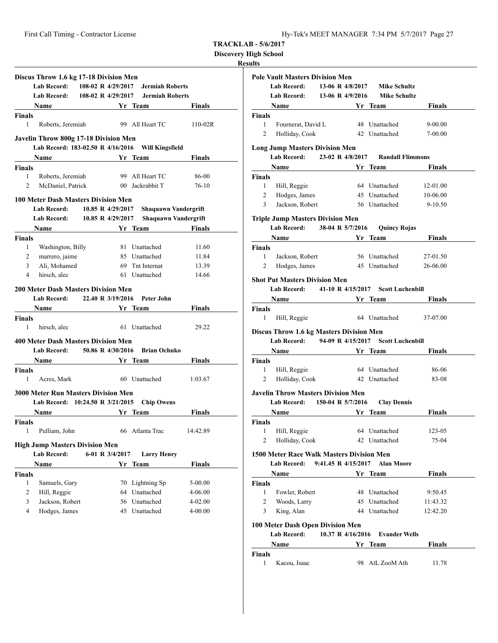**Discovery High School**

#### **Results**

|               | <b>Lab Record:</b>                                                                                                                                                                                                            | 108-02 R 4/29/2017  | <b>Jermiah Roberts</b> |                                              |
|---------------|-------------------------------------------------------------------------------------------------------------------------------------------------------------------------------------------------------------------------------|---------------------|------------------------|----------------------------------------------|
|               | <b>Lab Record:</b>                                                                                                                                                                                                            | 108-02 R 4/29/2017  | <b>Jermiah Roberts</b> |                                              |
|               | <b>Name</b>                                                                                                                                                                                                                   |                     | Yr Team                | <b>Finals</b>                                |
| <b>Finals</b> |                                                                                                                                                                                                                               |                     |                        |                                              |
| 1             | Roberts, Jeremiah                                                                                                                                                                                                             |                     | 99 All Heart TC        | $110-02R$                                    |
|               | Javelin Throw 800g 17-18 Division Men                                                                                                                                                                                         |                     |                        |                                              |
|               | Lab Record: 183-02.50 R 4/16/2016 Will Kingsfield                                                                                                                                                                             |                     |                        |                                              |
|               | Name Yr Team                                                                                                                                                                                                                  |                     |                        | Finals                                       |
| <b>Finals</b> |                                                                                                                                                                                                                               |                     |                        |                                              |
| 1             | Roberts, Jeremiah                                                                                                                                                                                                             |                     | 99 All Heart TC        | 86-00                                        |
| 2             | McDaniel, Patrick                                                                                                                                                                                                             |                     | 00 Jackrabbit T        | $76-10$                                      |
|               |                                                                                                                                                                                                                               |                     |                        |                                              |
|               | <b>100 Meter Dash Masters Division Men</b>                                                                                                                                                                                    | 10.85 R 4/29/2017   |                        |                                              |
|               | <b>Lab Record:</b><br><b>Lab Record:</b>                                                                                                                                                                                      |                     |                        | Shaquawn Vandergrift                         |
|               |                                                                                                                                                                                                                               | 10.85 R $4/29/2017$ |                        | <b>Shaquawn Vandergrift</b><br><b>Finals</b> |
| <b>Finals</b> | Name and the same state of the state of the state of the state of the state of the state of the state of the state of the state of the state of the state of the state of the state of the state of the state of the state of |                     | Yr Team                |                                              |
| 1             | Washington, Billy                                                                                                                                                                                                             |                     | 81 Unattached          | 11.60                                        |
| 2             | marrero, jaime                                                                                                                                                                                                                |                     | 85 Unattached          | 11.84                                        |
| 3             | Ali, Mohamed                                                                                                                                                                                                                  |                     | 69 Tnt Internat        | 13.39                                        |
| 4             | hirsch, alec                                                                                                                                                                                                                  |                     | 61 Unattached          | 14.66                                        |
|               |                                                                                                                                                                                                                               |                     |                        |                                              |
|               | <b>200 Meter Dash Masters Division Men</b><br><b>Lab Record:</b>                                                                                                                                                              | 22.40 R 3/19/2016   | Peter John             |                                              |
|               |                                                                                                                                                                                                                               |                     |                        | Finals                                       |
| Finals        | Name Yr Team                                                                                                                                                                                                                  |                     |                        |                                              |
| 1             | hirsch, alec                                                                                                                                                                                                                  |                     | 61 Unattached          | 29.22                                        |
|               |                                                                                                                                                                                                                               |                     |                        |                                              |
|               | 400 Meter Dash Masters Division Men                                                                                                                                                                                           |                     |                        |                                              |
|               | <b>Lab Record:</b>                                                                                                                                                                                                            | 50.86 R 4/30/2016   | <b>Brian Ochuko</b>    |                                              |
|               | Name                                                                                                                                                                                                                          |                     | Yr Team                | Finals                                       |
| Finals        |                                                                                                                                                                                                                               |                     |                        |                                              |
| 1             | Acres, Mark                                                                                                                                                                                                                   |                     | 60 Unattached          | 1:03.67                                      |
|               | <b>3000 Meter Run Masters Division Men</b>                                                                                                                                                                                    |                     |                        |                                              |
|               | Lab Record: 10:24.50 R 3/21/2015                                                                                                                                                                                              |                     | <b>Chip Owens</b>      |                                              |
|               | <b>Name</b>                                                                                                                                                                                                                   |                     | Yr Team                | Finals                                       |
| <b>Finals</b> |                                                                                                                                                                                                                               |                     |                        |                                              |
|               | 1 Pulliam, John 66 Atlanta Trac 14:42.89                                                                                                                                                                                      |                     |                        |                                              |
|               | <b>High Jump Masters Division Men</b>                                                                                                                                                                                         |                     |                        |                                              |
|               | <b>Lab Record:</b>                                                                                                                                                                                                            | 6-01 R 3/4/2017     | <b>Larry Henry</b>     |                                              |
|               | Name                                                                                                                                                                                                                          |                     | Yr Team                | <b>Finals</b>                                |
| <b>Finals</b> |                                                                                                                                                                                                                               |                     |                        |                                              |
|               | Samuels, Gary                                                                                                                                                                                                                 | 70                  | Lightning Sp           | 5-00.00                                      |
| 1             |                                                                                                                                                                                                                               |                     |                        |                                              |

3 Jackson, Robert 56 Unattached 4-02.00 4 Hodges, James 45 Unattached 4-00.00

**Pole Vault Masters Division Men Lab Record: 13-06 R 4/8/2017 Mike Schultz Lab Record: 13-06 R 4/9/2016 Mike Schultz Name Yr Team Finals Finals** 1 Fournerat, David L 48 Unattached 9-00.00 2 Holliday, Cook 42 Unattached 7-00.00 **Long Jump Masters Division Men Lab Record: 23-02 R 4/8/2017 Randall Flimmons Name Yr** Team **Finals Finals** 1 Hill, Reggie 64 Unattached 12-01.00 2 Hodges, James 45 Unattached 10-06.00 3 Jackson, Robert 56 Unattached 9-10.50 **Triple Jump Masters Division Men Lab Record: 38-04 R 5/7/2016 Quincy Rojas Name Yr** Team **Finals Finals** 1 Jackson, Robert 56 Unattached 27-01.50 2 Hodges, James 45 Unattached 26-06.00 **Shot Put Masters Division Men Lab Record: 41-10 R 4/15/2017 Scott Luchenbill Name Yr** Team **Finals Finals** 1 Hill, Reggie 64 Unattached 37-07.00 **Discus Throw 1.6 kg Masters Division Men Lab Record: 94-09 R 4/15/2017 Scott Luchenbill Name Yr Team Finals Finals** 1 Hill, Reggie 64 Unattached 86-06 2 Holliday, Cook 42 Unattached 83-08 **Javelin Throw Masters Division Men Lab Record: 150-04 R 5/7/2016 Clay Dennis Name Yr Team Finals Finals** 1 Hill, Reggie 64 Unattached 123-05 2 Holliday, Cook 42 Unattached 75-04 **1500 Meter Race Walk Masters Division Men Lab Record: 9:41.45 R 4/15/2017 Alan Moore Name Vr Team Finals Finals** 1 Fowler, Robert 48 Unattached 9:50.45 2 Woods, Larry 45 Unattached 11:43.32 3 King, Alan 44 Unattached 12:42.20 **100 Meter Dash Open Division Men Lab Record: 10.37 R 4/16/2016 Evander Wells Name Yr Team Finals Finals** 1 Kacou, Isaac 98 AtL ZooM Ath 11.78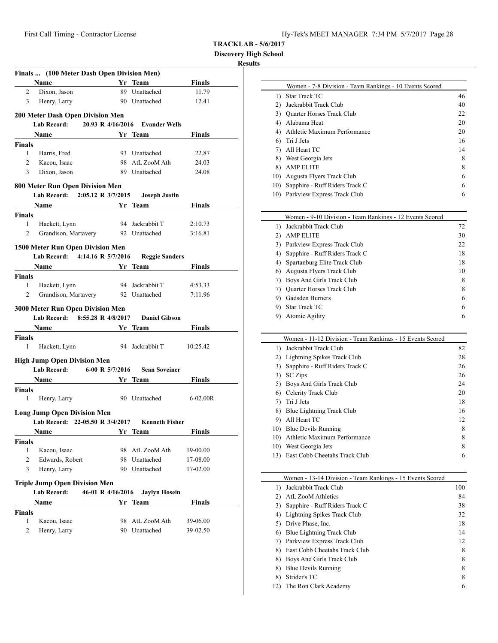**Discovery High School**

# **Results**

| Finals  (100 Meter Dash Open Division Men)            |                                                        |           |                            |                      |  |  |  |  |
|-------------------------------------------------------|--------------------------------------------------------|-----------|----------------------------|----------------------|--|--|--|--|
|                                                       | Name Yr Team                                           |           |                            | <b>Finals</b>        |  |  |  |  |
| 2                                                     | Dixon, Jason                                           |           | 89 Unattached              | 11.79                |  |  |  |  |
| 3                                                     | Henry, Larry                                           |           | 90 Unattached              | 12.41                |  |  |  |  |
|                                                       |                                                        |           |                            |                      |  |  |  |  |
|                                                       | 200 Meter Dash Open Division Men                       |           |                            |                      |  |  |  |  |
| 20.93 R 4/16/2016 Evander Wells<br><b>Lab Record:</b> |                                                        |           |                            |                      |  |  |  |  |
|                                                       | Name                                                   |           | Yr Team                    | Finals               |  |  |  |  |
| Finals<br>$\mathbf{1}$                                |                                                        |           | 93 Unattached              | 22.87                |  |  |  |  |
| $\overline{2}$                                        | Harris, Fred<br>Kacou, Isaac                           |           | 98 AtL ZooM Ath            | 24.03                |  |  |  |  |
| 3                                                     | Dixon, Jason                                           |           | 89 Unattached              | 24.08                |  |  |  |  |
|                                                       |                                                        |           |                            |                      |  |  |  |  |
|                                                       | 800 Meter Run Open Division Men                        |           |                            |                      |  |  |  |  |
|                                                       | Lab Record: 2:05.12 R 3/7/2015                         |           | <b>Joseph Justin</b>       |                      |  |  |  |  |
|                                                       | Name Yr Team                                           |           |                            | <b>Finals</b>        |  |  |  |  |
| <b>Finals</b>                                         |                                                        |           |                            |                      |  |  |  |  |
| 1                                                     | Hackett, Lynn                                          |           | 94 Jackrabbit T            | 2:10.73              |  |  |  |  |
| 2                                                     | Grandison, Martavery 92 Unattached                     |           |                            | 3:16.81              |  |  |  |  |
|                                                       | 1500 Meter Run Open Division Men                       |           |                            |                      |  |  |  |  |
|                                                       | Lab Record: 4:14.16 R 5/7/2016 Reggie Sanders          |           |                            |                      |  |  |  |  |
|                                                       | Name<br><b>Example 18 Service Startup Vr</b> Team      |           |                            | Finals               |  |  |  |  |
| Finals                                                |                                                        |           |                            |                      |  |  |  |  |
| 1                                                     | Hackett, Lynn                                          |           | 94 Jackrabbit T            | 4:53.33              |  |  |  |  |
| 2                                                     | Grandison, Martavery 92 Unattached                     |           |                            | 7:11.96              |  |  |  |  |
|                                                       |                                                        |           |                            |                      |  |  |  |  |
|                                                       |                                                        |           |                            |                      |  |  |  |  |
|                                                       | 3000 Meter Run Open Division Men                       |           |                            |                      |  |  |  |  |
|                                                       | Lab Record: 8:55.28 R 4/8/2017                         |           | <b>Daniel Gibson</b>       |                      |  |  |  |  |
|                                                       | <b>Name</b><br><u><b>Same School</b></u> Security Team |           |                            | Finals               |  |  |  |  |
| Finals                                                |                                                        |           |                            |                      |  |  |  |  |
| 1                                                     | Hackett, Lynn                                          |           | 94 Jackrabbit T            | 10:25.42             |  |  |  |  |
|                                                       | <b>High Jump Open Division Men</b>                     |           |                            |                      |  |  |  |  |
|                                                       | 6-00 R 5/7/2016<br>Lab Record:                         |           | <b>Sean Soveiner</b>       |                      |  |  |  |  |
|                                                       | Name Yr Team                                           |           |                            | Finals               |  |  |  |  |
| <b>Finals</b>                                         |                                                        |           |                            |                      |  |  |  |  |
| 1                                                     | Henry, Larry                                           |           | 90 Unattached              | $6-02.00R$           |  |  |  |  |
|                                                       | <b>Long Jump Open Division Men</b>                     |           |                            |                      |  |  |  |  |
|                                                       | Lab Record: 22-05.50 R 3/4/2017 Kenneth Fisher         |           |                            |                      |  |  |  |  |
|                                                       | <b>Name</b>                                            |           |                            | <b>Finals</b>        |  |  |  |  |
| <b>Finals</b>                                         |                                                        | Yr Team   |                            |                      |  |  |  |  |
| 1                                                     | Kacou, Isaac                                           |           | 98 AtL ZooM Ath            | 19-00.00             |  |  |  |  |
| 2                                                     | Edwards, Robert                                        |           | 98 Unattached              | 17-08.00             |  |  |  |  |
| 3                                                     | Henry, Larry                                           |           | 90 Unattached              | 17-02.00             |  |  |  |  |
|                                                       |                                                        |           |                            |                      |  |  |  |  |
|                                                       | <b>Triple Jump Open Division Men</b>                   |           |                            |                      |  |  |  |  |
|                                                       | <b>Lab Record:</b><br>46-01 R 4/16/2016                |           | <b>Jaylyn Hosein</b>       |                      |  |  |  |  |
|                                                       | Name                                                   |           | Yr Team                    | <b>Finals</b>        |  |  |  |  |
| <b>Finals</b>                                         |                                                        |           |                            |                      |  |  |  |  |
| 1<br>2                                                | Kacou, Isaac<br>Henry, Larry                           | 98<br>90- | AtL ZooM Ath<br>Unattached | 39-06.00<br>39-02.50 |  |  |  |  |

|              | Women - 7-8 Division - Team Rankings - 10 Events Scored |    |
|--------------|---------------------------------------------------------|----|
| $\mathbf{D}$ | Star Track TC                                           | 46 |
| 2)           | Jackrabbit Track Club                                   | 40 |
| 3)           | <b>Quarter Horses Track Club</b>                        | 22 |
| 4)           | Alabama Heat                                            | 20 |
| 4)           | Athletic Maximum Performance                            | 20 |
| 6)           | Tri J Jets                                              | 16 |
|              | All Heart TC                                            | 14 |
| 8)           | West Georgia Jets                                       | 8  |
| 8)           | <b>AMP ELITE</b>                                        | 8  |
| 10)          | Augusta Flyers Track Club                               | 6  |
| 10)          | Sapphire - Ruff Riders Track C                          | 6  |
| 10)          | Parkview Express Track Club                             | 6  |

| Women - 9-10 Division - Team Rankings - 12 Events Scored |    |
|----------------------------------------------------------|----|
| Jackrabbit Track Club<br>Ð                               | 72 |
| <b>AMP ELITE</b><br>2)                                   | 30 |
| Parkview Express Track Club<br>3)                        | 22 |
| 4) Sapphire - Ruff Riders Track C                        | 18 |
| 4) Spartanburg Elite Track Club                          | 18 |
| Augusta Flyers Track Club<br>6)                          | 10 |
| Boys And Girls Track Club<br>7)                          | 8  |
| <b>Ouarter Horses Track Club</b><br>7)                   | 8  |
| Gadsden Burners<br>9)                                    | 6  |
| <b>Star Track TC</b><br>9)                               | 6  |
| Atomic Agility                                           | 6  |
|                                                          |    |

|     | Women - 11-12 Division - Team Rankings - 15 Events Scored |    |
|-----|-----------------------------------------------------------|----|
| 1)  | Jackrabbit Track Club                                     | 82 |
| 2)  | Lightning Spikes Track Club                               | 28 |
| 3)  | Sapphire - Ruff Riders Track C                            | 26 |
| 3)  | <b>SC</b> Zips                                            | 26 |
| 5)  | Boys And Girls Track Club                                 | 24 |
| 6)  | Celerity Track Club                                       | 20 |
| 7)  | Tri J Jets                                                | 18 |
| 8)  | Blue Lightning Track Club                                 | 16 |
| 9)  | All Heart TC                                              | 12 |
|     | 10) Blue Devils Running                                   | 8  |
| 10) | Athletic Maximum Performance                              | 8  |
| 10) | West Georgia Jets                                         | 8  |
| 13) | East Cobb Cheetahs Track Club                             | 6  |
|     |                                                           |    |

|     | Women - 13-14 Division - Team Rankings - 15 Events Scored |     |
|-----|-----------------------------------------------------------|-----|
| Ð   | Jackrabbit Track Club                                     | 100 |
| 2)  | <b>AtL ZooM Athletics</b>                                 | 84  |
| 3)  | Sapphire - Ruff Riders Track C                            | 38  |
| 4)  | Lightning Spikes Track Club                               | 32  |
| 5)  | Drive Phase, Inc.                                         | 18  |
| 6)  | Blue Lightning Track Club                                 | 14  |
| 7)  | Parkview Express Track Club                               | 12  |
| 8)  | East Cobb Cheetahs Track Club                             | 8   |
| 8)  | Boys And Girls Track Club                                 | 8   |
| 8)  | <b>Blue Devils Running</b>                                | 8   |
| 8)  | Strider's TC                                              | 8   |
| 12) | The Ron Clark Academy                                     | 6   |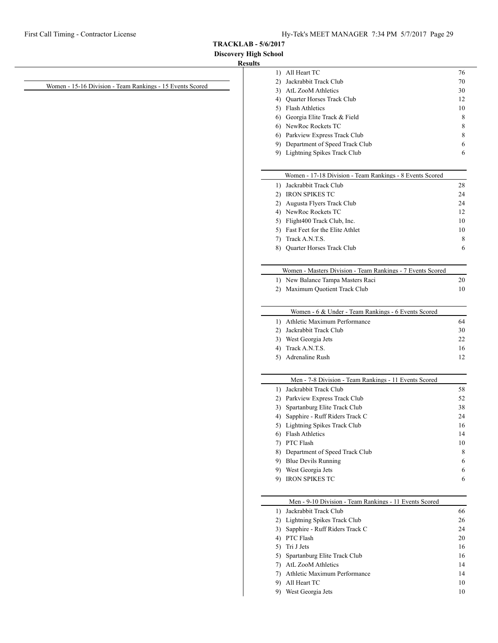**Discovery High School**

#### **Results**

|                                                           | 1) All Heart TC                                                                    | 76     |
|-----------------------------------------------------------|------------------------------------------------------------------------------------|--------|
|                                                           | 2) Jackrabbit Track Club                                                           | 70     |
| Women - 15-16 Division - Team Rankings - 15 Events Scored | 3) AtL ZooM Athletics                                                              | 30     |
|                                                           | 4) Quarter Horses Track Club                                                       | 12     |
|                                                           | 5) Flash Athletics                                                                 | 10     |
|                                                           | 6) Georgia Elite Track & Field                                                     | 8      |
|                                                           | 6) NewRoc Rockets TC                                                               | 8      |
|                                                           | 6) Parkview Express Track Club                                                     | 8      |
|                                                           | 9) Department of Speed Track Club                                                  | 6      |
|                                                           | 9) Lightning Spikes Track Club                                                     | 6      |
|                                                           |                                                                                    |        |
|                                                           | Women - 17-18 Division - Team Rankings - 8 Events Scored                           |        |
|                                                           | 1) Jackrabbit Track Club                                                           | 28     |
|                                                           | 2) IRON SPIKES TC                                                                  | 24     |
|                                                           | 2) Augusta Flyers Track Club                                                       | 24     |
|                                                           | 4) NewRoc Rockets TC                                                               | 12     |
|                                                           | 5) Flight400 Track Club, Inc.                                                      | 10     |
|                                                           | 5) Fast Feet for the Elite Athlet                                                  | 10     |
|                                                           | 7) Track A.N.T.S.                                                                  | 8      |
|                                                           | 8) Quarter Horses Track Club                                                       | 6      |
|                                                           | Women - Masters Division - Team Rankings - 7 Events Scored                         |        |
|                                                           | 1) New Balance Tampa Masters Raci                                                  | 20     |
|                                                           | 2) Maximum Quotient Track Club                                                     | 10     |
|                                                           |                                                                                    |        |
|                                                           | Women - 6 & Under - Team Rankings - 6 Events Scored                                |        |
|                                                           | 1) Athletic Maximum Performance                                                    | 64     |
|                                                           | 2) Jackrabbit Track Club                                                           | 30     |
|                                                           | 3) West Georgia Jets                                                               | 22     |
|                                                           | 4) Track A.N.T.S.                                                                  | 16     |
|                                                           | 5) Adrenaline Rush                                                                 | 12     |
|                                                           | Men - 7-8 Division - Team Rankings - 11 Events Scored                              |        |
|                                                           | 1) Jackrabbit Track Club                                                           | 58     |
|                                                           | 2) Parkview Express Track Club                                                     | 52     |
|                                                           | 3) Spartanburg Elite Track Club                                                    | 38     |
|                                                           | 4) Sapphire - Ruff Riders Track C                                                  | 24     |
|                                                           | 5) Lightning Spikes Track Club                                                     | 16     |
|                                                           | 6) Flash Athletics                                                                 | 14     |
|                                                           | 7) PTC Flash                                                                       | 10     |
|                                                           | 8) Department of Speed Track Club                                                  | 8      |
|                                                           | 9) Blue Devils Running                                                             | 6      |
|                                                           | 9) West Georgia Jets                                                               |        |
|                                                           | 9) IRON SPIKES TC                                                                  | 6<br>6 |
|                                                           |                                                                                    |        |
|                                                           | Men - 9-10 Division - Team Rankings - 11 Events Scored<br>1) Jackrabbit Track Club | 66     |
|                                                           | 2) Lightning Spikes Track Club                                                     | 26     |
|                                                           | 3) Sapphire - Ruff Riders Track C                                                  | 24     |
|                                                           | 4) PTC Flash                                                                       | 20     |
|                                                           | 5) Tri J Jets                                                                      | 16     |
|                                                           | 5) Spartanburg Elite Track Club                                                    | 16     |
|                                                           | 7) AtL ZooM Athletics                                                              | 14     |
|                                                           | 7) Athletic Maximum Performance                                                    | 14     |
|                                                           | 9) All Heart TC                                                                    | 10     |
|                                                           | 9) West Georgia Jets                                                               | 10     |
|                                                           |                                                                                    |        |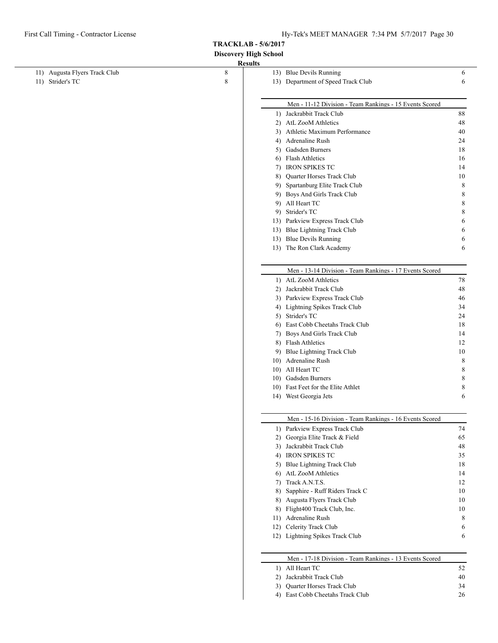$\frac{1}{2}$ 

**TRACKLAB - 5/6/2017**

**Discovery High School**

|                               | рімотсі у тиен эсполі<br><b>Results</b> |                                                         |    |
|-------------------------------|-----------------------------------------|---------------------------------------------------------|----|
| 11) Augusta Flyers Track Club | 8                                       | 13) Blue Devils Running                                 | 6  |
| 11) Strider's TC              | 8                                       | 13) Department of Speed Track Club                      | 6  |
|                               |                                         |                                                         |    |
|                               |                                         | Men - 11-12 Division - Team Rankings - 15 Events Scored |    |
|                               |                                         | 1) Jackrabbit Track Club                                | 88 |
|                               |                                         | 2) AtL ZooM Athletics                                   | 48 |
|                               |                                         | 3) Athletic Maximum Performance                         | 40 |
|                               |                                         | 4) Adrenaline Rush                                      | 24 |
|                               |                                         | 5) Gadsden Burners                                      | 18 |
|                               |                                         | 6) Flash Athletics                                      | 16 |
|                               |                                         | 7) IRON SPIKES TC                                       | 14 |
|                               |                                         | 8) Quarter Horses Track Club                            | 10 |
|                               |                                         | 9) Spartanburg Elite Track Club                         | 8  |
|                               |                                         | 9) Boys And Girls Track Club                            | 8  |
|                               |                                         | 9) All Heart TC                                         | 8  |
|                               |                                         | 9) Strider's TC                                         | 8  |
|                               |                                         | 13) Parkview Express Track Club                         | 6  |
|                               |                                         | 13) Blue Lightning Track Club                           | 6  |
|                               |                                         | 13) Blue Devils Running                                 | 6  |
|                               |                                         | 13) The Ron Clark Academy                               | 6  |
|                               |                                         | Men - 13-14 Division - Team Rankings - 17 Events Scored |    |
|                               |                                         | 1) AtL ZooM Athletics                                   | 78 |
|                               |                                         | 2) Jackrabbit Track Club                                | 48 |
|                               |                                         | 3) Parkview Express Track Club                          | 46 |
|                               |                                         | 4) Lightning Spikes Track Club                          | 34 |
|                               |                                         | 5) Strider's TC                                         | 24 |
|                               |                                         | 6) East Cobb Cheetahs Track Club                        | 18 |
|                               |                                         | 7) Boys And Girls Track Club                            | 14 |
|                               |                                         | 8) Flash Athletics                                      | 12 |
|                               |                                         | 9) Blue Lightning Track Club                            | 10 |
|                               |                                         | 10) Adrenaline Rush                                     | 8  |
|                               |                                         | 10) All Heart TC                                        | 8  |
|                               |                                         | 10) Gadsden Burners                                     | 8  |
|                               |                                         | 10) Fast Feet for the Elite Athlet                      | 8  |
|                               |                                         | 14) West Georgia Jets                                   | 6  |
|                               |                                         | Men - 15-16 Division - Team Rankings - 16 Events Scored |    |
|                               |                                         | 1) Parkview Express Track Club                          | 74 |
|                               |                                         | 2) Georgia Elite Track & Field                          | 65 |
|                               |                                         | 3) Jackrabbit Track Club                                | 48 |
|                               |                                         | 4) IRON SPIKES TC                                       | 35 |
|                               |                                         | 5) Blue Lightning Track Club                            | 18 |
|                               |                                         | 6) AtL ZooM Athletics                                   | 14 |
|                               |                                         | 7) Track A.N.T.S.                                       | 12 |
|                               |                                         | 8) Sapphire - Ruff Riders Track C                       | 10 |
|                               |                                         | 8) Augusta Flyers Track Club                            | 10 |
|                               |                                         | 8) Flight400 Track Club, Inc.                           | 10 |
|                               |                                         | 11) Adrenaline Rush                                     | 8  |
|                               |                                         | 12) Celerity Track Club                                 | 6  |
|                               |                                         | 12) Lightning Spikes Track Club                         | 6  |
|                               |                                         | Men - 17-18 Division - Team Rankings - 13 Events Scored |    |
|                               |                                         | 1) All Heart TC                                         | 52 |
|                               |                                         | 2) Jackrabbit Track Club                                | 40 |
|                               |                                         | 3) Quarter Horses Track Club                            | 34 |
|                               |                                         | 4) East Cobb Cheetahs Track Club                        | 26 |
|                               |                                         |                                                         |    |